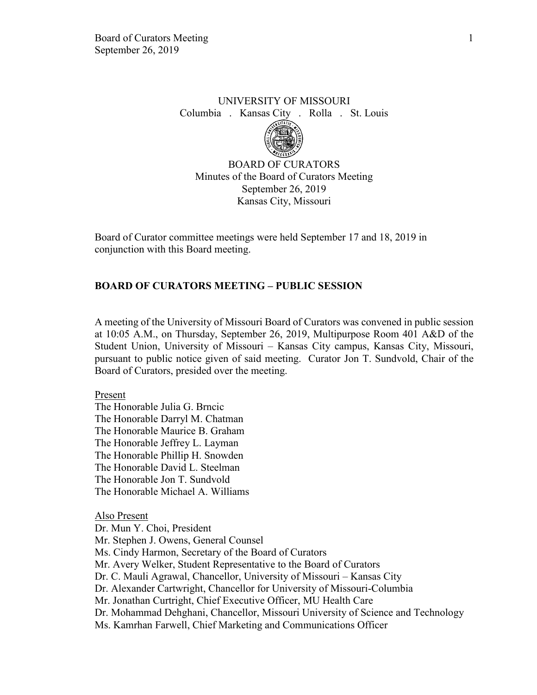# UNIVERSITY OF MISSOURI Columbia . Kansas City . Rolla . St. Louis



BOARD OF CURATORS Minutes of the Board of Curators Meeting September 26, 2019 Kansas City, Missouri

Board of Curator committee meetings were held September 17 and 18, 2019 in conjunction with this Board meeting.

## **BOARD OF CURATORS MEETING – PUBLIC SESSION**

A meeting of the University of Missouri Board of Curators was convened in public session at 10:05 A.M., on Thursday, September 26, 2019, Multipurpose Room 401 A&D of the Student Union, University of Missouri – Kansas City campus, Kansas City, Missouri, pursuant to public notice given of said meeting. Curator Jon T. Sundvold, Chair of the Board of Curators, presided over the meeting.

#### Present

The Honorable Julia G. Brncic The Honorable Darryl M. Chatman The Honorable Maurice B. Graham The Honorable Jeffrey L. Layman The Honorable Phillip H. Snowden The Honorable David L. Steelman The Honorable Jon T. Sundvold The Honorable Michael A. Williams

Also Present

Dr. Mun Y. Choi, President Mr. Stephen J. Owens, General Counsel Ms. Cindy Harmon, Secretary of the Board of Curators Mr. Avery Welker, Student Representative to the Board of Curators Dr. C. Mauli Agrawal, Chancellor, University of Missouri – Kansas City Dr. Alexander Cartwright, Chancellor for University of Missouri-Columbia Mr. Jonathan Curtright, Chief Executive Officer, MU Health Care Dr. Mohammad Dehghani, Chancellor, Missouri University of Science and Technology Ms. Kamrhan Farwell, Chief Marketing and Communications Officer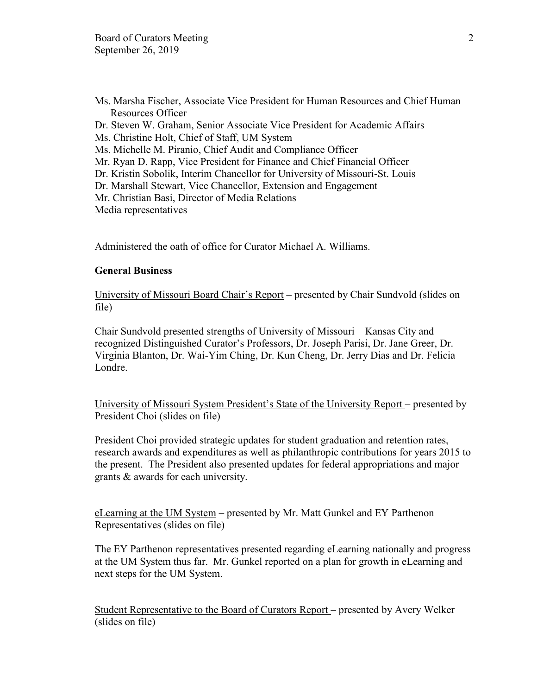Ms. Marsha Fischer, Associate Vice President for Human Resources and Chief Human Resources Officer Dr. Steven W. Graham, Senior Associate Vice President for Academic Affairs Ms. Christine Holt, Chief of Staff, UM System Ms. Michelle M. Piranio, Chief Audit and Compliance Officer Mr. Ryan D. Rapp, Vice President for Finance and Chief Financial Officer Dr. Kristin Sobolik, Interim Chancellor for University of Missouri-St. Louis Dr. Marshall Stewart, Vice Chancellor, Extension and Engagement Mr. Christian Basi, Director of Media Relations Media representatives

Administered the oath of office for Curator Michael A. Williams.

## **General Business**

University of Missouri Board Chair's Report – presented by Chair Sundvold (slides on file)

Chair Sundvold presented strengths of University of Missouri – Kansas City and recognized Distinguished Curator's Professors, Dr. Joseph Parisi, Dr. Jane Greer, Dr. Virginia Blanton, Dr. Wai-Yim Ching, Dr. Kun Cheng, Dr. Jerry Dias and Dr. Felicia Londre.

University of Missouri System President's State of the University Report – presented by President Choi (slides on file)

President Choi provided strategic updates for student graduation and retention rates, research awards and expenditures as well as philanthropic contributions for years 2015 to the present. The President also presented updates for federal appropriations and major grants & awards for each university.

eLearning at the UM System – presented by Mr. Matt Gunkel and EY Parthenon Representatives (slides on file)

The EY Parthenon representatives presented regarding eLearning nationally and progress at the UM System thus far. Mr. Gunkel reported on a plan for growth in eLearning and next steps for the UM System.

Student Representative to the Board of Curators Report – presented by Avery Welker (slides on file)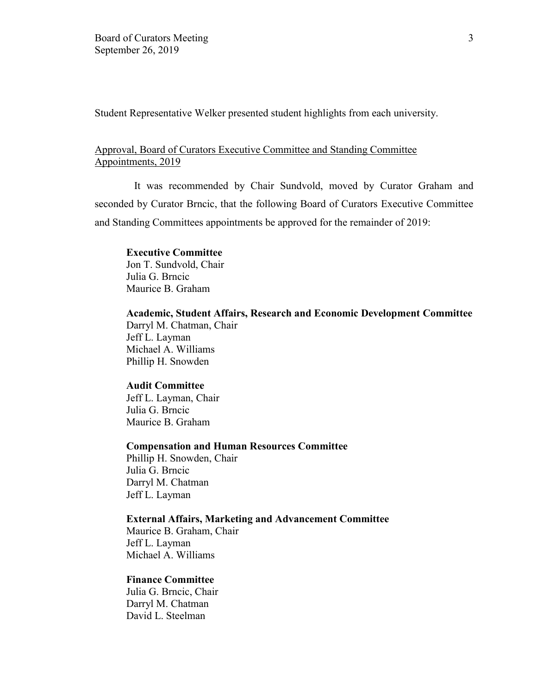Student Representative Welker presented student highlights from each university.

## Approval, Board of Curators Executive Committee and Standing Committee Appointments, 2019

It was recommended by Chair Sundvold, moved by Curator Graham and seconded by Curator Brncic, that the following Board of Curators Executive Committee and Standing Committees appointments be approved for the remainder of 2019:

## **Executive Committee**

Jon T. Sundvold, Chair Julia G. Brncic Maurice B. Graham

**Academic, Student Affairs, Research and Economic Development Committee** Darryl M. Chatman, Chair

Jeff L. Layman Michael A. Williams Phillip H. Snowden

#### **Audit Committee**

Jeff L. Layman, Chair Julia G. Brncic Maurice B. Graham

# **Compensation and Human Resources Committee**

Phillip H. Snowden, Chair Julia G. Brncic Darryl M. Chatman Jeff L. Layman

#### **External Affairs, Marketing and Advancement Committee**

Maurice B. Graham, Chair Jeff L. Layman Michael A. Williams

#### **Finance Committee**

Julia G. Brncic, Chair Darryl M. Chatman David L. Steelman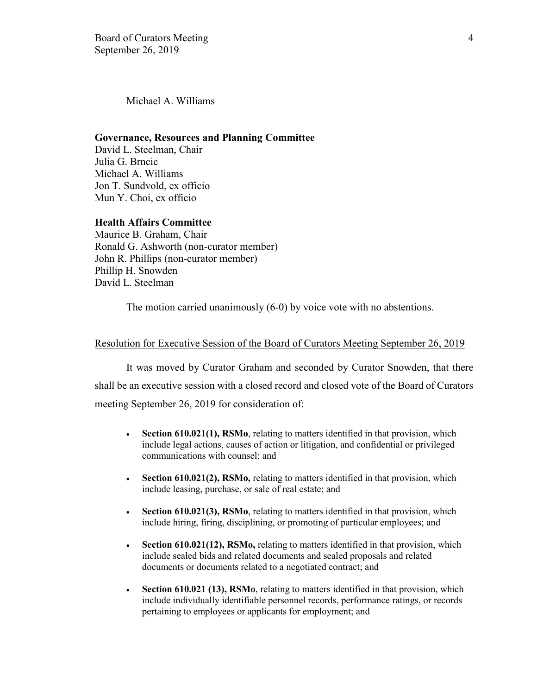Michael A. Williams

#### **Governance, Resources and Planning Committee**

David L. Steelman, Chair Julia G. Brncic Michael A. Williams Jon T. Sundvold, ex officio Mun Y. Choi, ex officio

#### **Health Affairs Committee**

Maurice B. Graham, Chair Ronald G. Ashworth (non-curator member) John R. Phillips (non-curator member) Phillip H. Snowden David L. Steelman

The motion carried unanimously (6-0) by voice vote with no abstentions.

#### Resolution for Executive Session of the Board of Curators Meeting September 26, 2019

It was moved by Curator Graham and seconded by Curator Snowden, that there shall be an executive session with a closed record and closed vote of the Board of Curators meeting September 26, 2019 for consideration of:

- **Section 610.021(1), RSMo**, relating to matters identified in that provision, which include legal actions, causes of action or litigation, and confidential or privileged communications with counsel; and
- **Section 610.021(2), RSMo,** relating to matters identified in that provision, which include leasing, purchase, or sale of real estate; and
- **Section 610.021(3), RSMo**, relating to matters identified in that provision, which include hiring, firing, disciplining, or promoting of particular employees; and
- **Section 610.021(12), RSMo, relating to matters identified in that provision, which** include sealed bids and related documents and sealed proposals and related documents or documents related to a negotiated contract; and
- **Section 610.021 (13), RSMo**, relating to matters identified in that provision, which include individually identifiable personnel records, performance ratings, or records pertaining to employees or applicants for employment; and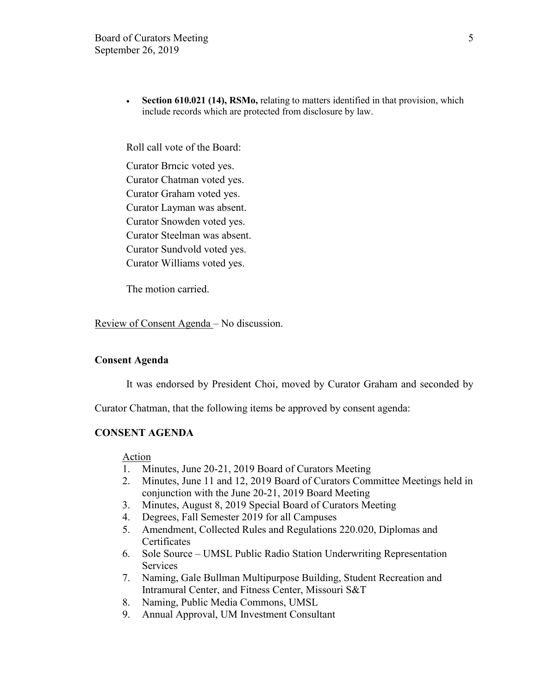• **Section 610.021 (14), RSMo,** relating to matters identified in that provision, which include records which are protected from disclosure by law.

Roll call vote of the Board:

Curator Brncic voted yes. Curator Chatman voted yes. Curator Graham voted yes. Curator Layman was absent. Curator Snowden voted yes. Curator Steelman was absent. Curator Sundvold voted yes. Curator Williams voted yes.

The motion carried.

Review of Consent Agenda – No discussion.

#### **Consent Agenda**

It was endorsed by President Choi, moved by Curator Graham and seconded by

Curator Chatman, that the following items be approved by consent agenda:

#### **CONSENT AGENDA**

Action

- 1. Minutes, June 20-21, 2019 Board of Curators Meeting
- 2. Minutes, June 11 and 12, 2019 Board of Curators Committee Meetings held in conjunction with the June 20-21, 2019 Board Meeting
- 3. Minutes, August 8, 2019 Special Board of Curators Meeting
- 4. Degrees, Fall Semester 2019 for all Campuses
- 5. Amendment, Collected Rules and Regulations 220.020, Diplomas and **Certificates**
- 6. Sole Source UMSL Public Radio Station Underwriting Representation Services
- 7. Naming, Gale Bullman Multipurpose Building, Student Recreation and Intramural Center, and Fitness Center, Missouri S&T
- 8. Naming, Public Media Commons, UMSL
- 9. Annual Approval, UM Investment Consultant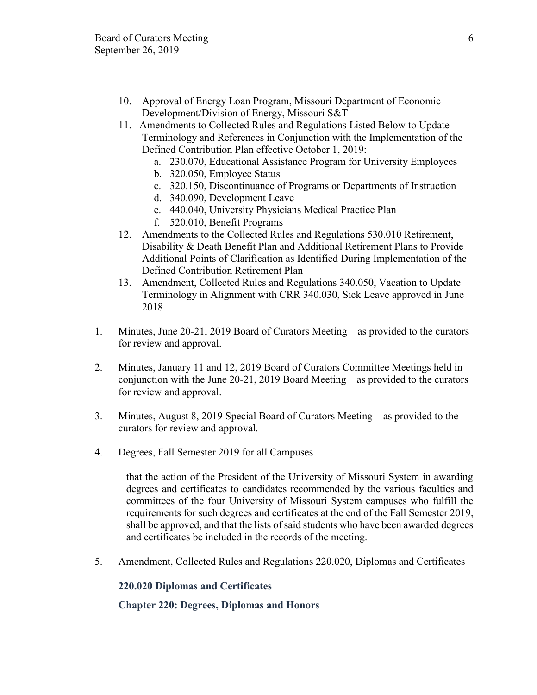- 10. Approval of Energy Loan Program, Missouri Department of Economic Development/Division of Energy, Missouri S&T
- 11. Amendments to Collected Rules and Regulations Listed Below to Update Terminology and References in Conjunction with the Implementation of the Defined Contribution Plan effective October 1, 2019:
	- a. 230.070, Educational Assistance Program for University Employees
	- b. 320.050, Employee Status
	- c. 320.150, Discontinuance of Programs or Departments of Instruction
	- d. 340.090, Development Leave
	- e. 440.040, University Physicians Medical Practice Plan
	- f. 520.010, Benefit Programs
- 12. Amendments to the Collected Rules and Regulations 530.010 Retirement, Disability & Death Benefit Plan and Additional Retirement Plans to Provide Additional Points of Clarification as Identified During Implementation of the Defined Contribution Retirement Plan
- 13. Amendment, Collected Rules and Regulations 340.050, Vacation to Update Terminology in Alignment with CRR 340.030, Sick Leave approved in June 2018
- 1. Minutes, June 20-21, 2019 Board of Curators Meeting as provided to the curators for review and approval.
- 2. Minutes, January 11 and 12, 2019 Board of Curators Committee Meetings held in conjunction with the June 20-21, 2019 Board Meeting – as provided to the curators for review and approval.
- 3. Minutes, August 8, 2019 Special Board of Curators Meeting as provided to the curators for review and approval.
- 4. Degrees, Fall Semester 2019 for all Campuses –

that the action of the President of the University of Missouri System in awarding degrees and certificates to candidates recommended by the various faculties and committees of the four University of Missouri System campuses who fulfill the requirements for such degrees and certificates at the end of the Fall Semester 2019, shall be approved, and that the lists of said students who have been awarded degrees and certificates be included in the records of the meeting.

5. Amendment, Collected Rules and Regulations 220.020, Diplomas and Certificates –

## **220.020 Diplomas and Certificates**

## **Chapter 220: Degrees, Diplomas and Honors**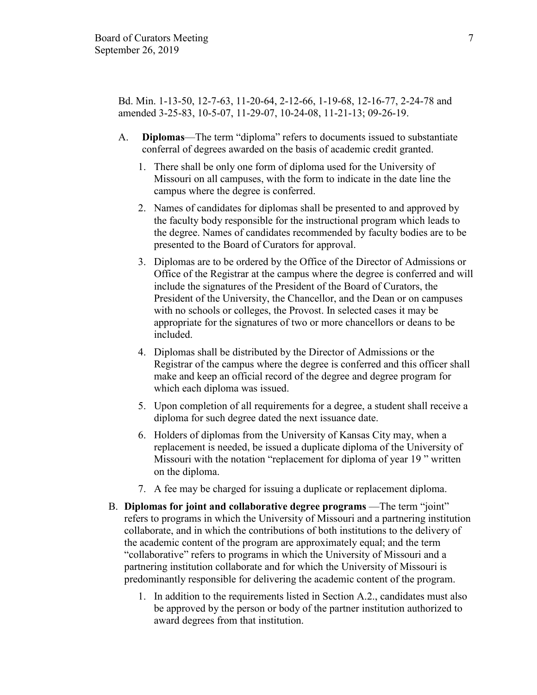Bd. Min. 1-13-50, 12-7-63, 11-20-64, 2-12-66, 1-19-68, 12-16-77, 2-24-78 and amended 3-25-83, 10-5-07, 11-29-07, 10-24-08, 11-21-13; 09-26-19.

- A. **Diplomas**—The term "diploma" refers to documents issued to substantiate conferral of degrees awarded on the basis of academic credit granted.
	- 1. There shall be only one form of diploma used for the University of Missouri on all campuses, with the form to indicate in the date line the campus where the degree is conferred.
	- 2. Names of candidates for diplomas shall be presented to and approved by the faculty body responsible for the instructional program which leads to the degree. Names of candidates recommended by faculty bodies are to be presented to the Board of Curators for approval.
	- 3. Diplomas are to be ordered by the Office of the Director of Admissions or Office of the Registrar at the campus where the degree is conferred and will include the signatures of the President of the Board of Curators, the President of the University, the Chancellor, and the Dean or on campuses with no schools or colleges, the Provost. In selected cases it may be appropriate for the signatures of two or more chancellors or deans to be included.
	- 4. Diplomas shall be distributed by the Director of Admissions or the Registrar of the campus where the degree is conferred and this officer shall make and keep an official record of the degree and degree program for which each diploma was issued.
	- 5. Upon completion of all requirements for a degree, a student shall receive a diploma for such degree dated the next issuance date.
	- 6. Holders of diplomas from the University of Kansas City may, when a replacement is needed, be issued a duplicate diploma of the University of Missouri with the notation "replacement for diploma of year 19 " written on the diploma.
	- 7. A fee may be charged for issuing a duplicate or replacement diploma.
- B. **Diplomas for joint and collaborative degree programs** —The term "joint" refers to programs in which the University of Missouri and a partnering institution collaborate, and in which the contributions of both institutions to the delivery of the academic content of the program are approximately equal; and the term "collaborative" refers to programs in which the University of Missouri and a partnering institution collaborate and for which the University of Missouri is predominantly responsible for delivering the academic content of the program.
	- 1. In addition to the requirements listed in Section A.2., candidates must also be approved by the person or body of the partner institution authorized to award degrees from that institution.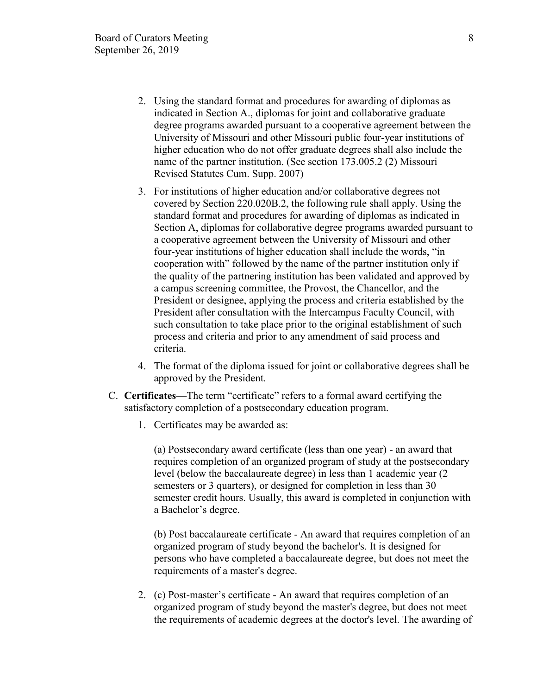- 2. Using the standard format and procedures for awarding of diplomas as indicated in Section A., diplomas for joint and collaborative graduate degree programs awarded pursuant to a cooperative agreement between the University of Missouri and other Missouri public four-year institutions of higher education who do not offer graduate degrees shall also include the name of the partner institution. (See section 173.005.2 (2) Missouri Revised Statutes Cum. Supp. 2007)
- 3. For institutions of higher education and/or collaborative degrees not covered by Section 220.020B.2, the following rule shall apply. Using the standard format and procedures for awarding of diplomas as indicated in Section A, diplomas for collaborative degree programs awarded pursuant to a cooperative agreement between the University of Missouri and other four-year institutions of higher education shall include the words, "in cooperation with" followed by the name of the partner institution only if the quality of the partnering institution has been validated and approved by a campus screening committee, the Provost, the Chancellor, and the President or designee, applying the process and criteria established by the President after consultation with the Intercampus Faculty Council, with such consultation to take place prior to the original establishment of such process and criteria and prior to any amendment of said process and criteria.
- 4. The format of the diploma issued for joint or collaborative degrees shall be approved by the President.
- C. **Certificates**—The term "certificate" refers to a formal award certifying the satisfactory completion of a postsecondary education program.
	- 1. Certificates may be awarded as:

(a) Postsecondary award certificate (less than one year) - an award that requires completion of an organized program of study at the postsecondary level (below the baccalaureate degree) in less than 1 academic year (2 semesters or 3 quarters), or designed for completion in less than 30 semester credit hours. Usually, this award is completed in conjunction with a Bachelor's degree.

(b) Post baccalaureate certificate - An award that requires completion of an organized program of study beyond the bachelor's. It is designed for persons who have completed a baccalaureate degree, but does not meet the requirements of a master's degree.

2. (c) Post-master's certificate - An award that requires completion of an organized program of study beyond the master's degree, but does not meet the requirements of academic degrees at the doctor's level. The awarding of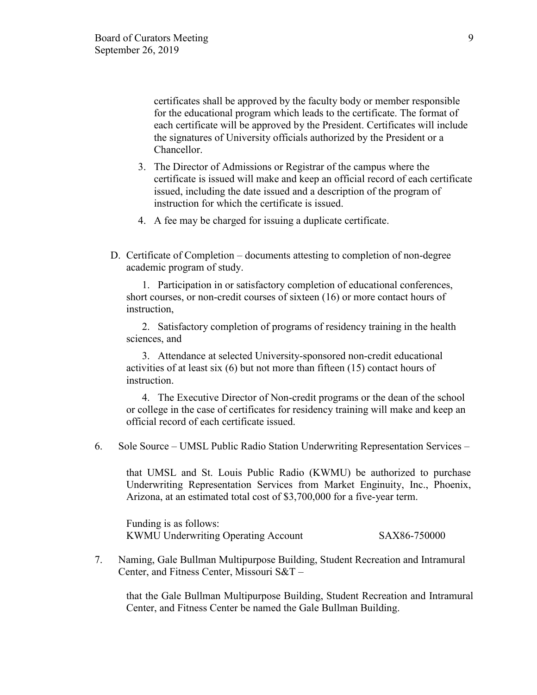certificates shall be approved by the faculty body or member responsible for the educational program which leads to the certificate. The format of each certificate will be approved by the President. Certificates will include the signatures of University officials authorized by the President or a Chancellor.

- 3. The Director of Admissions or Registrar of the campus where the certificate is issued will make and keep an official record of each certificate issued, including the date issued and a description of the program of instruction for which the certificate is issued.
- 4. A fee may be charged for issuing a duplicate certificate.
- D. Certificate of Completion documents attesting to completion of non-degree academic program of study.

1. Participation in or satisfactory completion of educational conferences, short courses, or non-credit courses of sixteen (16) or more contact hours of instruction,

2. Satisfactory completion of programs of residency training in the health sciences, and

3. Attendance at selected University-sponsored non-credit educational activities of at least six (6) but not more than fifteen (15) contact hours of instruction.

4. The Executive Director of Non-credit programs or the dean of the school or college in the case of certificates for residency training will make and keep an official record of each certificate issued.

6. Sole Source – UMSL Public Radio Station Underwriting Representation Services –

that UMSL and St. Louis Public Radio (KWMU) be authorized to purchase Underwriting Representation Services from Market Enginuity, Inc., Phoenix, Arizona, at an estimated total cost of \$3,700,000 for a five-year term.

Funding is as follows: KWMU Underwriting Operating Account SAX86-750000

7. Naming, Gale Bullman Multipurpose Building, Student Recreation and Intramural Center, and Fitness Center, Missouri S&T –

that the Gale Bullman Multipurpose Building, Student Recreation and Intramural Center, and Fitness Center be named the Gale Bullman Building.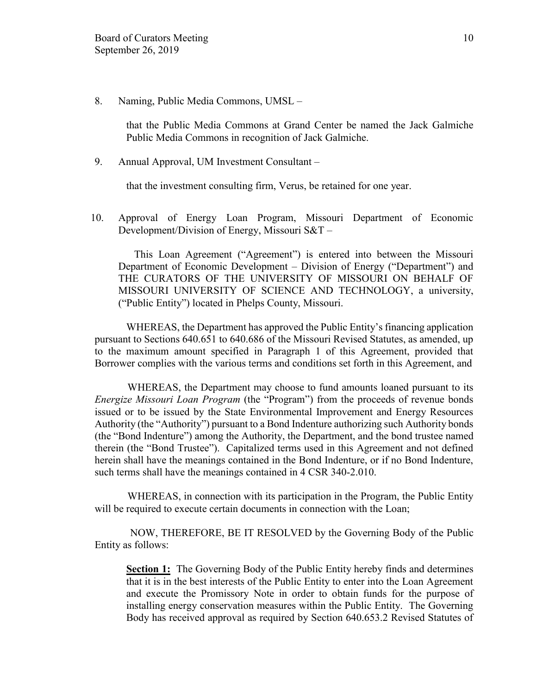8. Naming, Public Media Commons, UMSL –

that the Public Media Commons at Grand Center be named the Jack Galmiche Public Media Commons in recognition of Jack Galmiche.

9. Annual Approval, UM Investment Consultant –

that the investment consulting firm, Verus, be retained for one year.

10. Approval of Energy Loan Program, Missouri Department of Economic Development/Division of Energy, Missouri S&T –

 This Loan Agreement ("Agreement") is entered into between the Missouri Department of Economic Development – Division of Energy ("Department") and THE CURATORS OF THE UNIVERSITY OF MISSOURI ON BEHALF OF MISSOURI UNIVERSITY OF SCIENCE AND TECHNOLOGY, a university, ("Public Entity") located in Phelps County, Missouri.

WHEREAS, the Department has approved the Public Entity's financing application pursuant to Sections 640.651 to 640.686 of the Missouri Revised Statutes, as amended, up to the maximum amount specified in Paragraph 1 of this Agreement, provided that Borrower complies with the various terms and conditions set forth in this Agreement, and

WHEREAS, the Department may choose to fund amounts loaned pursuant to its *Energize Missouri Loan Program* (the "Program") from the proceeds of revenue bonds issued or to be issued by the State Environmental Improvement and Energy Resources Authority (the "Authority") pursuant to a Bond Indenture authorizing such Authority bonds (the "Bond Indenture") among the Authority, the Department, and the bond trustee named therein (the "Bond Trustee"). Capitalized terms used in this Agreement and not defined herein shall have the meanings contained in the Bond Indenture, or if no Bond Indenture, such terms shall have the meanings contained in 4 CSR 340-2.010.

WHEREAS, in connection with its participation in the Program, the Public Entity will be required to execute certain documents in connection with the Loan;

NOW, THEREFORE, BE IT RESOLVED by the Governing Body of the Public Entity as follows:

**Section 1:** The Governing Body of the Public Entity hereby finds and determines that it is in the best interests of the Public Entity to enter into the Loan Agreement and execute the Promissory Note in order to obtain funds for the purpose of installing energy conservation measures within the Public Entity. The Governing Body has received approval as required by Section 640.653.2 Revised Statutes of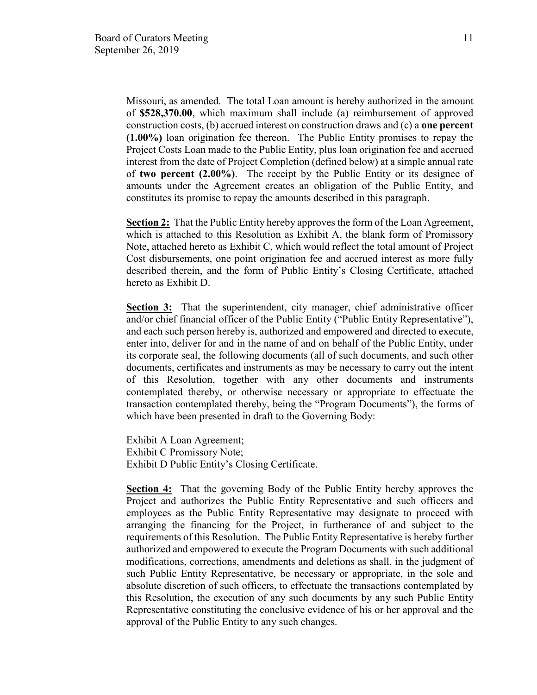Missouri, as amended. The total Loan amount is hereby authorized in the amount of **\$528,370.00**, which maximum shall include (a) reimbursement of approved construction costs, (b) accrued interest on construction draws and (c) a **one percent (1.00%)** loan origination fee thereon. The Public Entity promises to repay the Project Costs Loan made to the Public Entity, plus loan origination fee and accrued interest from the date of Project Completion (defined below) at a simple annual rate of **two percent (2.00%)**. The receipt by the Public Entity or its designee of amounts under the Agreement creates an obligation of the Public Entity, and constitutes its promise to repay the amounts described in this paragraph.

**Section 2:** That the Public Entity hereby approves the form of the Loan Agreement, which is attached to this Resolution as Exhibit A, the blank form of Promissory Note, attached hereto as Exhibit C, which would reflect the total amount of Project Cost disbursements, one point origination fee and accrued interest as more fully described therein, and the form of Public Entity's Closing Certificate, attached hereto as Exhibit D.

**Section 3:** That the superintendent, city manager, chief administrative officer and/or chief financial officer of the Public Entity ("Public Entity Representative"), and each such person hereby is, authorized and empowered and directed to execute, enter into, deliver for and in the name of and on behalf of the Public Entity, under its corporate seal, the following documents (all of such documents, and such other documents, certificates and instruments as may be necessary to carry out the intent of this Resolution, together with any other documents and instruments contemplated thereby, or otherwise necessary or appropriate to effectuate the transaction contemplated thereby, being the "Program Documents"), the forms of which have been presented in draft to the Governing Body:

Exhibit A Loan Agreement; Exhibit C Promissory Note; Exhibit D Public Entity's Closing Certificate.

**Section 4:** That the governing Body of the Public Entity hereby approves the Project and authorizes the Public Entity Representative and such officers and employees as the Public Entity Representative may designate to proceed with arranging the financing for the Project, in furtherance of and subject to the requirements of this Resolution. The Public Entity Representative is hereby further authorized and empowered to execute the Program Documents with such additional modifications, corrections, amendments and deletions as shall, in the judgment of such Public Entity Representative, be necessary or appropriate, in the sole and absolute discretion of such officers, to effectuate the transactions contemplated by this Resolution, the execution of any such documents by any such Public Entity Representative constituting the conclusive evidence of his or her approval and the approval of the Public Entity to any such changes.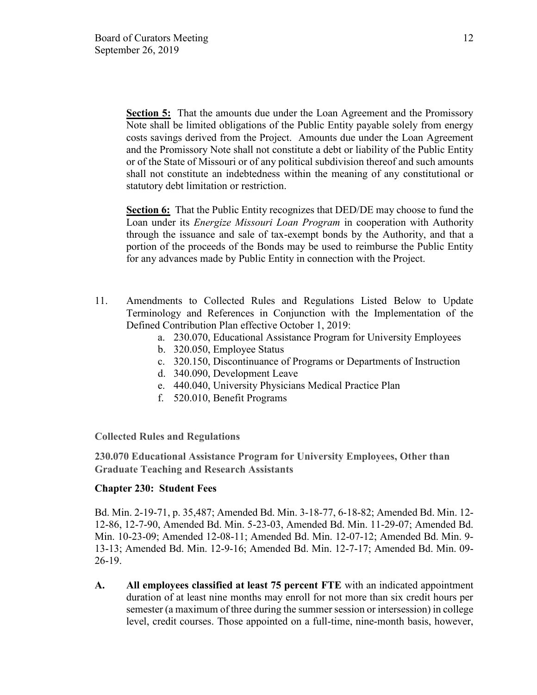**Section 5:** That the amounts due under the Loan Agreement and the Promissory Note shall be limited obligations of the Public Entity payable solely from energy costs savings derived from the Project. Amounts due under the Loan Agreement and the Promissory Note shall not constitute a debt or liability of the Public Entity or of the State of Missouri or of any political subdivision thereof and such amounts shall not constitute an indebtedness within the meaning of any constitutional or statutory debt limitation or restriction.

**Section 6:** That the Public Entity recognizes that DED/DE may choose to fund the Loan under its *Energize Missouri Loan Program* in cooperation with Authority through the issuance and sale of tax-exempt bonds by the Authority, and that a portion of the proceeds of the Bonds may be used to reimburse the Public Entity for any advances made by Public Entity in connection with the Project.

- 11. Amendments to Collected Rules and Regulations Listed Below to Update Terminology and References in Conjunction with the Implementation of the Defined Contribution Plan effective October 1, 2019:
	- a. 230.070, Educational Assistance Program for University Employees
	- b. 320.050, Employee Status
	- c. 320.150, Discontinuance of Programs or Departments of Instruction
	- d. 340.090, Development Leave
	- e. 440.040, University Physicians Medical Practice Plan
	- f. 520.010, Benefit Programs

**Collected Rules and Regulations**

**230.070 Educational Assistance Program for University Employees, Other than Graduate Teaching and Research Assistants**

## **Chapter 230: Student Fees**

Bd. Min. 2-19-71, p. 35,487; Amended Bd. Min. 3-18-77, 6-18-82; Amended Bd. Min. 12- 12-86, 12-7-90, Amended Bd. Min. 5-23-03, Amended Bd. Min. 11-29-07; Amended Bd. Min. 10-23-09; Amended 12-08-11; Amended Bd. Min. 12-07-12; Amended Bd. Min. 9- 13-13; Amended Bd. Min. 12-9-16; Amended Bd. Min. 12-7-17; Amended Bd. Min. 09-  $26-19.$ 

**A. All employees classified at least 75 percent FTE** with an indicated appointment duration of at least nine months may enroll for not more than six credit hours per semester (a maximum of three during the summer session or intersession) in college level, credit courses. Those appointed on a full-time, nine-month basis, however,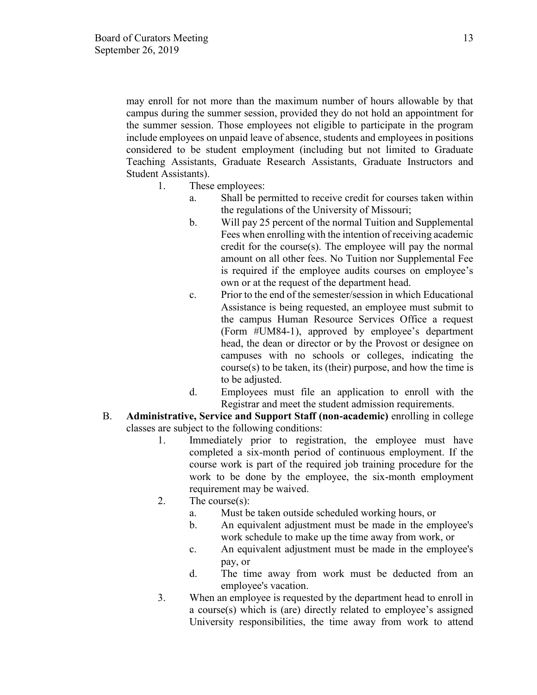may enroll for not more than the maximum number of hours allowable by that campus during the summer session, provided they do not hold an appointment for the summer session. Those employees not eligible to participate in the program include employees on unpaid leave of absence, students and employees in positions considered to be student employment (including but not limited to Graduate Teaching Assistants, Graduate Research Assistants, Graduate Instructors and Student Assistants).

- 1. These employees:
	- a. Shall be permitted to receive credit for courses taken within the regulations of the University of Missouri;
	- b. Will pay 25 percent of the normal Tuition and Supplemental Fees when enrolling with the intention of receiving academic credit for the course(s). The employee will pay the normal amount on all other fees. No Tuition nor Supplemental Fee is required if the employee audits courses on employee's own or at the request of the department head.
	- c. Prior to the end of the semester/session in which Educational Assistance is being requested, an employee must submit to the campus Human Resource Services Office a request (Form #UM84-1), approved by employee's department head, the dean or director or by the Provost or designee on campuses with no schools or colleges, indicating the course(s) to be taken, its (their) purpose, and how the time is to be adjusted.
	- d. Employees must file an application to enroll with the Registrar and meet the student admission requirements.
- B. **Administrative, Service and Support Staff (non-academic)** enrolling in college classes are subject to the following conditions:
	- 1. Immediately prior to registration, the employee must have completed a six-month period of continuous employment. If the course work is part of the required job training procedure for the work to be done by the employee, the six-month employment requirement may be waived.
	- 2. The course(s):
		- a. Must be taken outside scheduled working hours, or
		- b. An equivalent adjustment must be made in the employee's work schedule to make up the time away from work, or
		- c. An equivalent adjustment must be made in the employee's pay, or
		- d. The time away from work must be deducted from an employee's vacation.
	- 3. When an employee is requested by the department head to enroll in a course(s) which is (are) directly related to employee's assigned University responsibilities, the time away from work to attend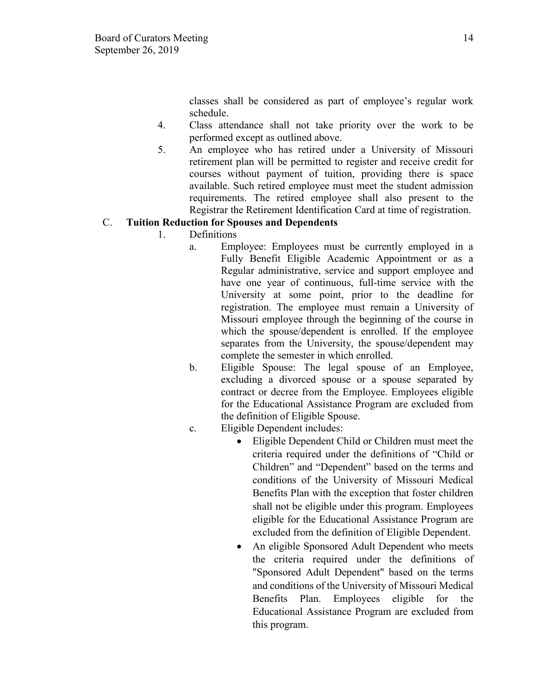classes shall be considered as part of employee's regular work schedule.

- 4. Class attendance shall not take priority over the work to be performed except as outlined above.
- 5. An employee who has retired under a University of Missouri retirement plan will be permitted to register and receive credit for courses without payment of tuition, providing there is space available. Such retired employee must meet the student admission requirements. The retired employee shall also present to the Registrar the Retirement Identification Card at time of registration.

# C. **Tuition Reduction for Spouses and Dependents**

- 1. Definitions
	- a. Employee: Employees must be currently employed in a Fully Benefit Eligible Academic Appointment or as a Regular administrative, service and support employee and have one year of continuous, full-time service with the University at some point, prior to the deadline for registration. The employee must remain a University of Missouri employee through the beginning of the course in which the spouse/dependent is enrolled. If the employee separates from the University, the spouse/dependent may complete the semester in which enrolled.
	- b. Eligible Spouse: The legal spouse of an Employee, excluding a divorced spouse or a spouse separated by contract or decree from the Employee. Employees eligible for the Educational Assistance Program are excluded from the definition of Eligible Spouse.
	- c. Eligible Dependent includes:
		- Eligible Dependent Child or Children must meet the criteria required under the definitions of "Child or Children" and "Dependent" based on the terms and conditions of the University of Missouri Medical Benefits Plan with the exception that foster children shall not be eligible under this program. Employees eligible for the Educational Assistance Program are excluded from the definition of Eligible Dependent.
		- An eligible Sponsored Adult Dependent who meets the criteria required under the definitions of "Sponsored Adult Dependent" based on the terms and conditions of the University of Missouri Medical Benefits Plan. Employees eligible for the Educational Assistance Program are excluded from this program.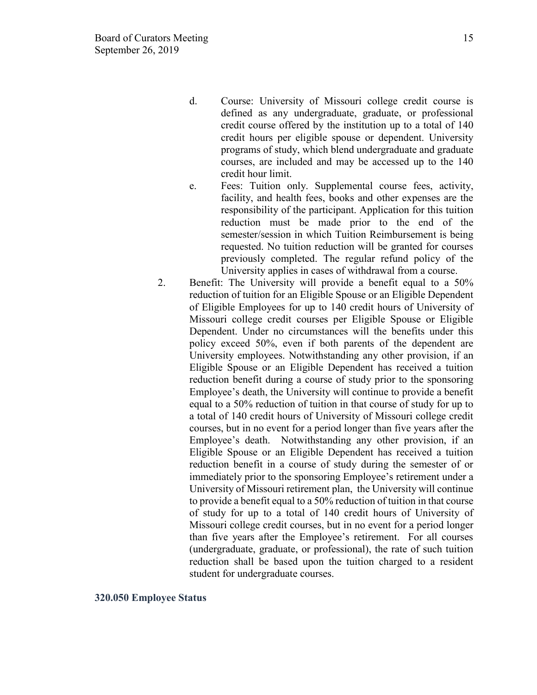- d. Course: University of Missouri college credit course is defined as any undergraduate, graduate, or professional credit course offered by the institution up to a total of 140 credit hours per eligible spouse or dependent. University programs of study, which blend undergraduate and graduate courses, are included and may be accessed up to the 140 credit hour limit.
- e. Fees: Tuition only. Supplemental course fees, activity, facility, and health fees, books and other expenses are the responsibility of the participant. Application for this tuition reduction must be made prior to the end of the semester/session in which Tuition Reimbursement is being requested. No tuition reduction will be granted for courses previously completed. The regular refund policy of the University applies in cases of withdrawal from a course.
- 2. Benefit: The University will provide a benefit equal to a 50% reduction of tuition for an Eligible Spouse or an Eligible Dependent of Eligible Employees for up to 140 credit hours of University of Missouri college credit courses per Eligible Spouse or Eligible Dependent. Under no circumstances will the benefits under this policy exceed 50%, even if both parents of the dependent are University employees. Notwithstanding any other provision, if an Eligible Spouse or an Eligible Dependent has received a tuition reduction benefit during a course of study prior to the sponsoring Employee's death, the University will continue to provide a benefit equal to a 50% reduction of tuition in that course of study for up to a total of 140 credit hours of University of Missouri college credit courses, but in no event for a period longer than five years after the Employee's death. Notwithstanding any other provision, if an Eligible Spouse or an Eligible Dependent has received a tuition reduction benefit in a course of study during the semester of or immediately prior to the sponsoring Employee's retirement under a University of Missouri retirement plan, the University will continue to provide a benefit equal to a 50% reduction of tuition in that course of study for up to a total of 140 credit hours of University of Missouri college credit courses, but in no event for a period longer than five years after the Employee's retirement. For all courses (undergraduate, graduate, or professional), the rate of such tuition reduction shall be based upon the tuition charged to a resident student for undergraduate courses.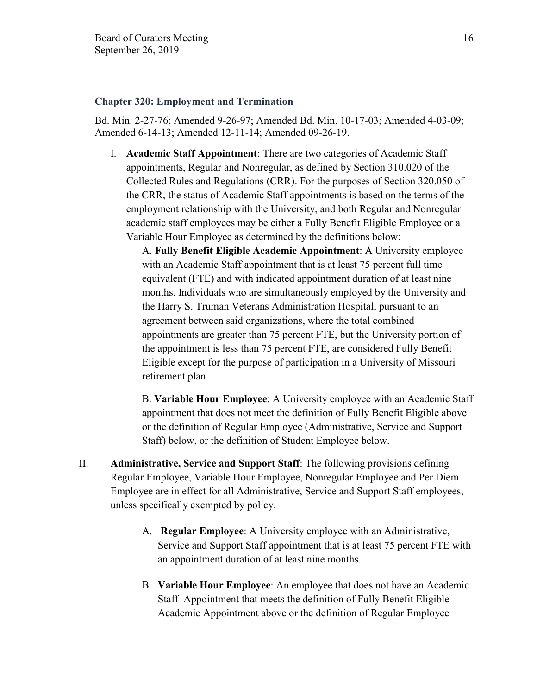#### **Chapter 320: Employment and Termination**

Bd. Min. 2-27-76; Amended 9-26-97; Amended Bd. Min. 10-17-03; Amended 4-03-09; Amended 6-14-13; Amended 12-11-14; Amended 09-26-19.

I. **Academic Staff Appointment**: There are two categories of Academic Staff appointments, Regular and Nonregular, as defined by Section 310.020 of the Collected Rules and Regulations (CRR). For the purposes of Section 320.050 of the CRR, the status of Academic Staff appointments is based on the terms of the employment relationship with the University, and both Regular and Nonregular academic staff employees may be either a Fully Benefit Eligible Employee or a Variable Hour Employee as determined by the definitions below:

A. **Fully Benefit Eligible Academic Appointment**: A University employee with an Academic Staff appointment that is at least 75 percent full time equivalent (FTE) and with indicated appointment duration of at least nine months. Individuals who are simultaneously employed by the University and the Harry S. Truman Veterans Administration Hospital, pursuant to an agreement between said organizations, where the total combined appointments are greater than 75 percent FTE, but the University portion of the appointment is less than 75 percent FTE, are considered Fully Benefit Eligible except for the purpose of participation in a University of Missouri retirement plan.

B. **Variable Hour Employee**: A University employee with an Academic Staff appointment that does not meet the definition of Fully Benefit Eligible above or the definition of Regular Employee (Administrative, Service and Support Staff) below, or the definition of Student Employee below.

- II. **Administrative, Service and Support Staff**: The following provisions defining Regular Employee, Variable Hour Employee, Nonregular Employee and Per Diem Employee are in effect for all Administrative, Service and Support Staff employees, unless specifically exempted by policy.
	- A. **Regular Employee**: A University employee with an Administrative, Service and Support Staff appointment that is at least 75 percent FTE with an appointment duration of at least nine months.
	- B. **Variable Hour Employee**: An employee that does not have an Academic Staff Appointment that meets the definition of Fully Benefit Eligible Academic Appointment above or the definition of Regular Employee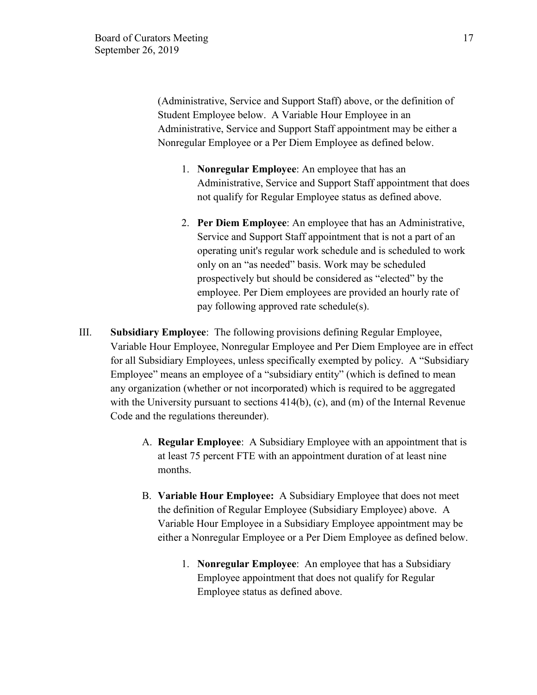(Administrative, Service and Support Staff) above, or the definition of Student Employee below. A Variable Hour Employee in an Administrative, Service and Support Staff appointment may be either a Nonregular Employee or a Per Diem Employee as defined below.

- 1. **Nonregular Employee**: An employee that has an Administrative, Service and Support Staff appointment that does not qualify for Regular Employee status as defined above.
- 2. **Per Diem Employee**: An employee that has an Administrative, Service and Support Staff appointment that is not a part of an operating unit's regular work schedule and is scheduled to work only on an "as needed" basis. Work may be scheduled prospectively but should be considered as "elected" by the employee. Per Diem employees are provided an hourly rate of pay following approved rate schedule(s).
- III. **Subsidiary Employee**: The following provisions defining Regular Employee, Variable Hour Employee, Nonregular Employee and Per Diem Employee are in effect for all Subsidiary Employees, unless specifically exempted by policy. A "Subsidiary Employee" means an employee of a "subsidiary entity" (which is defined to mean any organization (whether or not incorporated) which is required to be aggregated with the University pursuant to sections 414(b), (c), and (m) of the Internal Revenue Code and the regulations thereunder).
	- A. **Regular Employee**: A Subsidiary Employee with an appointment that is at least 75 percent FTE with an appointment duration of at least nine months.
	- B. **Variable Hour Employee:** A Subsidiary Employee that does not meet the definition of Regular Employee (Subsidiary Employee) above. A Variable Hour Employee in a Subsidiary Employee appointment may be either a Nonregular Employee or a Per Diem Employee as defined below.
		- 1. **Nonregular Employee**: An employee that has a Subsidiary Employee appointment that does not qualify for Regular Employee status as defined above.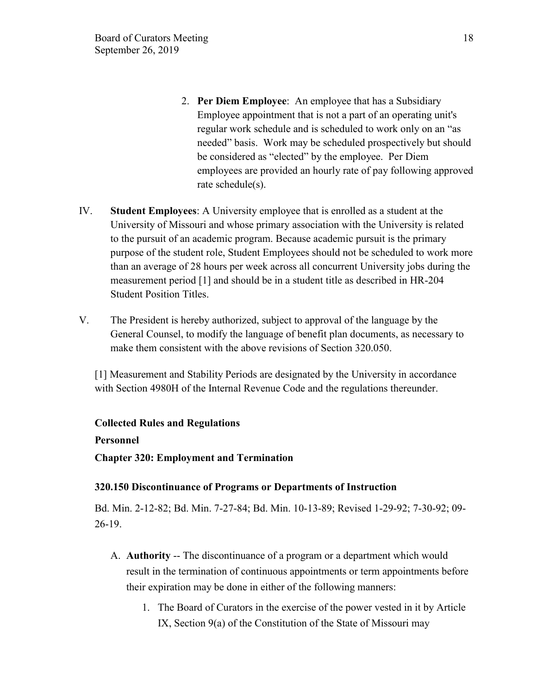- 2. **Per Diem Employee**: An employee that has a Subsidiary Employee appointment that is not a part of an operating unit's regular work schedule and is scheduled to work only on an "as needed" basis. Work may be scheduled prospectively but should be considered as "elected" by the employee. Per Diem employees are provided an hourly rate of pay following approved rate schedule(s).
- IV. **Student Employees**: A University employee that is enrolled as a student at the University of Missouri and whose primary association with the University is related to the pursuit of an academic program. Because academic pursuit is the primary purpose of the student role, Student Employees should not be scheduled to work more than an average of 28 hours per week across all concurrent University jobs during the measurement period [1] and should be in a student title as described in HR-204 Student Position Titles.
- V. The President is hereby authorized, subject to approval of the language by the General Counsel, to modify the language of benefit plan documents, as necessary to make them consistent with the above revisions of Section 320.050.

[1] Measurement and Stability Periods are designated by the University in accordance with Section 4980H of the Internal Revenue Code and the regulations thereunder.

## **Collected Rules and Regulations**

## **Personnel**

**Chapter 320: Employment and Termination**

## **320.150 Discontinuance of Programs or Departments of Instruction**

Bd. Min. 2-12-82; Bd. Min. 7-27-84; Bd. Min. 10-13-89; Revised 1-29-92; 7-30-92; 09- 26-19.

- A. **Authority** -- The discontinuance of a program or a department which would result in the termination of continuous appointments or term appointments before their expiration may be done in either of the following manners:
	- 1. The Board of Curators in the exercise of the power vested in it by Article IX, Section 9(a) of the Constitution of the State of Missouri may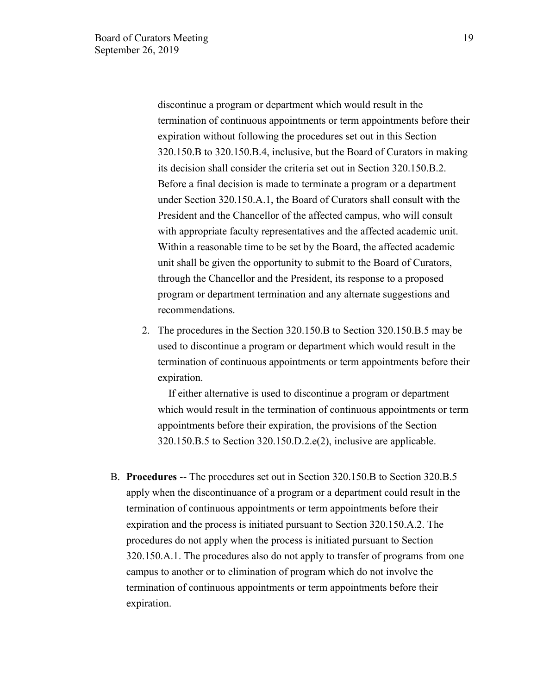discontinue a program or department which would result in the termination of continuous appointments or term appointments before their expiration without following the procedures set out in this Section 320.150.B to 320.150.B.4, inclusive, but the Board of Curators in making its decision shall consider the criteria set out in Section 320.150.B.2. Before a final decision is made to terminate a program or a department under Section 320.150.A.1, the Board of Curators shall consult with the President and the Chancellor of the affected campus, who will consult with appropriate faculty representatives and the affected academic unit. Within a reasonable time to be set by the Board, the affected academic unit shall be given the opportunity to submit to the Board of Curators, through the Chancellor and the President, its response to a proposed program or department termination and any alternate suggestions and recommendations.

2. The procedures in the Section 320.150.B to Section 320.150.B.5 may be used to discontinue a program or department which would result in the termination of continuous appointments or term appointments before their expiration.

 If either alternative is used to discontinue a program or department which would result in the termination of continuous appointments or term appointments before their expiration, the provisions of the Section 320.150.B.5 to Section 320.150.D.2.e(2), inclusive are applicable.

B. **Procedures** -- The procedures set out in Section 320.150.B to Section 320.B.5 apply when the discontinuance of a program or a department could result in the termination of continuous appointments or term appointments before their expiration and the process is initiated pursuant to Section 320.150.A.2. The procedures do not apply when the process is initiated pursuant to Section 320.150.A.1. The procedures also do not apply to transfer of programs from one campus to another or to elimination of program which do not involve the termination of continuous appointments or term appointments before their expiration.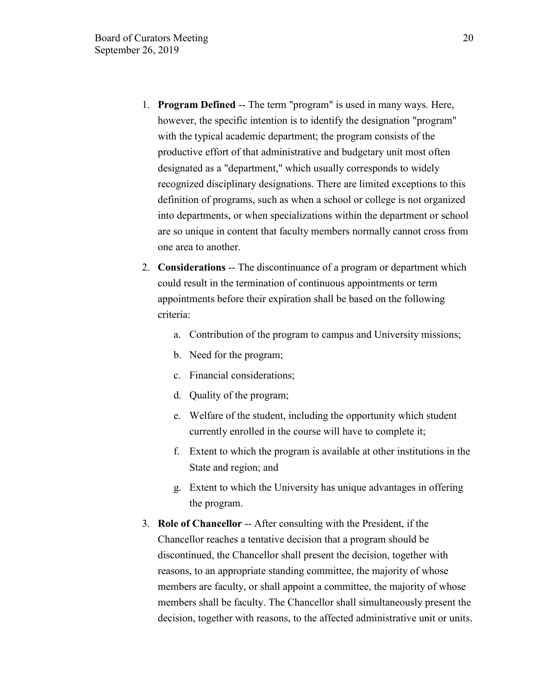- 1. **Program Defined** -- The term "program" is used in many ways. Here, however, the specific intention is to identify the designation "program" with the typical academic department; the program consists of the productive effort of that administrative and budgetary unit most often designated as a "department," which usually corresponds to widely recognized disciplinary designations. There are limited exceptions to this definition of programs, such as when a school or college is not organized into departments, or when specializations within the department or school are so unique in content that faculty members normally cannot cross from one area to another.
- 2. **Considerations** -- The discontinuance of a program or department which could result in the termination of continuous appointments or term appointments before their expiration shall be based on the following criteria:
	- a. Contribution of the program to campus and University missions;
	- b. Need for the program;
	- c. Financial considerations;
	- d. Quality of the program;
	- e. Welfare of the student, including the opportunity which student currently enrolled in the course will have to complete it;
	- f. Extent to which the program is available at other institutions in the State and region; and
	- g. Extent to which the University has unique advantages in offering the program.
- 3. **Role of Chancellor** -- After consulting with the President, if the Chancellor reaches a tentative decision that a program should be discontinued, the Chancellor shall present the decision, together with reasons, to an appropriate standing committee, the majority of whose members are faculty, or shall appoint a committee, the majority of whose members shall be faculty. The Chancellor shall simultaneously present the decision, together with reasons, to the affected administrative unit or units.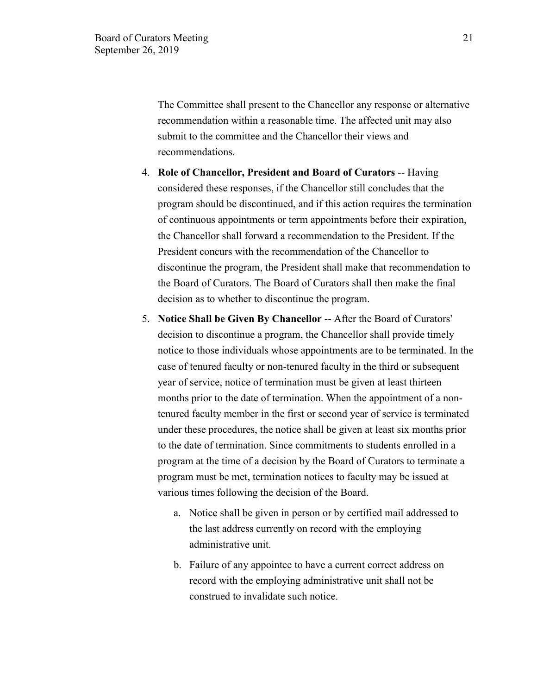The Committee shall present to the Chancellor any response or alternative recommendation within a reasonable time. The affected unit may also submit to the committee and the Chancellor their views and recommendations.

- 4. **Role of Chancellor, President and Board of Curators** -- Having considered these responses, if the Chancellor still concludes that the program should be discontinued, and if this action requires the termination of continuous appointments or term appointments before their expiration, the Chancellor shall forward a recommendation to the President. If the President concurs with the recommendation of the Chancellor to discontinue the program, the President shall make that recommendation to the Board of Curators. The Board of Curators shall then make the final decision as to whether to discontinue the program.
- 5. **Notice Shall be Given By Chancellor** -- After the Board of Curators' decision to discontinue a program, the Chancellor shall provide timely notice to those individuals whose appointments are to be terminated. In the case of tenured faculty or non-tenured faculty in the third or subsequent year of service, notice of termination must be given at least thirteen months prior to the date of termination. When the appointment of a nontenured faculty member in the first or second year of service is terminated under these procedures, the notice shall be given at least six months prior to the date of termination. Since commitments to students enrolled in a program at the time of a decision by the Board of Curators to terminate a program must be met, termination notices to faculty may be issued at various times following the decision of the Board.
	- a. Notice shall be given in person or by certified mail addressed to the last address currently on record with the employing administrative unit.
	- b. Failure of any appointee to have a current correct address on record with the employing administrative unit shall not be construed to invalidate such notice.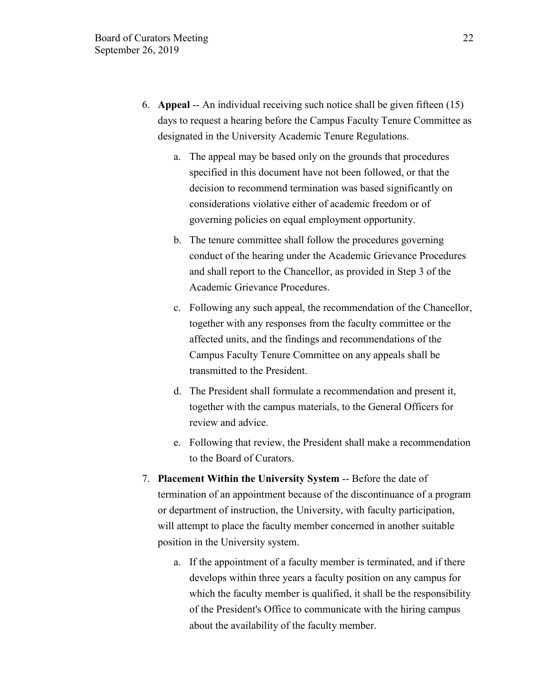- 6. **Appeal** -- An individual receiving such notice shall be given fifteen (15) days to request a hearing before the Campus Faculty Tenure Committee as designated in the University Academic Tenure Regulations.
	- a. The appeal may be based only on the grounds that procedures specified in this document have not been followed, or that the decision to recommend termination was based significantly on considerations violative either of academic freedom or of governing policies on equal employment opportunity.
	- b. The tenure committee shall follow the procedures governing conduct of the hearing under the Academic Grievance Procedures and shall report to the Chancellor, as provided in Step 3 of the Academic Grievance Procedures.
	- c. Following any such appeal, the recommendation of the Chancellor, together with any responses from the faculty committee or the affected units, and the findings and recommendations of the Campus Faculty Tenure Committee on any appeals shall be transmitted to the President.
	- d. The President shall formulate a recommendation and present it, together with the campus materials, to the General Officers for review and advice.
	- e. Following that review, the President shall make a recommendation to the Board of Curators.
- 7. **Placement Within the University System** -- Before the date of termination of an appointment because of the discontinuance of a program or department of instruction, the University, with faculty participation, will attempt to place the faculty member concerned in another suitable position in the University system.
	- a. If the appointment of a faculty member is terminated, and if there develops within three years a faculty position on any campus for which the faculty member is qualified, it shall be the responsibility of the President's Office to communicate with the hiring campus about the availability of the faculty member.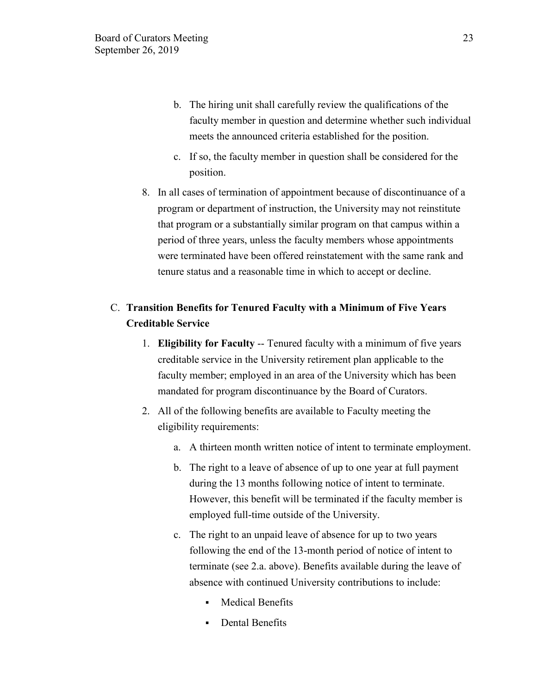- b. The hiring unit shall carefully review the qualifications of the faculty member in question and determine whether such individual meets the announced criteria established for the position.
- c. If so, the faculty member in question shall be considered for the position.
- 8. In all cases of termination of appointment because of discontinuance of a program or department of instruction, the University may not reinstitute that program or a substantially similar program on that campus within a period of three years, unless the faculty members whose appointments were terminated have been offered reinstatement with the same rank and tenure status and a reasonable time in which to accept or decline.

# C. **Transition Benefits for Tenured Faculty with a Minimum of Five Years Creditable Service**

- 1. **Eligibility for Faculty** -- Tenured faculty with a minimum of five years creditable service in the University retirement plan applicable to the faculty member; employed in an area of the University which has been mandated for program discontinuance by the Board of Curators.
- 2. All of the following benefits are available to Faculty meeting the eligibility requirements:
	- a. A thirteen month written notice of intent to terminate employment.
	- b. The right to a leave of absence of up to one year at full payment during the 13 months following notice of intent to terminate. However, this benefit will be terminated if the faculty member is employed full-time outside of the University.
	- c. The right to an unpaid leave of absence for up to two years following the end of the 13-month period of notice of intent to terminate (see 2.a. above). Benefits available during the leave of absence with continued University contributions to include:
		- Medical Benefits
		- **•** Dental Benefits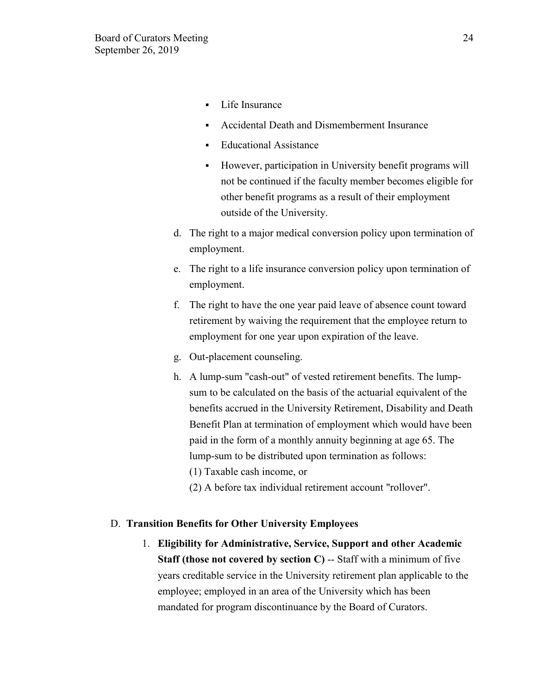- Life Insurance
- Accidental Death and Dismemberment Insurance
- Educational Assistance
- However, participation in University benefit programs will not be continued if the faculty member becomes eligible for other benefit programs as a result of their employment outside of the University.
- d. The right to a major medical conversion policy upon termination of employment.
- e. The right to a life insurance conversion policy upon termination of employment.
- f. The right to have the one year paid leave of absence count toward retirement by waiving the requirement that the employee return to employment for one year upon expiration of the leave.
- g. Out-placement counseling.
- h. A lump-sum "cash-out" of vested retirement benefits. The lumpsum to be calculated on the basis of the actuarial equivalent of the benefits accrued in the University Retirement, Disability and Death Benefit Plan at termination of employment which would have been paid in the form of a monthly annuity beginning at age 65. The lump-sum to be distributed upon termination as follows:
	- (1) Taxable cash income, or
	- (2) A before tax individual retirement account "rollover".

## D. **Transition Benefits for Other University Employees**

1. **Eligibility for Administrative, Service, Support and other Academic Staff (those not covered by section C)** -- Staff with a minimum of five years creditable service in the University retirement plan applicable to the employee; employed in an area of the University which has been mandated for program discontinuance by the Board of Curators.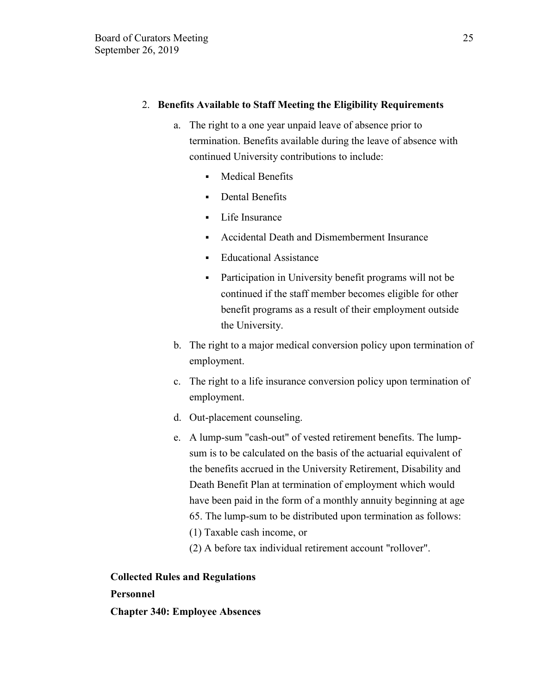# 2. **Benefits Available to Staff Meeting the Eligibility Requirements**

- a. The right to a one year unpaid leave of absence prior to termination. Benefits available during the leave of absence with continued University contributions to include:
	- Medical Benefits
	- Dental Benefits
	- Life Insurance
	- Accidental Death and Dismemberment Insurance
	- Educational Assistance
	- **•** Participation in University benefit programs will not be continued if the staff member becomes eligible for other benefit programs as a result of their employment outside the University.
- b. The right to a major medical conversion policy upon termination of employment.
- c. The right to a life insurance conversion policy upon termination of employment.
- d. Out-placement counseling.
- e. A lump-sum "cash-out" of vested retirement benefits. The lumpsum is to be calculated on the basis of the actuarial equivalent of the benefits accrued in the University Retirement, Disability and Death Benefit Plan at termination of employment which would have been paid in the form of a monthly annuity beginning at age 65. The lump-sum to be distributed upon termination as follows: (1) Taxable cash income, or
	- (2) A before tax individual retirement account "rollover".

# **Collected Rules and Regulations**

# **Personnel**

**Chapter 340: Employee Absences**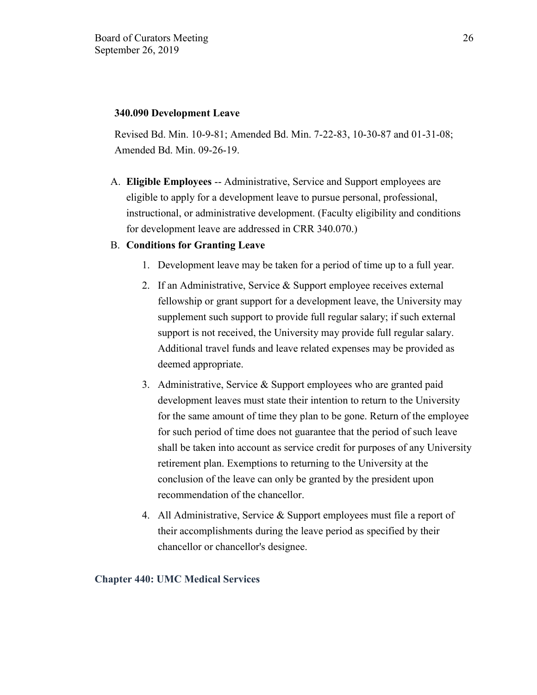## **340.090 Development Leave**

Revised Bd. Min. 10-9-81; Amended Bd. Min. 7-22-83, 10-30-87 and 01-31-08; Amended Bd. Min. 09-26-19.

A. **Eligible Employees** -- Administrative, Service and Support employees are eligible to apply for a development leave to pursue personal, professional, instructional, or administrative development. (Faculty eligibility and conditions for development leave are addressed in CRR 340.070.)

## B. **Conditions for Granting Leave**

- 1. Development leave may be taken for a period of time up to a full year.
- 2. If an Administrative, Service & Support employee receives external fellowship or grant support for a development leave, the University may supplement such support to provide full regular salary; if such external support is not received, the University may provide full regular salary. Additional travel funds and leave related expenses may be provided as deemed appropriate.
- 3. Administrative, Service & Support employees who are granted paid development leaves must state their intention to return to the University for the same amount of time they plan to be gone. Return of the employee for such period of time does not guarantee that the period of such leave shall be taken into account as service credit for purposes of any University retirement plan. Exemptions to returning to the University at the conclusion of the leave can only be granted by the president upon recommendation of the chancellor.
- 4. All Administrative, Service & Support employees must file a report of their accomplishments during the leave period as specified by their chancellor or chancellor's designee.

## **Chapter 440: UMC Medical Services**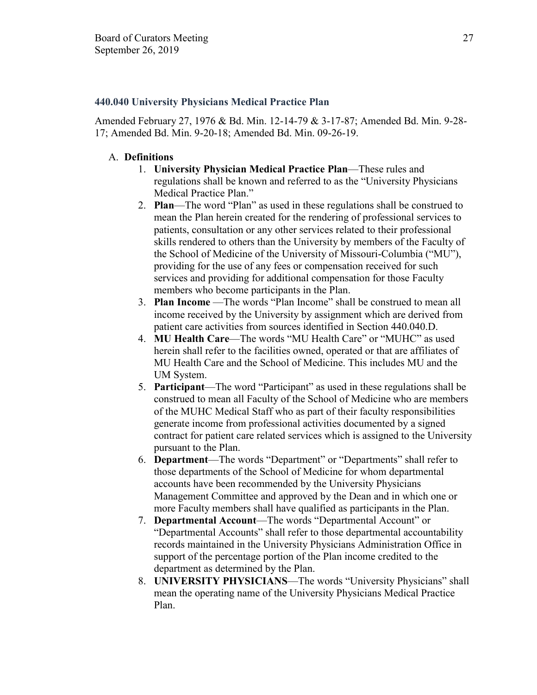## **440.040 University Physicians Medical Practice Plan**

Amended February 27, 1976 & Bd. Min. 12-14-79 & 3-17-87; Amended Bd. Min. 9-28- 17; Amended Bd. Min. 9-20-18; Amended Bd. Min. 09-26-19.

# A. **Definitions**

- 1. **University Physician Medical Practice Plan**—These rules and regulations shall be known and referred to as the "University Physicians Medical Practice Plan."
- 2. **Plan**—The word "Plan" as used in these regulations shall be construed to mean the Plan herein created for the rendering of professional services to patients, consultation or any other services related to their professional skills rendered to others than the University by members of the Faculty of the School of Medicine of the University of Missouri-Columbia ("MU"), providing for the use of any fees or compensation received for such services and providing for additional compensation for those Faculty members who become participants in the Plan.
- 3. **Plan Income** —The words "Plan Income" shall be construed to mean all income received by the University by assignment which are derived from patient care activities from sources identified in Section 440.040.D.
- 4. **MU Health Care**—The words "MU Health Care" or "MUHC" as used herein shall refer to the facilities owned, operated or that are affiliates of MU Health Care and the School of Medicine. This includes MU and the UM System.
- 5. **Participant**—The word "Participant" as used in these regulations shall be construed to mean all Faculty of the School of Medicine who are members of the MUHC Medical Staff who as part of their faculty responsibilities generate income from professional activities documented by a signed contract for patient care related services which is assigned to the University pursuant to the Plan.
- 6. **Department**—The words "Department" or "Departments" shall refer to those departments of the School of Medicine for whom departmental accounts have been recommended by the University Physicians Management Committee and approved by the Dean and in which one or more Faculty members shall have qualified as participants in the Plan.
- 7. **Departmental Account**—The words "Departmental Account" or "Departmental Accounts" shall refer to those departmental accountability records maintained in the University Physicians Administration Office in support of the percentage portion of the Plan income credited to the department as determined by the Plan.
- 8. **UNIVERSITY PHYSICIANS**—The words "University Physicians" shall mean the operating name of the University Physicians Medical Practice Plan.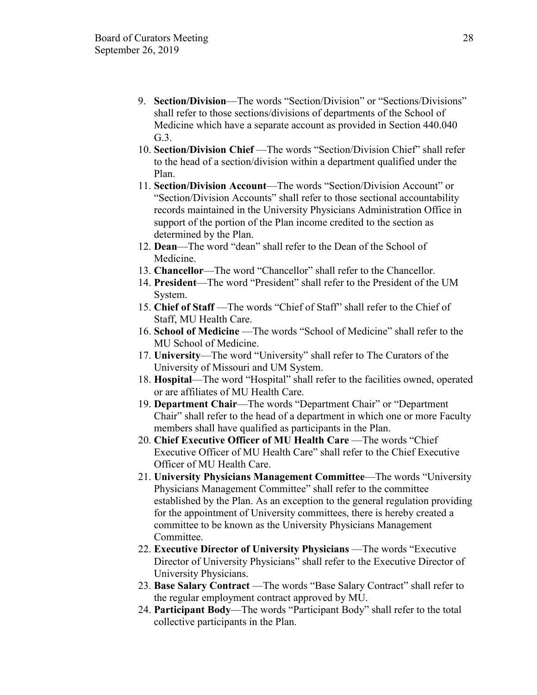- 9. **Section/Division**—The words "Section/Division" or "Sections/Divisions" shall refer to those sections/divisions of departments of the School of Medicine which have a separate account as provided in Section 440.040  $G<sub>3</sub>$
- 10. **Section/Division Chief** —The words "Section/Division Chief" shall refer to the head of a section/division within a department qualified under the Plan.
- 11. **Section/Division Account**—The words "Section/Division Account" or "Section/Division Accounts" shall refer to those sectional accountability records maintained in the University Physicians Administration Office in support of the portion of the Plan income credited to the section as determined by the Plan.
- 12. **Dean**—The word "dean" shall refer to the Dean of the School of Medicine.
- 13. **Chancellor**—The word "Chancellor" shall refer to the Chancellor.
- 14. **President**—The word "President" shall refer to the President of the UM System.
- 15. **Chief of Staff** —The words "Chief of Staff" shall refer to the Chief of Staff, MU Health Care.
- 16. **School of Medicine** —The words "School of Medicine" shall refer to the MU School of Medicine.
- 17. **University**—The word "University" shall refer to The Curators of the University of Missouri and UM System.
- 18. **Hospital**—The word "Hospital" shall refer to the facilities owned, operated or are affiliates of MU Health Care.
- 19. **Department Chair**—The words "Department Chair" or "Department Chair" shall refer to the head of a department in which one or more Faculty members shall have qualified as participants in the Plan.
- 20. **Chief Executive Officer of MU Health Care** —The words "Chief Executive Officer of MU Health Care" shall refer to the Chief Executive Officer of MU Health Care.
- 21. **University Physicians Management Committee**—The words "University Physicians Management Committee" shall refer to the committee established by the Plan. As an exception to the general regulation providing for the appointment of University committees, there is hereby created a committee to be known as the University Physicians Management Committee.
- 22. **Executive Director of University Physicians** —The words "Executive Director of University Physicians" shall refer to the Executive Director of University Physicians.
- 23. **Base Salary Contract** —The words "Base Salary Contract" shall refer to the regular employment contract approved by MU.
- 24. **Participant Body**—The words "Participant Body" shall refer to the total collective participants in the Plan.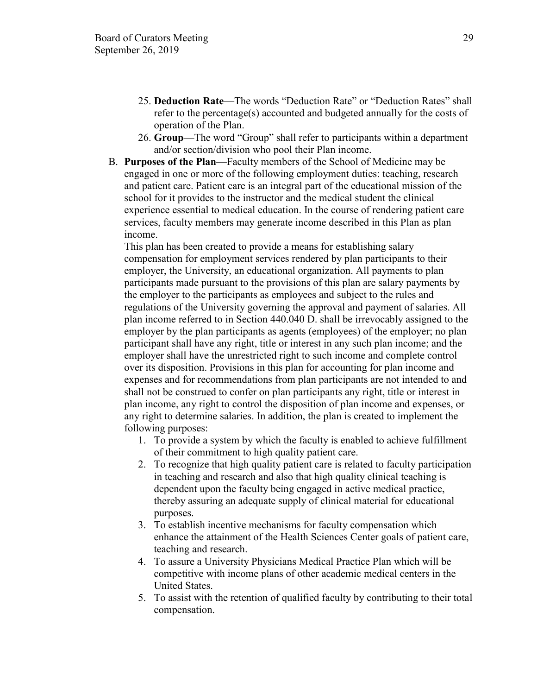- 25. **Deduction Rate**—The words "Deduction Rate" or "Deduction Rates" shall refer to the percentage(s) accounted and budgeted annually for the costs of operation of the Plan.
- 26. **Group**—The word "Group" shall refer to participants within a department and/or section/division who pool their Plan income.
- B. **Purposes of the Plan**—Faculty members of the School of Medicine may be engaged in one or more of the following employment duties: teaching, research and patient care. Patient care is an integral part of the educational mission of the school for it provides to the instructor and the medical student the clinical experience essential to medical education. In the course of rendering patient care services, faculty members may generate income described in this Plan as plan income.

This plan has been created to provide a means for establishing salary compensation for employment services rendered by plan participants to their employer, the University, an educational organization. All payments to plan participants made pursuant to the provisions of this plan are salary payments by the employer to the participants as employees and subject to the rules and regulations of the University governing the approval and payment of salaries. All plan income referred to in Section 440.040 D. shall be irrevocably assigned to the employer by the plan participants as agents (employees) of the employer; no plan participant shall have any right, title or interest in any such plan income; and the employer shall have the unrestricted right to such income and complete control over its disposition. Provisions in this plan for accounting for plan income and expenses and for recommendations from plan participants are not intended to and shall not be construed to confer on plan participants any right, title or interest in plan income, any right to control the disposition of plan income and expenses, or any right to determine salaries. In addition, the plan is created to implement the following purposes:

- 1. To provide a system by which the faculty is enabled to achieve fulfillment of their commitment to high quality patient care.
- 2. To recognize that high quality patient care is related to faculty participation in teaching and research and also that high quality clinical teaching is dependent upon the faculty being engaged in active medical practice, thereby assuring an adequate supply of clinical material for educational purposes.
- 3. To establish incentive mechanisms for faculty compensation which enhance the attainment of the Health Sciences Center goals of patient care, teaching and research.
- 4. To assure a University Physicians Medical Practice Plan which will be competitive with income plans of other academic medical centers in the United States.
- 5. To assist with the retention of qualified faculty by contributing to their total compensation.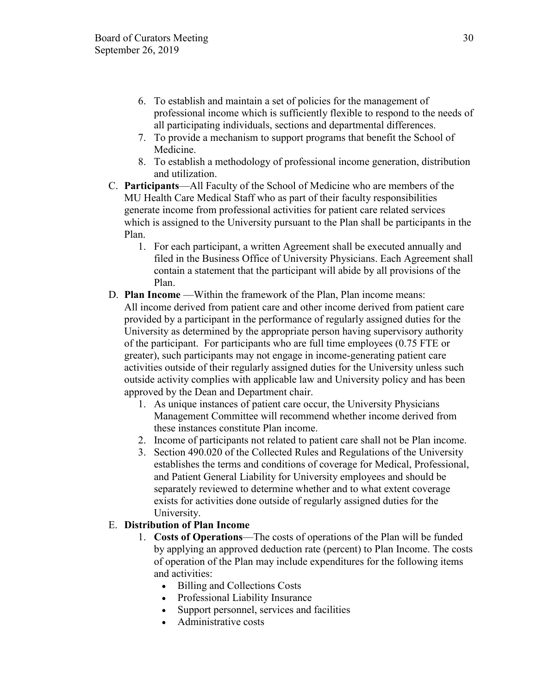- 6. To establish and maintain a set of policies for the management of professional income which is sufficiently flexible to respond to the needs of all participating individuals, sections and departmental differences.
- 7. To provide a mechanism to support programs that benefit the School of Medicine.
- 8. To establish a methodology of professional income generation, distribution and utilization.
- C. **Participants**—All Faculty of the School of Medicine who are members of the MU Health Care Medical Staff who as part of their faculty responsibilities generate income from professional activities for patient care related services which is assigned to the University pursuant to the Plan shall be participants in the Plan.
	- 1. For each participant, a written Agreement shall be executed annually and filed in the Business Office of University Physicians. Each Agreement shall contain a statement that the participant will abide by all provisions of the Plan.
- D. **Plan Income** —Within the framework of the Plan, Plan income means: All income derived from patient care and other income derived from patient care provided by a participant in the performance of regularly assigned duties for the University as determined by the appropriate person having supervisory authority of the participant. For participants who are full time employees (0.75 FTE or greater), such participants may not engage in income-generating patient care activities outside of their regularly assigned duties for the University unless such outside activity complies with applicable law and University policy and has been approved by the Dean and Department chair.
	- 1. As unique instances of patient care occur, the University Physicians Management Committee will recommend whether income derived from these instances constitute Plan income.
	- 2. Income of participants not related to patient care shall not be Plan income.
	- 3. Section 490.020 of the Collected Rules and Regulations of the University establishes the terms and conditions of coverage for Medical, Professional, and Patient General Liability for University employees and should be separately reviewed to determine whether and to what extent coverage exists for activities done outside of regularly assigned duties for the University.

# E. **Distribution of Plan Income**

- 1. **Costs of Operations**—The costs of operations of the Plan will be funded by applying an approved deduction rate (percent) to Plan Income. The costs of operation of the Plan may include expenditures for the following items and activities:
	- Billing and Collections Costs
	- Professional Liability Insurance
	- Support personnel, services and facilities
	- Administrative costs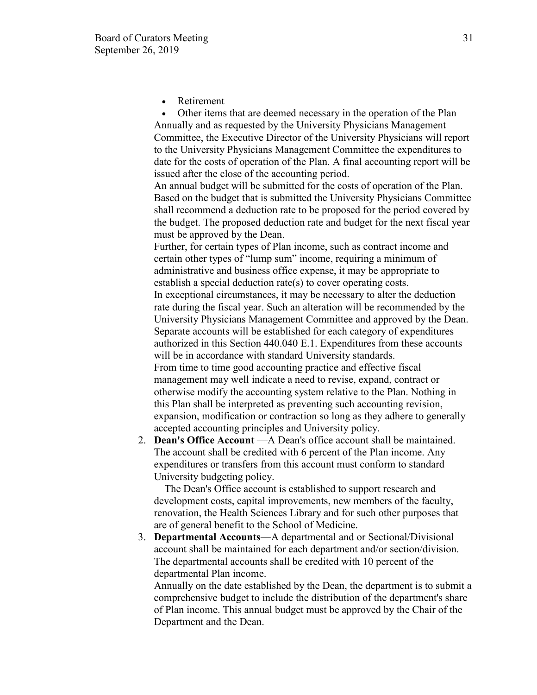**Retirement** 

• Other items that are deemed necessary in the operation of the Plan Annually and as requested by the University Physicians Management Committee, the Executive Director of the University Physicians will report to the University Physicians Management Committee the expenditures to date for the costs of operation of the Plan. A final accounting report will be issued after the close of the accounting period.

An annual budget will be submitted for the costs of operation of the Plan. Based on the budget that is submitted the University Physicians Committee shall recommend a deduction rate to be proposed for the period covered by the budget. The proposed deduction rate and budget for the next fiscal year must be approved by the Dean.

Further, for certain types of Plan income, such as contract income and certain other types of "lump sum" income, requiring a minimum of administrative and business office expense, it may be appropriate to establish a special deduction rate(s) to cover operating costs.

In exceptional circumstances, it may be necessary to alter the deduction rate during the fiscal year. Such an alteration will be recommended by the University Physicians Management Committee and approved by the Dean. Separate accounts will be established for each category of expenditures authorized in this Section 440.040 E.1. Expenditures from these accounts will be in accordance with standard University standards.

From time to time good accounting practice and effective fiscal management may well indicate a need to revise, expand, contract or otherwise modify the accounting system relative to the Plan. Nothing in this Plan shall be interpreted as preventing such accounting revision, expansion, modification or contraction so long as they adhere to generally accepted accounting principles and University policy.

2. **Dean's Office Account** —A Dean's office account shall be maintained. The account shall be credited with 6 percent of the Plan income. Any expenditures or transfers from this account must conform to standard University budgeting policy.

 The Dean's Office account is established to support research and development costs, capital improvements, new members of the faculty, renovation, the Health Sciences Library and for such other purposes that are of general benefit to the School of Medicine.

3. **Departmental Accounts**—A departmental and or Sectional/Divisional account shall be maintained for each department and/or section/division. The departmental accounts shall be credited with 10 percent of the departmental Plan income.

Annually on the date established by the Dean, the department is to submit a comprehensive budget to include the distribution of the department's share of Plan income. This annual budget must be approved by the Chair of the Department and the Dean.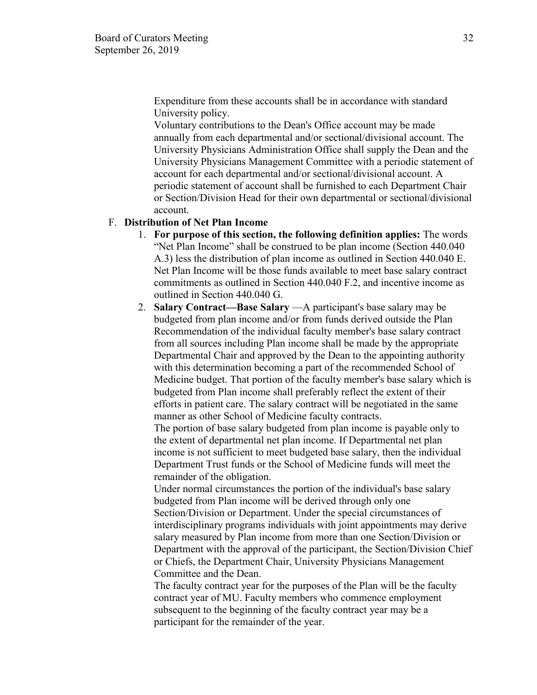Expenditure from these accounts shall be in accordance with standard University policy.

Voluntary contributions to the Dean's Office account may be made annually from each departmental and/or sectional/divisional account. The University Physicians Administration Office shall supply the Dean and the University Physicians Management Committee with a periodic statement of account for each departmental and/or sectional/divisional account. A periodic statement of account shall be furnished to each Department Chair or Section/Division Head for their own departmental or sectional/divisional account.

#### F. **Distribution of Net Plan Income**

- 1. **For purpose of this section, the following definition applies:** The words "Net Plan Income" shall be construed to be plan income (Section 440.040 A.3) less the distribution of plan income as outlined in Section 440.040 E. Net Plan Income will be those funds available to meet base salary contract commitments as outlined in Section 440.040 F.2, and incentive income as outlined in Section 440.040 G.
- 2. **Salary Contract—Base Salary** —A participant's base salary may be budgeted from plan income and/or from funds derived outside the Plan Recommendation of the individual faculty member's base salary contract from all sources including Plan income shall be made by the appropriate Departmental Chair and approved by the Dean to the appointing authority with this determination becoming a part of the recommended School of Medicine budget. That portion of the faculty member's base salary which is budgeted from Plan income shall preferably reflect the extent of their efforts in patient care. The salary contract will be negotiated in the same manner as other School of Medicine faculty contracts.

The portion of base salary budgeted from plan income is payable only to the extent of departmental net plan income. If Departmental net plan income is not sufficient to meet budgeted base salary, then the individual Department Trust funds or the School of Medicine funds will meet the remainder of the obligation.

Under normal circumstances the portion of the individual's base salary budgeted from Plan income will be derived through only one Section/Division or Department. Under the special circumstances of interdisciplinary programs individuals with joint appointments may derive salary measured by Plan income from more than one Section/Division or Department with the approval of the participant, the Section/Division Chief or Chiefs, the Department Chair, University Physicians Management Committee and the Dean.

The faculty contract year for the purposes of the Plan will be the faculty contract year of MU. Faculty members who commence employment subsequent to the beginning of the faculty contract year may be a participant for the remainder of the year.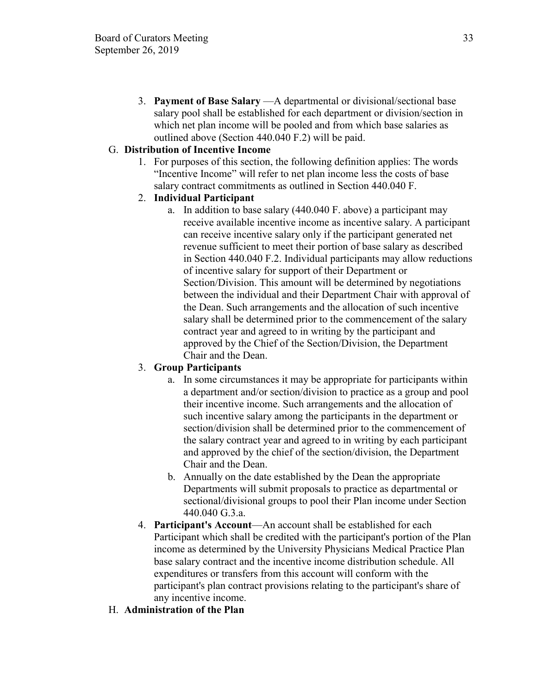3. **Payment of Base Salary** —A departmental or divisional/sectional base salary pool shall be established for each department or division/section in which net plan income will be pooled and from which base salaries as outlined above (Section 440.040 F.2) will be paid.

# G. **Distribution of Incentive Income**

1. For purposes of this section, the following definition applies: The words "Incentive Income" will refer to net plan income less the costs of base salary contract commitments as outlined in Section 440.040 F.

# 2. **Individual Participant**

a. In addition to base salary (440.040 F. above) a participant may receive available incentive income as incentive salary. A participant can receive incentive salary only if the participant generated net revenue sufficient to meet their portion of base salary as described in Section 440.040 F.2. Individual participants may allow reductions of incentive salary for support of their Department or Section/Division. This amount will be determined by negotiations between the individual and their Department Chair with approval of the Dean. Such arrangements and the allocation of such incentive salary shall be determined prior to the commencement of the salary contract year and agreed to in writing by the participant and approved by the Chief of the Section/Division, the Department Chair and the Dean.

# 3. **Group Participants**

- a. In some circumstances it may be appropriate for participants within a department and/or section/division to practice as a group and pool their incentive income. Such arrangements and the allocation of such incentive salary among the participants in the department or section/division shall be determined prior to the commencement of the salary contract year and agreed to in writing by each participant and approved by the chief of the section/division, the Department Chair and the Dean.
- b. Annually on the date established by the Dean the appropriate Departments will submit proposals to practice as departmental or sectional/divisional groups to pool their Plan income under Section 440.040 G.3.a.
- 4. **Participant's Account**—An account shall be established for each Participant which shall be credited with the participant's portion of the Plan income as determined by the University Physicians Medical Practice Plan base salary contract and the incentive income distribution schedule. All expenditures or transfers from this account will conform with the participant's plan contract provisions relating to the participant's share of any incentive income.
- H. **Administration of the Plan**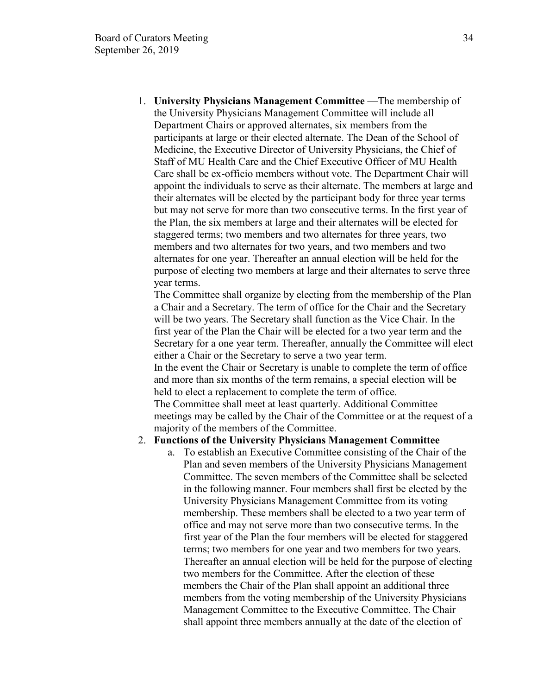1. **University Physicians Management Committee** —The membership of the University Physicians Management Committee will include all Department Chairs or approved alternates, six members from the participants at large or their elected alternate. The Dean of the School of Medicine, the Executive Director of University Physicians, the Chief of Staff of MU Health Care and the Chief Executive Officer of MU Health Care shall be ex-officio members without vote. The Department Chair will appoint the individuals to serve as their alternate. The members at large and their alternates will be elected by the participant body for three year terms but may not serve for more than two consecutive terms. In the first year of the Plan, the six members at large and their alternates will be elected for staggered terms; two members and two alternates for three years, two members and two alternates for two years, and two members and two alternates for one year. Thereafter an annual election will be held for the purpose of electing two members at large and their alternates to serve three year terms.

The Committee shall organize by electing from the membership of the Plan a Chair and a Secretary. The term of office for the Chair and the Secretary will be two years. The Secretary shall function as the Vice Chair. In the first year of the Plan the Chair will be elected for a two year term and the Secretary for a one year term. Thereafter, annually the Committee will elect either a Chair or the Secretary to serve a two year term.

In the event the Chair or Secretary is unable to complete the term of office and more than six months of the term remains, a special election will be held to elect a replacement to complete the term of office.

The Committee shall meet at least quarterly. Additional Committee meetings may be called by the Chair of the Committee or at the request of a majority of the members of the Committee.

#### 2. **Functions of the University Physicians Management Committee**

a. To establish an Executive Committee consisting of the Chair of the Plan and seven members of the University Physicians Management Committee. The seven members of the Committee shall be selected in the following manner. Four members shall first be elected by the University Physicians Management Committee from its voting membership. These members shall be elected to a two year term of office and may not serve more than two consecutive terms. In the first year of the Plan the four members will be elected for staggered terms; two members for one year and two members for two years. Thereafter an annual election will be held for the purpose of electing two members for the Committee. After the election of these members the Chair of the Plan shall appoint an additional three members from the voting membership of the University Physicians Management Committee to the Executive Committee. The Chair shall appoint three members annually at the date of the election of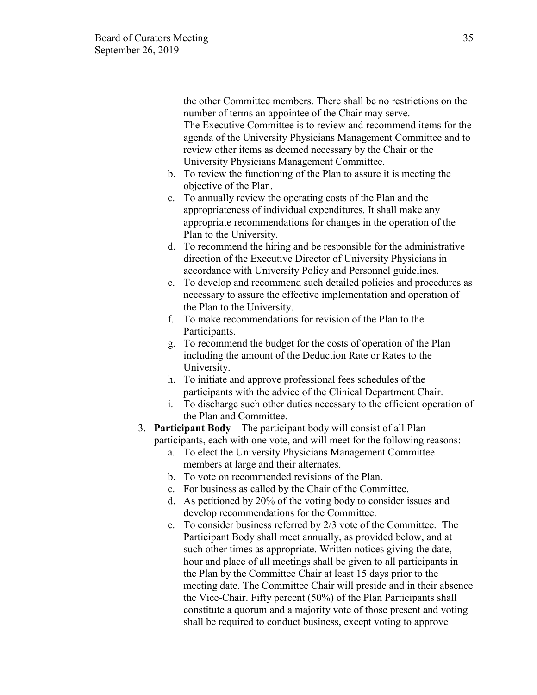the other Committee members. There shall be no restrictions on the number of terms an appointee of the Chair may serve. The Executive Committee is to review and recommend items for the agenda of the University Physicians Management Committee and to review other items as deemed necessary by the Chair or the University Physicians Management Committee.

- b. To review the functioning of the Plan to assure it is meeting the objective of the Plan.
- c. To annually review the operating costs of the Plan and the appropriateness of individual expenditures. It shall make any appropriate recommendations for changes in the operation of the Plan to the University.
- d. To recommend the hiring and be responsible for the administrative direction of the Executive Director of University Physicians in accordance with University Policy and Personnel guidelines.
- e. To develop and recommend such detailed policies and procedures as necessary to assure the effective implementation and operation of the Plan to the University.
- f. To make recommendations for revision of the Plan to the Participants.
- g. To recommend the budget for the costs of operation of the Plan including the amount of the Deduction Rate or Rates to the University.
- h. To initiate and approve professional fees schedules of the participants with the advice of the Clinical Department Chair.
- i. To discharge such other duties necessary to the efficient operation of the Plan and Committee.
- 3. **Participant Body**—The participant body will consist of all Plan participants, each with one vote, and will meet for the following reasons:
	- a. To elect the University Physicians Management Committee members at large and their alternates.
	- b. To vote on recommended revisions of the Plan.
	- c. For business as called by the Chair of the Committee.
	- d. As petitioned by 20% of the voting body to consider issues and develop recommendations for the Committee.
	- e. To consider business referred by 2/3 vote of the Committee. The Participant Body shall meet annually, as provided below, and at such other times as appropriate. Written notices giving the date, hour and place of all meetings shall be given to all participants in the Plan by the Committee Chair at least 15 days prior to the meeting date. The Committee Chair will preside and in their absence the Vice-Chair. Fifty percent (50%) of the Plan Participants shall constitute a quorum and a majority vote of those present and voting shall be required to conduct business, except voting to approve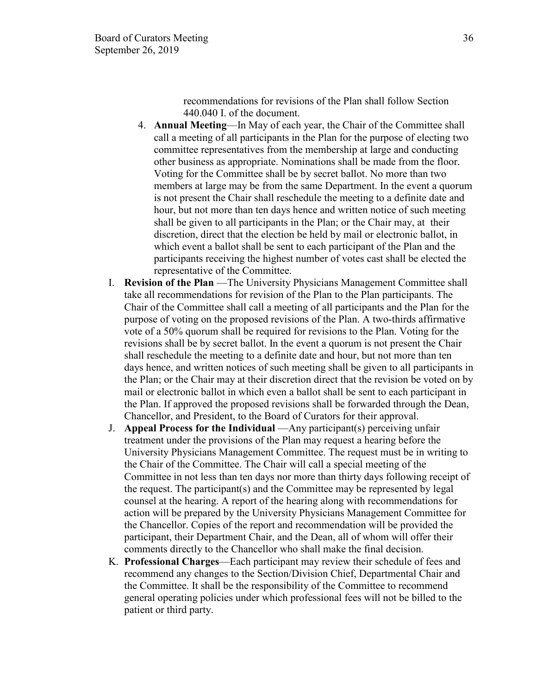recommendations for revisions of the Plan shall follow Section 440.040 I. of the document.

- 4. **Annual Meeting**—In May of each year, the Chair of the Committee shall call a meeting of all participants in the Plan for the purpose of electing two committee representatives from the membership at large and conducting other business as appropriate. Nominations shall be made from the floor. Voting for the Committee shall be by secret ballot. No more than two members at large may be from the same Department. In the event a quorum is not present the Chair shall reschedule the meeting to a definite date and hour, but not more than ten days hence and written notice of such meeting shall be given to all participants in the Plan; or the Chair may, at their discretion, direct that the election be held by mail or electronic ballot, in which event a ballot shall be sent to each participant of the Plan and the participants receiving the highest number of votes cast shall be elected the representative of the Committee.
- I. **Revision of the Plan** —The University Physicians Management Committee shall take all recommendations for revision of the Plan to the Plan participants. The Chair of the Committee shall call a meeting of all participants and the Plan for the purpose of voting on the proposed revisions of the Plan. A two-thirds affirmative vote of a 50% quorum shall be required for revisions to the Plan. Voting for the revisions shall be by secret ballot. In the event a quorum is not present the Chair shall reschedule the meeting to a definite date and hour, but not more than ten days hence, and written notices of such meeting shall be given to all participants in the Plan; or the Chair may at their discretion direct that the revision be voted on by mail or electronic ballot in which even a ballot shall be sent to each participant in the Plan. If approved the proposed revisions shall be forwarded through the Dean, Chancellor, and President, to the Board of Curators for their approval.
- J. **Appeal Process for the Individual** —Any participant(s) perceiving unfair treatment under the provisions of the Plan may request a hearing before the University Physicians Management Committee. The request must be in writing to the Chair of the Committee. The Chair will call a special meeting of the Committee in not less than ten days nor more than thirty days following receipt of the request. The participant(s) and the Committee may be represented by legal counsel at the hearing. A report of the hearing along with recommendations for action will be prepared by the University Physicians Management Committee for the Chancellor. Copies of the report and recommendation will be provided the participant, their Department Chair, and the Dean, all of whom will offer their comments directly to the Chancellor who shall make the final decision.
- K. **Professional Charges**—Each participant may review their schedule of fees and recommend any changes to the Section/Division Chief, Departmental Chair and the Committee. It shall be the responsibility of the Committee to recommend general operating policies under which professional fees will not be billed to the patient or third party.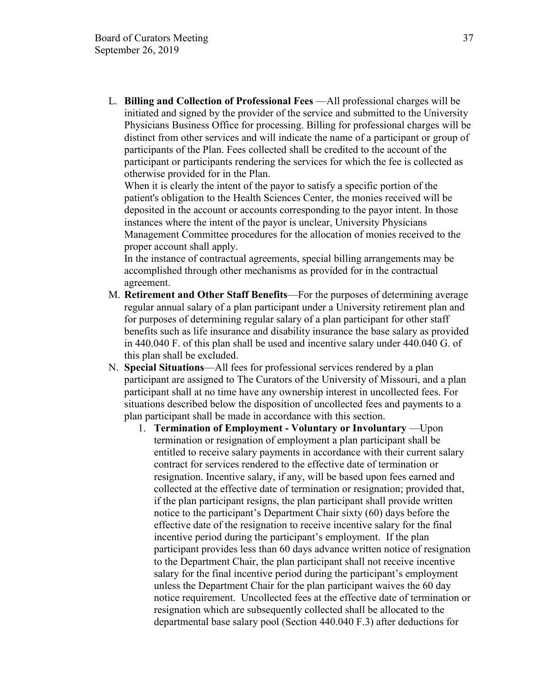L. **Billing and Collection of Professional Fees** —All professional charges will be initiated and signed by the provider of the service and submitted to the University Physicians Business Office for processing. Billing for professional charges will be distinct from other services and will indicate the name of a participant or group of participants of the Plan. Fees collected shall be credited to the account of the participant or participants rendering the services for which the fee is collected as otherwise provided for in the Plan.

When it is clearly the intent of the payor to satisfy a specific portion of the patient's obligation to the Health Sciences Center, the monies received will be deposited in the account or accounts corresponding to the payor intent. In those instances where the intent of the payor is unclear, University Physicians Management Committee procedures for the allocation of monies received to the proper account shall apply.

In the instance of contractual agreements, special billing arrangements may be accomplished through other mechanisms as provided for in the contractual agreement.

- M. **Retirement and Other Staff Benefits**—For the purposes of determining average regular annual salary of a plan participant under a University retirement plan and for purposes of determining regular salary of a plan participant for other staff benefits such as life insurance and disability insurance the base salary as provided in 440.040 F. of this plan shall be used and incentive salary under 440.040 G. of this plan shall be excluded.
- N. **Special Situations**—All fees for professional services rendered by a plan participant are assigned to The Curators of the University of Missouri, and a plan participant shall at no time have any ownership interest in uncollected fees. For situations described below the disposition of uncollected fees and payments to a plan participant shall be made in accordance with this section.
	- 1. **Termination of Employment - Voluntary or Involuntary** —Upon termination or resignation of employment a plan participant shall be entitled to receive salary payments in accordance with their current salary contract for services rendered to the effective date of termination or resignation. Incentive salary, if any, will be based upon fees earned and collected at the effective date of termination or resignation; provided that, if the plan participant resigns, the plan participant shall provide written notice to the participant's Department Chair sixty (60) days before the effective date of the resignation to receive incentive salary for the final incentive period during the participant's employment. If the plan participant provides less than 60 days advance written notice of resignation to the Department Chair, the plan participant shall not receive incentive salary for the final incentive period during the participant's employment unless the Department Chair for the plan participant waives the 60 day notice requirement. Uncollected fees at the effective date of termination or resignation which are subsequently collected shall be allocated to the departmental base salary pool (Section 440.040 F.3) after deductions for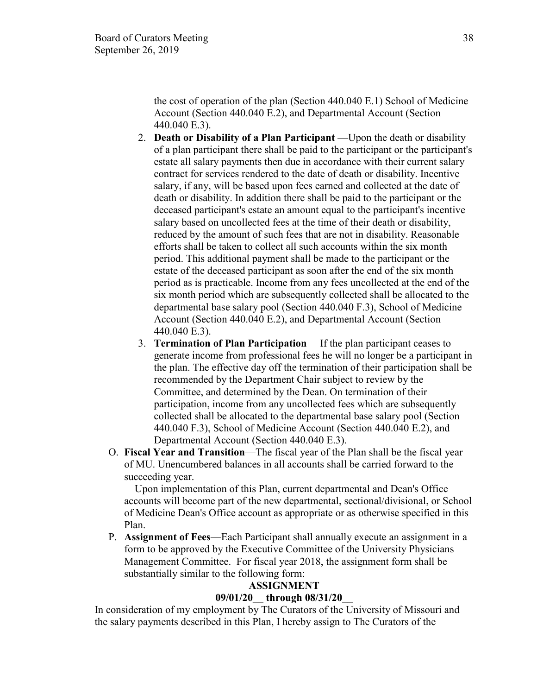the cost of operation of the plan (Section 440.040 E.1) School of Medicine Account (Section 440.040 E.2), and Departmental Account (Section 440.040 E.3).

- 2. **Death or Disability of a Plan Participant** —Upon the death or disability of a plan participant there shall be paid to the participant or the participant's estate all salary payments then due in accordance with their current salary contract for services rendered to the date of death or disability. Incentive salary, if any, will be based upon fees earned and collected at the date of death or disability. In addition there shall be paid to the participant or the deceased participant's estate an amount equal to the participant's incentive salary based on uncollected fees at the time of their death or disability, reduced by the amount of such fees that are not in disability. Reasonable efforts shall be taken to collect all such accounts within the six month period. This additional payment shall be made to the participant or the estate of the deceased participant as soon after the end of the six month period as is practicable. Income from any fees uncollected at the end of the six month period which are subsequently collected shall be allocated to the departmental base salary pool (Section 440.040 F.3), School of Medicine Account (Section 440.040 E.2), and Departmental Account (Section 440.040 E.3).
- 3. **Termination of Plan Participation** —If the plan participant ceases to generate income from professional fees he will no longer be a participant in the plan. The effective day off the termination of their participation shall be recommended by the Department Chair subject to review by the Committee, and determined by the Dean. On termination of their participation, income from any uncollected fees which are subsequently collected shall be allocated to the departmental base salary pool (Section 440.040 F.3), School of Medicine Account (Section 440.040 E.2), and Departmental Account (Section 440.040 E.3).
- O. **Fiscal Year and Transition**—The fiscal year of the Plan shall be the fiscal year of MU. Unencumbered balances in all accounts shall be carried forward to the succeeding year.

 Upon implementation of this Plan, current departmental and Dean's Office accounts will become part of the new departmental, sectional/divisional, or School of Medicine Dean's Office account as appropriate or as otherwise specified in this Plan.

P. **Assignment of Fees**—Each Participant shall annually execute an assignment in a form to be approved by the Executive Committee of the University Physicians Management Committee. For fiscal year 2018, the assignment form shall be substantially similar to the following form:

#### **ASSIGNMENT**

#### **09/01/20\_\_ through 08/31/20\_\_**

In consideration of my employment by The Curators of the University of Missouri and the salary payments described in this Plan, I hereby assign to The Curators of the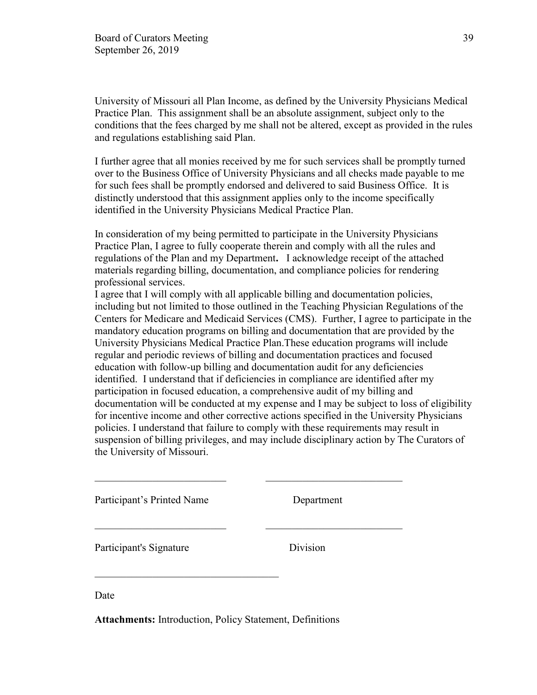University of Missouri all Plan Income, as defined by the University Physicians Medical Practice Plan. This assignment shall be an absolute assignment, subject only to the conditions that the fees charged by me shall not be altered, except as provided in the rules and regulations establishing said Plan.

I further agree that all monies received by me for such services shall be promptly turned over to the Business Office of University Physicians and all checks made payable to me for such fees shall be promptly endorsed and delivered to said Business Office. It is distinctly understood that this assignment applies only to the income specifically identified in the University Physicians Medical Practice Plan.

In consideration of my being permitted to participate in the University Physicians Practice Plan, I agree to fully cooperate therein and comply with all the rules and regulations of the Plan and my Department**.** I acknowledge receipt of the attached materials regarding billing, documentation, and compliance policies for rendering professional services.

I agree that I will comply with all applicable billing and documentation policies, including but not limited to those outlined in the Teaching Physician Regulations of the Centers for Medicare and Medicaid Services (CMS). Further, I agree to participate in the mandatory education programs on billing and documentation that are provided by the University Physicians Medical Practice Plan.These education programs will include regular and periodic reviews of billing and documentation practices and focused education with follow-up billing and documentation audit for any deficiencies identified. I understand that if deficiencies in compliance are identified after my participation in focused education, a comprehensive audit of my billing and documentation will be conducted at my expense and I may be subject to loss of eligibility for incentive income and other corrective actions specified in the University Physicians policies. I understand that failure to comply with these requirements may result in suspension of billing privileges, and may include disciplinary action by The Curators of the University of Missouri.

\_\_\_\_\_\_\_\_\_\_\_\_\_\_\_\_\_\_\_\_\_\_\_\_\_ \_\_\_\_\_\_\_\_\_\_\_\_\_\_\_\_\_\_\_\_\_\_\_\_\_\_

\_\_\_\_\_\_\_\_\_\_\_\_\_\_\_\_\_\_\_\_\_\_\_\_\_ \_\_\_\_\_\_\_\_\_\_\_\_\_\_\_\_\_\_\_\_\_\_\_\_\_\_

Participant's Printed Name Department

Participant's Signature Division

Date

**Attachments:** Introduction, Policy Statement, Definitions

 $\overline{\phantom{a}}$  ,  $\overline{\phantom{a}}$  ,  $\overline{\phantom{a}}$  ,  $\overline{\phantom{a}}$  ,  $\overline{\phantom{a}}$  ,  $\overline{\phantom{a}}$  ,  $\overline{\phantom{a}}$  ,  $\overline{\phantom{a}}$  ,  $\overline{\phantom{a}}$  ,  $\overline{\phantom{a}}$  ,  $\overline{\phantom{a}}$  ,  $\overline{\phantom{a}}$  ,  $\overline{\phantom{a}}$  ,  $\overline{\phantom{a}}$  ,  $\overline{\phantom{a}}$  ,  $\overline{\phantom{a}}$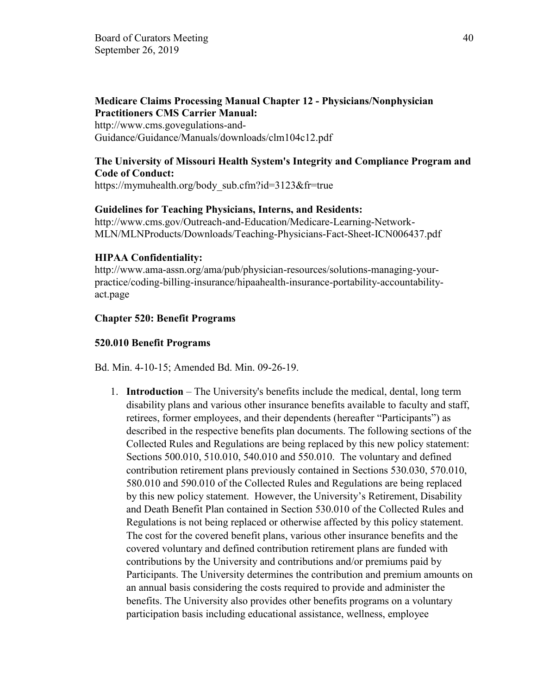# **Medicare Claims Processing Manual Chapter 12 - Physicians/Nonphysician Practitioners CMS Carrier Manual:**

http://www.cms.govegulations-and-Guidance/Guidance/Manuals/downloads/clm104c12.pdf

# **The University of Missouri Health System's Integrity and Compliance Program and Code of Conduct:**

https://mymuhealth.org/body\_sub.cfm?id=3123&fr=true

### **Guidelines for Teaching Physicians, Interns, and Residents:**

http://www.cms.gov/Outreach-and-Education/Medicare-Learning-Network-MLN/MLNProducts/Downloads/Teaching-Physicians-Fact-Sheet-ICN006437.pdf

#### **HIPAA Confidentiality:**

http://www.ama-assn.org/ama/pub/physician-resources/solutions-managing-yourpractice/coding-billing-insurance/hipaahealth-insurance-portability-accountabilityact.page

#### **Chapter 520: Benefit Programs**

#### **520.010 Benefit Programs**

Bd. Min. 4-10-15; Amended Bd. Min. 09-26-19.

1. **Introduction** – The University's benefits include the medical, dental, long term disability plans and various other insurance benefits available to faculty and staff, retirees, former employees, and their dependents (hereafter "Participants") as described in the respective benefits plan documents. The following sections of the Collected Rules and Regulations are being replaced by this new policy statement: Sections 500.010, 510.010, 540.010 and 550.010. The voluntary and defined contribution retirement plans previously contained in Sections 530.030, 570.010, 580.010 and 590.010 of the Collected Rules and Regulations are being replaced by this new policy statement. However, the University's Retirement, Disability and Death Benefit Plan contained in Section 530.010 of the Collected Rules and Regulations is not being replaced or otherwise affected by this policy statement. The cost for the covered benefit plans, various other insurance benefits and the covered voluntary and defined contribution retirement plans are funded with contributions by the University and contributions and/or premiums paid by Participants. The University determines the contribution and premium amounts on an annual basis considering the costs required to provide and administer the benefits. The University also provides other benefits programs on a voluntary participation basis including educational assistance, wellness, employee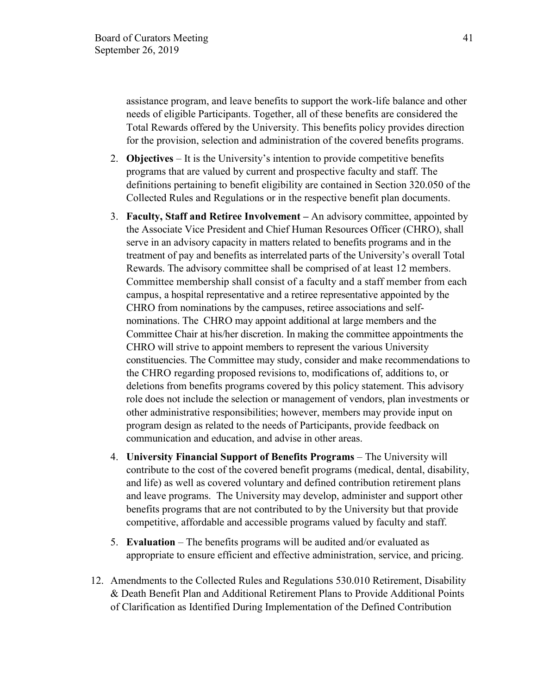assistance program, and leave benefits to support the work-life balance and other needs of eligible Participants. Together, all of these benefits are considered the Total Rewards offered by the University. This benefits policy provides direction for the provision, selection and administration of the covered benefits programs.

- 2. **Objectives** *–* It is the University's intention to provide competitive benefits programs that are valued by current and prospective faculty and staff. The definitions pertaining to benefit eligibility are contained in Section 320.050 of the Collected Rules and Regulations or in the respective benefit plan documents.
- 3. **Faculty, Staff and Retiree Involvement –** An advisory committee, appointed by the Associate Vice President and Chief Human Resources Officer (CHRO), shall serve in an advisory capacity in matters related to benefits programs and in the treatment of pay and benefits as interrelated parts of the University's overall Total Rewards. The advisory committee shall be comprised of at least 12 members. Committee membership shall consist of a faculty and a staff member from each campus, a hospital representative and a retiree representative appointed by the CHRO from nominations by the campuses, retiree associations and selfnominations. The CHRO may appoint additional at large members and the Committee Chair at his/her discretion. In making the committee appointments the CHRO will strive to appoint members to represent the various University constituencies. The Committee may study, consider and make recommendations to the CHRO regarding proposed revisions to, modifications of, additions to, or deletions from benefits programs covered by this policy statement. This advisory role does not include the selection or management of vendors, plan investments or other administrative responsibilities; however, members may provide input on program design as related to the needs of Participants, provide feedback on communication and education, and advise in other areas.
- 4. **University Financial Support of Benefits Programs** The University will contribute to the cost of the covered benefit programs (medical, dental, disability, and life) as well as covered voluntary and defined contribution retirement plans and leave programs. The University may develop, administer and support other benefits programs that are not contributed to by the University but that provide competitive, affordable and accessible programs valued by faculty and staff.
- 5. **Evaluation** The benefits programs will be audited and/or evaluated as appropriate to ensure efficient and effective administration, service, and pricing.
- 12. Amendments to the Collected Rules and Regulations 530.010 Retirement, Disability & Death Benefit Plan and Additional Retirement Plans to Provide Additional Points of Clarification as Identified During Implementation of the Defined Contribution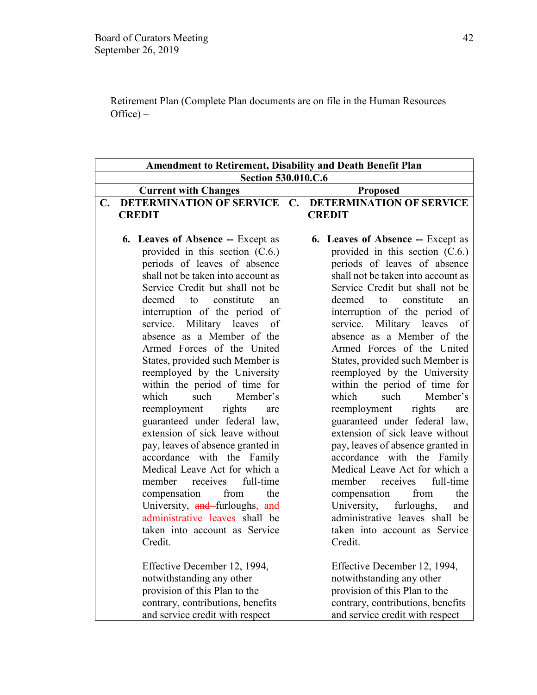Retirement Plan (Complete Plan documents are on file in the Human Resources  $Office) -$ 

|                                                                    | <b>Amendment to Retirement, Disability and Death Benefit Plan</b>  |  |  |
|--------------------------------------------------------------------|--------------------------------------------------------------------|--|--|
| <b>Section 530.010.C.6</b>                                         |                                                                    |  |  |
| <b>Current with Changes</b>                                        | <b>Proposed</b>                                                    |  |  |
| <b>DETERMINATION OF SERVICE</b><br>C.                              | <b>DETERMINATION OF SERVICE</b><br>$\mathbf{C}$ .                  |  |  |
| <b>CREDIT</b>                                                      | <b>CREDIT</b>                                                      |  |  |
|                                                                    |                                                                    |  |  |
| <b>6. Leaves of Absence -- Except as</b>                           | <b>6. Leaves of Absence -- Except as</b>                           |  |  |
| provided in this section $(C.6.)$                                  | provided in this section $(C.6.)$                                  |  |  |
| periods of leaves of absence                                       | periods of leaves of absence                                       |  |  |
| shall not be taken into account as                                 | shall not be taken into account as                                 |  |  |
| Service Credit but shall not be                                    | Service Credit but shall not be                                    |  |  |
| constitute<br>deemed<br>to<br>an                                   | deemed<br>constitute<br>to<br>an                                   |  |  |
| interruption of the period of<br>Military leaves<br>service.<br>οf | interruption of the period of<br>Military leaves<br>service.<br>of |  |  |
| absence as a Member of the                                         | absence as a Member of the                                         |  |  |
| Armed Forces of the United                                         | Armed Forces of the United                                         |  |  |
| States, provided such Member is                                    | States, provided such Member is                                    |  |  |
| reemployed by the University                                       | reemployed by the University                                       |  |  |
| within the period of time for                                      | within the period of time for                                      |  |  |
| which<br>such<br>Member's                                          | which<br>such<br>Member's                                          |  |  |
| reemployment<br>rights<br>are                                      | reemployment<br>rights<br>are                                      |  |  |
| guaranteed under federal law,                                      | guaranteed under federal law,                                      |  |  |
| extension of sick leave without                                    | extension of sick leave without                                    |  |  |
| pay, leaves of absence granted in                                  | pay, leaves of absence granted in                                  |  |  |
| accordance with the Family                                         | accordance with the Family                                         |  |  |
| Medical Leave Act for which a                                      | Medical Leave Act for which a                                      |  |  |
| member receives<br>full-time                                       | receives<br>full-time<br>member                                    |  |  |
| from<br>compensation<br>the                                        | from<br>the<br>compensation                                        |  |  |
| University, and furloughs, and                                     | University,<br>furloughs,<br>and                                   |  |  |
| administrative leaves shall be                                     | administrative leaves shall be                                     |  |  |
| taken into account as Service                                      | taken into account as Service                                      |  |  |
| Credit.                                                            | Credit.                                                            |  |  |
| Effective December 12, 1994,                                       | Effective December 12, 1994,                                       |  |  |
| notwithstanding any other                                          | notwithstanding any other                                          |  |  |
| provision of this Plan to the                                      | provision of this Plan to the                                      |  |  |
| contrary, contributions, benefits                                  | contrary, contributions, benefits                                  |  |  |
| and service credit with respect                                    | and service credit with respect                                    |  |  |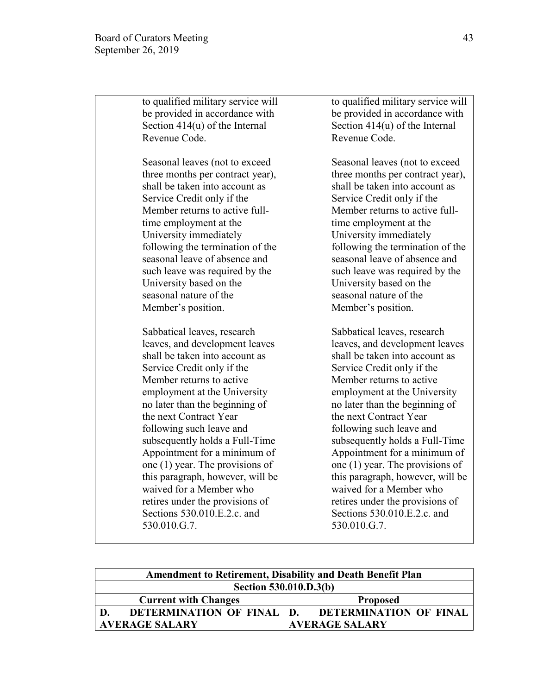| to qualified military service will | to qualified military service will |
|------------------------------------|------------------------------------|
| be provided in accordance with     | be provided in accordance with     |
| Section $414(u)$ of the Internal   | Section $414(u)$ of the Internal   |
| Revenue Code.                      | Revenue Code.                      |
| Seasonal leaves (not to exceed     | Seasonal leaves (not to exceed     |
| three months per contract year),   | three months per contract year),   |
| shall be taken into account as     | shall be taken into account as     |
| Service Credit only if the         | Service Credit only if the         |
| Member returns to active full-     | Member returns to active full-     |
| time employment at the             | time employment at the             |
| University immediately             | University immediately             |
| following the termination of the   | following the termination of the   |
| seasonal leave of absence and      | seasonal leave of absence and      |
| such leave was required by the     | such leave was required by the     |
| University based on the            | University based on the            |
| seasonal nature of the             | seasonal nature of the             |
| Member's position.                 | Member's position.                 |
| Sabbatical leaves, research        | Sabbatical leaves, research        |
| leaves, and development leaves     | leaves, and development leaves     |
| shall be taken into account as     | shall be taken into account as     |
| Service Credit only if the         | Service Credit only if the         |
| Member returns to active           | Member returns to active           |
| employment at the University       | employment at the University       |
| no later than the beginning of     | no later than the beginning of     |
| the next Contract Year             | the next Contract Year             |
| following such leave and           | following such leave and           |
| subsequently holds a Full-Time     | subsequently holds a Full-Time     |
| Appointment for a minimum of       | Appointment for a minimum of       |
| one $(1)$ year. The provisions of  | one $(1)$ year. The provisions of  |
| this paragraph, however, will be   | this paragraph, however, will be   |
| waived for a Member who            | waived for a Member who            |
| retires under the provisions of    | retires under the provisions of    |
| Sections 530.010.E.2.c. and        | Sections 530.010.E.2.c. and        |
| 530.010.G.7.                       | 530.010.G.7.                       |
|                                    |                                    |

| <b>Amendment to Retirement, Disability and Death Benefit Plan</b> |                                                    |  |
|-------------------------------------------------------------------|----------------------------------------------------|--|
| Section 530.010.D.3(b)                                            |                                                    |  |
| <b>Current with Changes</b>                                       | <b>Proposed</b>                                    |  |
|                                                                   | DETERMINATION OF FINAL   D. DETERMINATION OF FINAL |  |
| <b>AVERAGE SALARY</b>                                             | <b>AVERAGE SALARY</b>                              |  |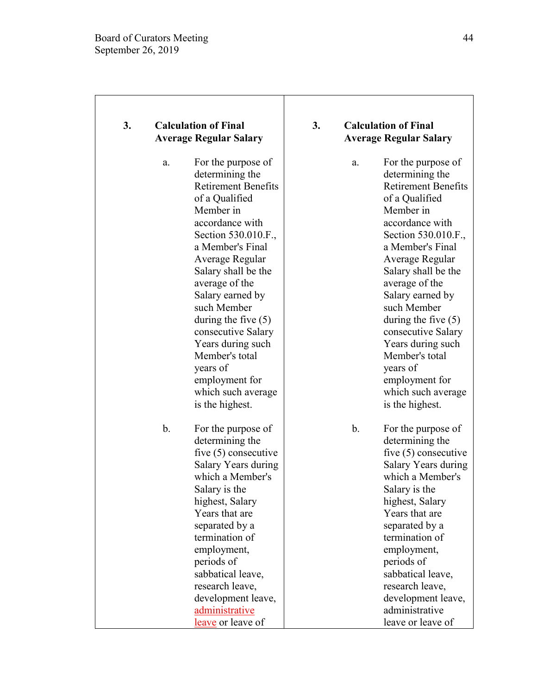| 3. |               | <b>Calculation of Final</b><br><b>Average Regular Salary</b>                                                                                                                                                                                                                                                                                                                                                                 | 3. |               | <b>Calculation of Final</b><br><b>Average Regular Salary</b>                                                                                                                                                                                                                                                                                                                                                                 |
|----|---------------|------------------------------------------------------------------------------------------------------------------------------------------------------------------------------------------------------------------------------------------------------------------------------------------------------------------------------------------------------------------------------------------------------------------------------|----|---------------|------------------------------------------------------------------------------------------------------------------------------------------------------------------------------------------------------------------------------------------------------------------------------------------------------------------------------------------------------------------------------------------------------------------------------|
|    | a.            | For the purpose of<br>determining the<br><b>Retirement Benefits</b><br>of a Qualified<br>Member in<br>accordance with<br>Section 530.010.F.,<br>a Member's Final<br>Average Regular<br>Salary shall be the<br>average of the<br>Salary earned by<br>such Member<br>during the five $(5)$<br>consecutive Salary<br>Years during such<br>Member's total<br>years of<br>employment for<br>which such average<br>is the highest. |    | a.            | For the purpose of<br>determining the<br><b>Retirement Benefits</b><br>of a Qualified<br>Member in<br>accordance with<br>Section 530.010.F.,<br>a Member's Final<br>Average Regular<br>Salary shall be the<br>average of the<br>Salary earned by<br>such Member<br>during the five $(5)$<br>consecutive Salary<br>Years during such<br>Member's total<br>years of<br>employment for<br>which such average<br>is the highest. |
|    | $\mathbf b$ . | For the purpose of<br>determining the<br>five $(5)$ consecutive<br>Salary Years during<br>which a Member's<br>Salary is the<br>highest, Salary<br>Years that are<br>separated by a<br>termination of<br>employment,<br>periods of<br>sabbatical leave,<br>research leave,<br>development leave,<br>administrative<br>leave or leave of                                                                                       |    | $\mathbf b$ . | For the purpose of<br>determining the<br>five $(5)$ consecutive<br>Salary Years during<br>which a Member's<br>Salary is the<br>highest, Salary<br>Years that are<br>separated by a<br>termination of<br>employment,<br>periods of<br>sabbatical leave,<br>research leave,<br>development leave,<br>administrative<br>leave or leave of                                                                                       |

Τ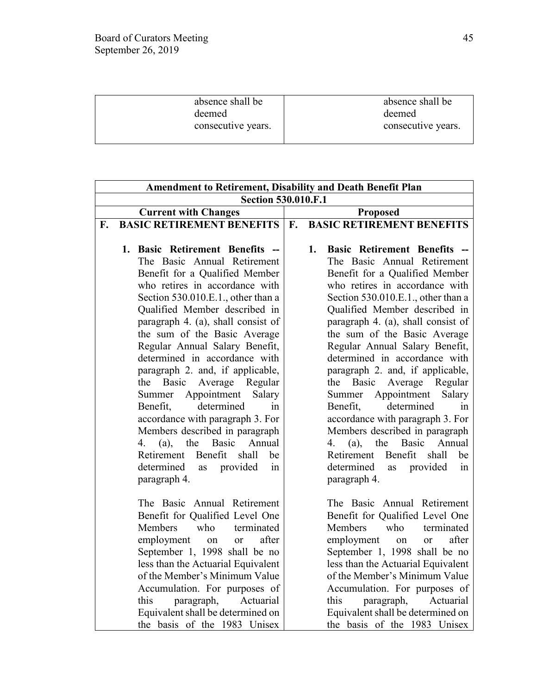| absence shall be   | absence shall be   |
|--------------------|--------------------|
| deemed             | deemed             |
| consecutive years. | consecutive years. |
|                    |                    |

| <b>Amendment to Retirement, Disability and Death Benefit Plan</b> |                                                                     |    |                                                                     |  |
|-------------------------------------------------------------------|---------------------------------------------------------------------|----|---------------------------------------------------------------------|--|
|                                                                   | <b>Section 530.010.F.1</b>                                          |    |                                                                     |  |
|                                                                   | <b>Current with Changes</b>                                         |    | <b>Proposed</b>                                                     |  |
| F.                                                                | <b>BASIC RETIREMENT BENEFITS</b>                                    | F. | <b>BASIC RETIREMENT BENEFITS</b>                                    |  |
|                                                                   |                                                                     |    |                                                                     |  |
|                                                                   | 1. Basic Retirement Benefits --                                     |    | 1.<br><b>Basic Retirement Benefits</b>                              |  |
|                                                                   | The Basic Annual Retirement                                         |    | The Basic Annual Retirement                                         |  |
|                                                                   | Benefit for a Qualified Member                                      |    | Benefit for a Qualified Member                                      |  |
|                                                                   | who retires in accordance with                                      |    | who retires in accordance with                                      |  |
|                                                                   | Section 530.010.E.1., other than a                                  |    | Section 530.010.E.1., other than a                                  |  |
|                                                                   | Qualified Member described in                                       |    | Qualified Member described in                                       |  |
|                                                                   | paragraph 4. (a), shall consist of                                  |    | paragraph 4. (a), shall consist of                                  |  |
|                                                                   | the sum of the Basic Average                                        |    | the sum of the Basic Average                                        |  |
|                                                                   | Regular Annual Salary Benefit,                                      |    | Regular Annual Salary Benefit,                                      |  |
|                                                                   | determined in accordance with                                       |    | determined in accordance with                                       |  |
|                                                                   | paragraph 2. and, if applicable,                                    |    | paragraph 2. and, if applicable,                                    |  |
|                                                                   | the<br>Basic<br>Average Regular                                     |    | Basic<br>Average Regular<br>the                                     |  |
|                                                                   | Appointment<br>Salary<br>Summer                                     |    | Appointment<br>Salary<br>Summer                                     |  |
|                                                                   | determined<br>Benefit,<br>1n                                        |    | determined<br>Benefit,<br>1n                                        |  |
|                                                                   | accordance with paragraph 3. For                                    |    | accordance with paragraph 3. For                                    |  |
|                                                                   | Members described in paragraph                                      |    | Members described in paragraph                                      |  |
|                                                                   | the<br>Basic<br>Annual<br>4.<br>(a),                                |    | 4.<br>the<br>Basic<br>Annual<br>(a),                                |  |
|                                                                   | Benefit<br>shall<br>Retirement<br>be                                |    | Benefit<br>Retirement<br>shall<br>be                                |  |
|                                                                   | determined<br>provided<br>in<br>as                                  |    | determined<br>provided<br>as<br>in                                  |  |
|                                                                   | paragraph 4.                                                        |    | paragraph 4.                                                        |  |
|                                                                   |                                                                     |    |                                                                     |  |
|                                                                   | The Basic Annual Retirement                                         |    | The Basic Annual Retirement                                         |  |
|                                                                   | Benefit for Qualified Level One                                     |    | Benefit for Qualified Level One<br>who                              |  |
|                                                                   | Members<br>who<br>terminated                                        |    | Members<br>terminated                                               |  |
|                                                                   | employment<br>after<br>on<br>or                                     |    | employment<br>after<br>on<br>or                                     |  |
|                                                                   | September 1, 1998 shall be no                                       |    | September 1, 1998 shall be no                                       |  |
|                                                                   | less than the Actuarial Equivalent<br>of the Member's Minimum Value |    | less than the Actuarial Equivalent<br>of the Member's Minimum Value |  |
|                                                                   |                                                                     |    |                                                                     |  |
|                                                                   | Accumulation. For purposes of<br>this<br>Actuarial                  |    | Accumulation. For purposes of<br>this<br>Actuarial                  |  |
|                                                                   | paragraph,                                                          |    | paragraph,                                                          |  |
|                                                                   | Equivalent shall be determined on                                   |    | Equivalent shall be determined on                                   |  |
|                                                                   | the basis of the 1983 Unisex                                        |    | the basis of the 1983 Unisex                                        |  |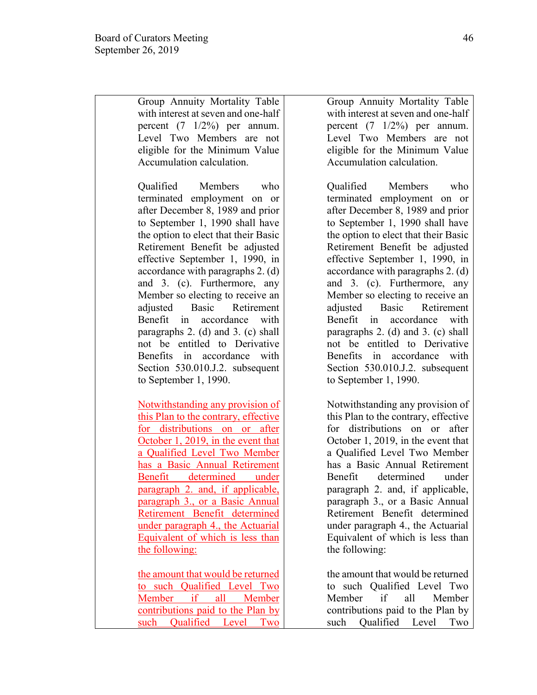Group Annuity Mortality Table with interest at seven and one-half percent (7 1/2%) per annum. Level Two Members are not eligible for the Minimum Value Accumulation calculation.

Qualified Members who terminated employment on or after December 8, 1989 and prior to September 1, 1990 shall have the option to elect that their Basic Retirement Benefit be adjusted effective September 1, 1990, in accordance with paragraphs 2. (d) and 3. (c). Furthermore, any Member so electing to receive an adjusted Basic Retirement Benefit in accordance with paragraphs 2. (d) and 3. (c) shall not be entitled to Derivative Benefits in accordance with Section 530.010.J.2. subsequent to September 1, 1990.

Notwithstanding any provision of this Plan to the contrary, effective for distributions on or after October 1, 2019, in the event that a Qualified Level Two Member has a Basic Annual Retirement Benefit determined under paragraph 2. and, if applicable, paragraph 3., or a Basic Annual Retirement Benefit determined under paragraph 4., the Actuarial Equivalent of which is less than the following:

the amount that would be returned to such Qualified Level Two Member if all Member contributions paid to the Plan by such Qualified Level Two

Group Annuity Mortality Table with interest at seven and one-half percent  $(7 \t1/2\%)$  per annum. Level Two Members are not eligible for the Minimum Value Accumulation calculation.

Qualified Members who terminated employment on or after December 8, 1989 and prior to September 1, 1990 shall have the option to elect that their Basic Retirement Benefit be adjusted effective September 1, 1990, in accordance with paragraphs 2. (d) and 3. (c). Furthermore, any Member so electing to receive an adjusted Basic Retirement Benefit in accordance with paragraphs 2. (d) and 3. (c) shall not be entitled to Derivative Benefits in accordance with Section 530.010.J.2. subsequent to September 1, 1990.

Notwithstanding any provision of this Plan to the contrary, effective for distributions on or after October 1, 2019, in the event that a Qualified Level Two Member has a Basic Annual Retirement Benefit determined under paragraph 2. and, if applicable, paragraph 3., or a Basic Annual Retirement Benefit determined under paragraph 4., the Actuarial Equivalent of which is less than the following:

the amount that would be returned to such Qualified Level Two Member if all Member contributions paid to the Plan by such Qualified Level Two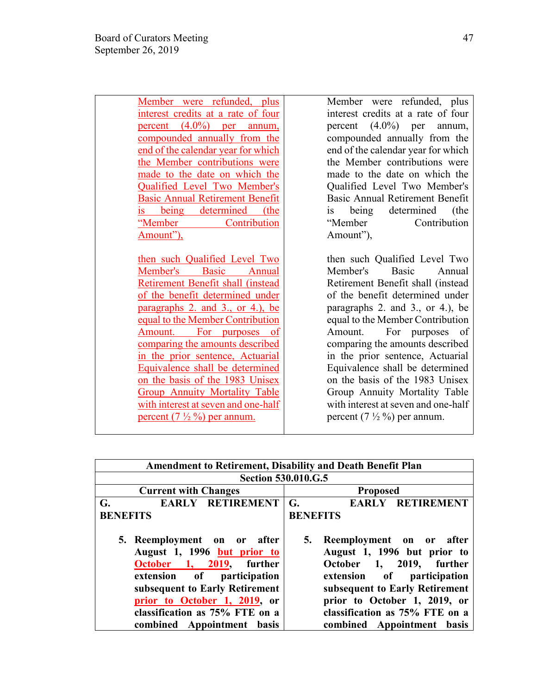Member were refunded, plus interest credits at a rate of four percent (4.0%) per annum, compounded annually from the end of the calendar year for which the Member contributions were made to the date on which the Qualified Level Two Member's Basic Annual Retirement Benefit is being determined (the "Member Contribution Amount"),

then such Qualified Level Two Member's Basic Annual Retirement Benefit shall (instead of the benefit determined under paragraphs 2. and 3., or 4.), be equal to the Member Contribution Amount. For purposes of comparing the amounts described in the prior sentence, Actuarial Equivalence shall be determined on the basis of the 1983 Unisex Group Annuity Mortality Table with interest at seven and one-half percent  $(7\frac{1}{2}\%)$  per annum.

Member were refunded, plus interest credits at a rate of four percent (4.0%) per annum, compounded annually from the end of the calendar year for which the Member contributions were made to the date on which the Qualified Level Two Member's Basic Annual Retirement Benefit is being determined (the "Member Contribution Amount"),

then such Qualified Level Two Member's Basic Annual Retirement Benefit shall (instead of the benefit determined under paragraphs 2. and 3., or 4.), be equal to the Member Contribution Amount. For purposes of comparing the amounts described in the prior sentence, Actuarial Equivalence shall be determined on the basis of the 1983 Unisex Group Annuity Mortality Table with interest at seven and one-half percent  $(7\frac{1}{2}\%)$  per annum.

|                                                                                                                                                                                                                                                        | <b>Amendment to Retirement, Disability and Death Benefit Plan</b>                                                                                                                                                                                               |
|--------------------------------------------------------------------------------------------------------------------------------------------------------------------------------------------------------------------------------------------------------|-----------------------------------------------------------------------------------------------------------------------------------------------------------------------------------------------------------------------------------------------------------------|
| <b>Section 530.010.G.5</b>                                                                                                                                                                                                                             |                                                                                                                                                                                                                                                                 |
| <b>Current with Changes</b>                                                                                                                                                                                                                            | <b>Proposed</b>                                                                                                                                                                                                                                                 |
| EARLY RETIREMENT<br>G.                                                                                                                                                                                                                                 | <b>RETIREMENT</b><br>G.<br><b>EARLY</b>                                                                                                                                                                                                                         |
| <b>BENEFITS</b>                                                                                                                                                                                                                                        | <b>BENEFITS</b>                                                                                                                                                                                                                                                 |
| 5. Reemployment on or after<br>August 1, 1996 but prior to<br>October 1, 2019, further<br>extension of participation<br>subsequent to Early Retirement<br>prior to October 1, 2019, or<br>classification as 75% FTE on a<br>combined Appointment basis | Reemployment on or<br>5.<br>after<br>August 1, 1996 but prior to<br>2019, further<br>October 1,<br>extension of participation<br>subsequent to Early Retirement<br>prior to October 1, 2019, or<br>classification as 75% FTE on a<br>combined Appointment basis |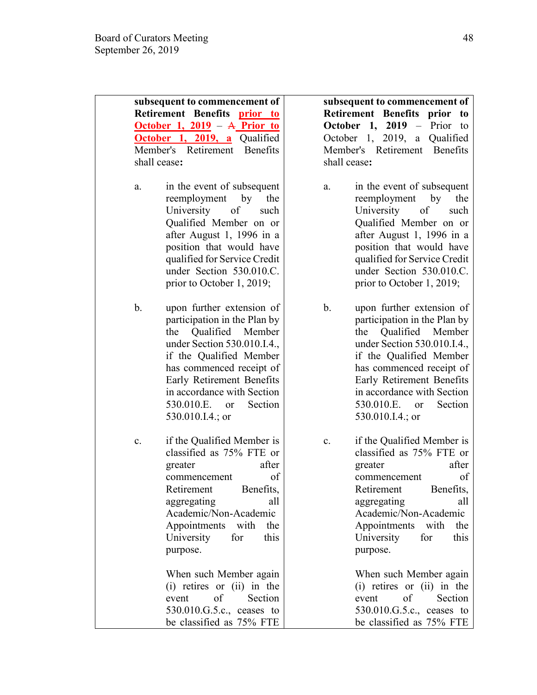| subsequent to commencement of<br>Retirement Benefits prior to<br><u>October 1, 2019</u> – A Prior to<br>October 1, 2019, a<br>Qualified<br>Member's Retirement<br><b>Benefits</b><br>shall cease:                                                                                                         | subsequent to commencement of<br>Retirement Benefits prior<br>to<br>October 1, $2019$ – Prior<br>to<br>October 1, 2019, a Qualified<br>Member's Retirement Benefits<br>shall cease:                                                                                                                                  |
|-----------------------------------------------------------------------------------------------------------------------------------------------------------------------------------------------------------------------------------------------------------------------------------------------------------|----------------------------------------------------------------------------------------------------------------------------------------------------------------------------------------------------------------------------------------------------------------------------------------------------------------------|
| in the event of subsequent<br>a.<br>reemployment<br>by<br>the<br>University<br>of<br>such<br>Qualified Member on or<br>after August 1, 1996 in a<br>position that would have<br>qualified for Service Credit<br>under Section 530.010.C.<br>prior to October 1, 2019;                                     | in the event of subsequent<br>a.<br>reemployment<br>by<br>the<br>University<br>of<br>such<br>Qualified Member on or<br>after August 1, 1996 in a<br>position that would have<br>qualified for Service Credit<br>under Section 530.010.C.<br>prior to October 1, 2019;                                                |
| b.<br>upon further extension of<br>participation in the Plan by<br>Qualified Member<br>the<br>under Section 530.010.I.4.,<br>if the Qualified Member<br>has commenced receipt of<br>Early Retirement Benefits<br>in accordance with Section<br>Section<br>530.010.E.<br><sub>or</sub><br>530.010.I.4.; or | $\mathbf b$ .<br>upon further extension of<br>participation in the Plan by<br>Qualified Member<br>the<br>under Section 530.010.I.4.,<br>if the Qualified Member<br>has commenced receipt of<br>Early Retirement Benefits<br>in accordance with Section<br>Section<br>530.010.E.<br><sub>or</sub><br>530.010.I.4.; or |
| if the Qualified Member is<br>c.<br>classified as 75% FTE or<br>after<br>greater<br>of<br>commencement<br>Retirement<br>Benefits,<br>aggregating<br>all<br>Academic/Non-Academic<br>Appointments<br>with<br>the<br>University<br>for<br>this<br>purpose.<br>When such Member again                        | if the Qualified Member is<br>c.<br>classified as 75% FTE or<br>after<br>greater<br>of<br>commencement<br>Retirement<br>Benefits,<br>aggregating<br>all<br>Academic/Non-Academic<br>Appointments<br>with<br>the<br>University<br>for<br>this<br>purpose.<br>When such Member again                                   |
| $(i)$ retires or $(ii)$ in the<br>of<br>Section<br>event<br>530.010.G.5.c., ceases to<br>be classified as 75% FTE                                                                                                                                                                                         | $(i)$ retires or $(ii)$ in the<br>of<br>Section<br>event<br>530.010.G.5.c., ceases to<br>be classified as 75% FTE                                                                                                                                                                                                    |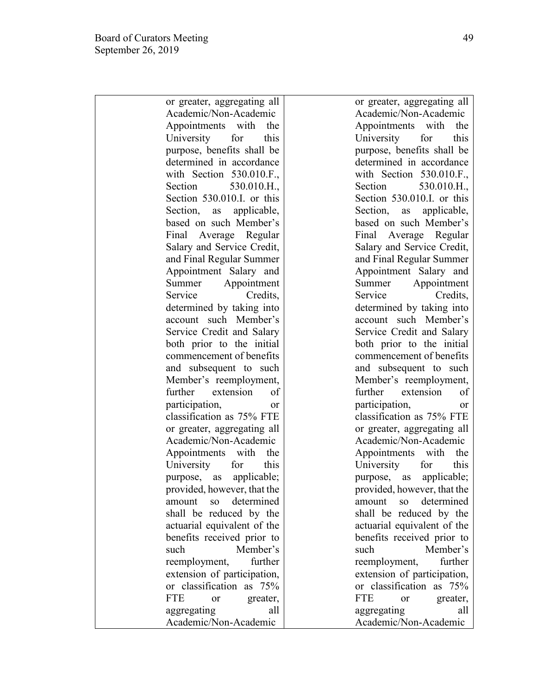or greater, aggregating all Academic/Non-Academic Appointments with the University for this purpose, benefits shall be determined in accordance with Section 530.010.F. Section 530.010.H., Section 530.010.I. or this Section, as applicable, based on such Member's Final Average Regular Salary and Service Credit, and Final Regular Summer Appointment Salary and Summer Appointment Service Credits. determined by taking into account such Member's Service Credit and Salary both prior to the initial commencement of benefits and subsequent to such Member's reemployment, further extension of participation, or classification as 75% FTE or greater, aggregating all Academic/Non-Academic Appointments with the University for this purpose, as applicable; provided, however, that the amount so determined shall be reduced by the actuarial equivalent of the benefits received prior to such Member's reemployment, further extension of participation, or classification as 75% FTE or greater, aggregating all Academic/Non-Academic

or greater, aggregating all Academic/Non-Academic Appointments with the University for this purpose, benefits shall be determined in accordance with Section 530,010.F., Section 530.010.H., Section 530.010.I. or this Section, as applicable, based on such Member's Final Average Regular Salary and Service Credit, and Final Regular Summer Appointment Salary and Summer Appointment Service Credits. determined by taking into account such Member's Service Credit and Salary both prior to the initial commencement of benefits and subsequent to such Member's reemployment, further extension of participation, or classification as 75% FTE or greater, aggregating all Academic/Non-Academic Appointments with the University for this purpose, as applicable; provided, however, that the amount so determined shall be reduced by the actuarial equivalent of the benefits received prior to such Member's reemployment, further extension of participation, or classification as 75% FTE or greater, aggregating all Academic/Non-Academic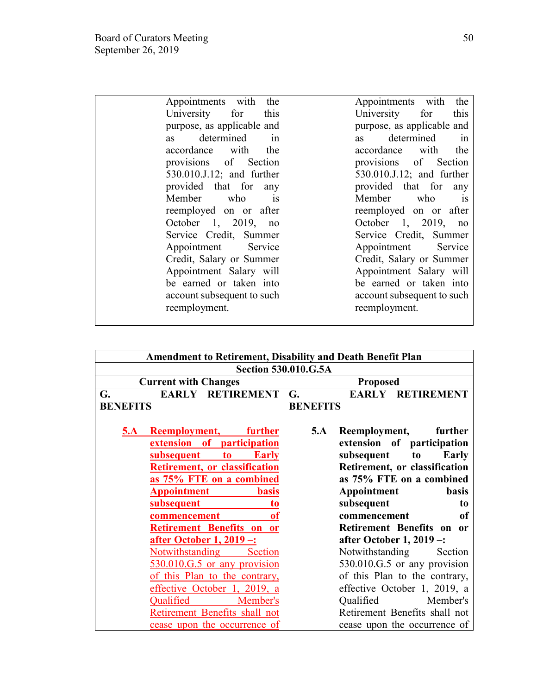| Appointments<br>with<br>the   | the<br>Appointments with      |
|-------------------------------|-------------------------------|
| this<br>University<br>for     | this<br>University<br>for     |
|                               |                               |
| purpose, as applicable and    | purpose, as applicable and    |
| determined<br>1n<br><b>as</b> | determined<br>1n<br><b>as</b> |
| accordance with<br>the        | the<br>accordance<br>with     |
| provisions of Section         | provisions of Section         |
| 530.010.J.12; and further     | 530.010.J.12; and further     |
| provided that for<br>any      | provided that for<br>any      |
| Member who<br><b>1S</b>       | Member who<br><b>1S</b>       |
| reemployed on or after        | reemployed on or after        |
| October 1, 2019,<br>no        | October 1, 2019,<br>no        |
| Service Credit, Summer        | Service Credit, Summer        |
| Appointment<br>Service        | Appointment<br>Service        |
| Credit, Salary or Summer      | Credit, Salary or Summer      |
| Appointment Salary will       | Appointment Salary will       |
| be earned or taken into       | be earned or taken into       |
| account subsequent to such    | account subsequent to such    |
| reemployment.                 | reemployment.                 |
|                               |                               |

|                                              | <b>Amendment to Retirement, Disability and Death Benefit Plan</b> |
|----------------------------------------------|-------------------------------------------------------------------|
|                                              | <b>Section 530.010.G.5A</b>                                       |
| <b>Current with Changes</b>                  | <b>Proposed</b>                                                   |
| EARLY RETIREMENT<br>G.                       | <b>EARLY RETIREMENT</b><br>G.                                     |
| <b>BENEFITS</b>                              | <b>BENEFITS</b>                                                   |
|                                              |                                                                   |
| <b>Reemployment, further</b><br><u>5.A _</u> | 5.A<br>Reemployment,<br>further                                   |
| extension of participation                   | extension of participation                                        |
| <b>Early</b><br><u>subsequent</u><br>to      | subsequent to<br>Early                                            |
| <b>Retirement, or classification</b>         | Retirement, or classification                                     |
| as 75% FTE on a combined                     | as 75% FTE on a combined                                          |
| <b>Appointment</b><br><b>basis</b>           | Appointment<br><b>basis</b>                                       |
| subsequent<br>to                             | subsequent<br>to                                                  |
| commencement<br>of                           | commencement<br>оf                                                |
| Retirement Benefits on or                    | Retirement Benefits on or                                         |
| <u>after October 1, 2019 -:</u>              | after October 1, $2019 -$ :                                       |
| <b>Notwithstanding</b><br>Section            | Notwithstanding<br>Section                                        |
| 530.010.G.5 or any provision                 | 530.010.G.5 or any provision                                      |
| of this Plan to the contrary,                | of this Plan to the contrary,                                     |
| effective October 1, 2019, a                 | effective October 1, 2019, a                                      |
| Qualified<br>Member's                        | Member's<br>Qualified                                             |
| Retirement Benefits shall not                | Retirement Benefits shall not                                     |
| cease upon the occurrence of                 | cease upon the occurrence of                                      |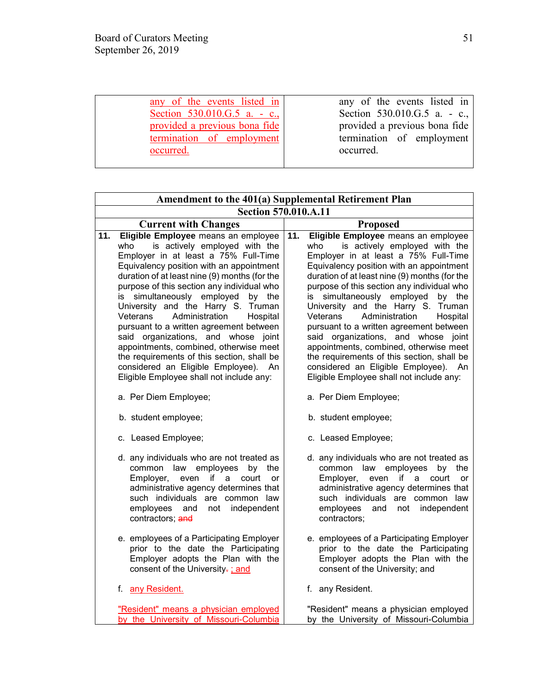| any of the events listed in   | any of the events listed in    |
|-------------------------------|--------------------------------|
| Section 530.010.G.5 a. - c.,  | Section $530.010.G.5$ a. - c., |
| provided a previous bona fide | provided a previous bona fide  |
| termination of employment     | termination of employment      |
| occurred.                     | occurred.                      |
|                               |                                |

|     | Amendment to the 401(a) Supplemental Retirement Plan                                                                                                                                                                                                                                                                                                                                                                                                                                                                                                                                                                                                    |     |                                                                                                                                                                                                                                                                                                                                                                                                                                                                                                                                                                                                                                                         |  |  |
|-----|---------------------------------------------------------------------------------------------------------------------------------------------------------------------------------------------------------------------------------------------------------------------------------------------------------------------------------------------------------------------------------------------------------------------------------------------------------------------------------------------------------------------------------------------------------------------------------------------------------------------------------------------------------|-----|---------------------------------------------------------------------------------------------------------------------------------------------------------------------------------------------------------------------------------------------------------------------------------------------------------------------------------------------------------------------------------------------------------------------------------------------------------------------------------------------------------------------------------------------------------------------------------------------------------------------------------------------------------|--|--|
|     | <b>Section 570.010.A.11</b>                                                                                                                                                                                                                                                                                                                                                                                                                                                                                                                                                                                                                             |     |                                                                                                                                                                                                                                                                                                                                                                                                                                                                                                                                                                                                                                                         |  |  |
|     | <b>Current with Changes</b>                                                                                                                                                                                                                                                                                                                                                                                                                                                                                                                                                                                                                             |     | <b>Proposed</b>                                                                                                                                                                                                                                                                                                                                                                                                                                                                                                                                                                                                                                         |  |  |
| 11. | Eligible Employee means an employee<br>is actively employed with the<br>who<br>Employer in at least a 75% Full-Time<br>Equivalency position with an appointment<br>duration of at least nine (9) months (for the<br>purpose of this section any individual who<br>simultaneously employed<br>by the<br>is<br>University and the Harry S. Truman<br>Administration<br>Veterans<br>Hospital<br>pursuant to a written agreement between<br>said organizations, and whose joint<br>appointments, combined, otherwise meet<br>the requirements of this section, shall be<br>considered an Eligible Employee). An<br>Eligible Employee shall not include any: | 11. | Eligible Employee means an employee<br>is actively employed with the<br>who<br>Employer in at least a 75% Full-Time<br>Equivalency position with an appointment<br>duration of at least nine (9) months (for the<br>purpose of this section any individual who<br>simultaneously employed<br>by the<br>is<br>University and the Harry S. Truman<br>Administration<br>Veterans<br>Hospital<br>pursuant to a written agreement between<br>said organizations, and whose joint<br>appointments, combined, otherwise meet<br>the requirements of this section, shall be<br>considered an Eligible Employee). An<br>Eligible Employee shall not include any: |  |  |
|     | a. Per Diem Employee;                                                                                                                                                                                                                                                                                                                                                                                                                                                                                                                                                                                                                                   |     | a. Per Diem Employee;                                                                                                                                                                                                                                                                                                                                                                                                                                                                                                                                                                                                                                   |  |  |
|     | b. student employee;                                                                                                                                                                                                                                                                                                                                                                                                                                                                                                                                                                                                                                    |     | b. student employee;                                                                                                                                                                                                                                                                                                                                                                                                                                                                                                                                                                                                                                    |  |  |
|     | c. Leased Employee;                                                                                                                                                                                                                                                                                                                                                                                                                                                                                                                                                                                                                                     |     | c. Leased Employee;                                                                                                                                                                                                                                                                                                                                                                                                                                                                                                                                                                                                                                     |  |  |
|     | d. any individuals who are not treated as<br>common law employees<br>by the<br>if a<br>Employer,<br>court<br>even<br><b>or</b><br>administrative agency determines that<br>such individuals are common law<br>not independent<br>employees and<br>contractors; and                                                                                                                                                                                                                                                                                                                                                                                      |     | d. any individuals who are not treated as<br>common law employees<br>by<br>the<br>Employer,<br>if a<br>even<br>court<br><b>or</b><br>administrative agency determines that<br>such individuals are common law<br>employees<br>not independent<br>and<br>contractors:                                                                                                                                                                                                                                                                                                                                                                                    |  |  |
|     | e. employees of a Participating Employer<br>prior to the date the Participating<br>Employer adopts the Plan with the<br>consent of the University-; and                                                                                                                                                                                                                                                                                                                                                                                                                                                                                                 |     | e. employees of a Participating Employer<br>prior to the date the Participating<br>Employer adopts the Plan with the<br>consent of the University; and                                                                                                                                                                                                                                                                                                                                                                                                                                                                                                  |  |  |
|     | f. any Resident.                                                                                                                                                                                                                                                                                                                                                                                                                                                                                                                                                                                                                                        |     | f. any Resident.                                                                                                                                                                                                                                                                                                                                                                                                                                                                                                                                                                                                                                        |  |  |
|     | "Resident" means a physician employed<br>by the University of Missouri-Columbia                                                                                                                                                                                                                                                                                                                                                                                                                                                                                                                                                                         |     | "Resident" means a physician employed<br>by the University of Missouri-Columbia                                                                                                                                                                                                                                                                                                                                                                                                                                                                                                                                                                         |  |  |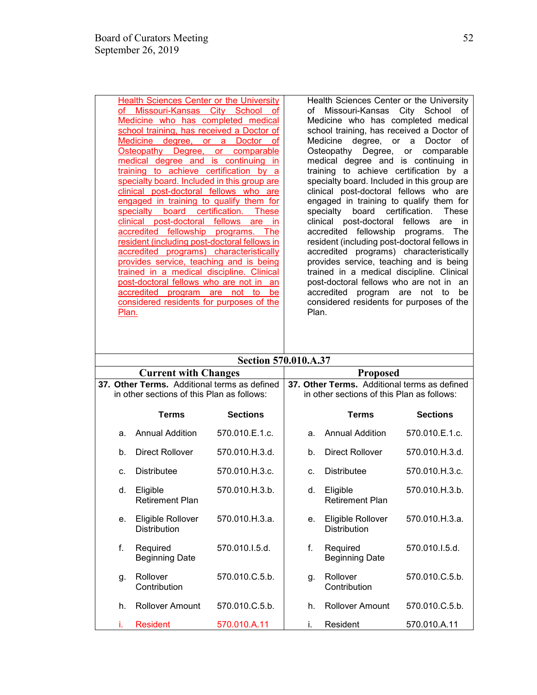| Health Sciences Center or the University                         | Health Sciences Center or the University                  |
|------------------------------------------------------------------|-----------------------------------------------------------|
| Missouri-Kansas City School<br>of<br>0f                          | Missouri-Kansas City School of<br>of                      |
| Medicine who has completed medical                               | Medicine who has completed medical                        |
| school training, has received a Doctor of                        | school training, has received a Doctor of                 |
| Medicine<br>degree.<br><b>Doctor</b><br>$\mathsf{or}$<br>a<br>οf | Medicine degree, or a<br>Doctor<br>οf                     |
| <u>Osteopathy Degree, or</u><br>comparable                       | Osteopathy Degree, or comparable                          |
| medical degree and is continuing<br>in                           | medical degree and is continuing in                       |
| training to achieve certification by a                           | training to achieve certification by a                    |
| specialty board. Included in this group are                      | specialty board. Included in this group are               |
| clinical post-doctoral fellows who are                           | clinical post-doctoral fellows who are                    |
| engaged in training to qualify them for                          | engaged in training to qualify them for                   |
| board certification. These<br>specialty                          | specialty board certification.<br>These                   |
| post-doctoral fellows<br>clinical<br>in<br>are                   | clinical post-doctoral<br>fellows<br>are<br><sub>in</sub> |
| accredited fellowship programs. The                              | accredited fellowship programs. The                       |
| resident (including post-doctoral fellows in                     | resident (including post-doctoral fellows in              |
| accredited programs) characteristically                          | accredited programs) characteristically                   |
| provides service, teaching and is being                          | provides service, teaching and is being                   |
| trained in a medical discipline. Clinical                        | trained in a medical discipline. Clinical                 |
| post-doctoral fellows who are not in<br>an                       | post-doctoral fellows who are not in<br>an                |
| accredited program are<br>be<br>not to                           | accredited<br>program are not to<br>be                    |
| considered residents for purposes of the                         | considered residents for purposes of the                  |
| Plan.                                                            | Plan.                                                     |
|                                                                  |                                                           |
|                                                                  |                                                           |
|                                                                  |                                                           |

|  | <b>Section 570.010.A.37</b> |
|--|-----------------------------|
|--|-----------------------------|

|    | <b>Current with Changes</b>                                                                |                 | <b>Proposed</b> |                                                                                            |                 |  |
|----|--------------------------------------------------------------------------------------------|-----------------|-----------------|--------------------------------------------------------------------------------------------|-----------------|--|
|    | 37. Other Terms. Additional terms as defined<br>in other sections of this Plan as follows: |                 |                 | 37. Other Terms. Additional terms as defined<br>in other sections of this Plan as follows: |                 |  |
|    | <b>Terms</b>                                                                               | <b>Sections</b> |                 | <b>Terms</b>                                                                               | <b>Sections</b> |  |
| a. | <b>Annual Addition</b>                                                                     | 570.010.E.1.c.  | a.              | <b>Annual Addition</b>                                                                     | 570.010.E.1.c.  |  |
| b. | <b>Direct Rollover</b>                                                                     | 570.010.H.3.d.  | b.              | <b>Direct Rollover</b>                                                                     | 570.010.H.3.d.  |  |
| C. | Distributee                                                                                | 570.010.H.3.c.  | $C_{-}$         | <b>Distributee</b>                                                                         | 570.010.H.3.c.  |  |
| d. | Eligible<br><b>Retirement Plan</b>                                                         | 570.010.H.3.b.  | d.              | Eligible<br><b>Retirement Plan</b>                                                         | 570.010.H.3.b.  |  |
| е. | Eligible Rollover<br><b>Distribution</b>                                                   | 570.010.H.3.a.  | e.              | Eligible Rollover<br>Distribution                                                          | 570.010.H.3.a.  |  |
| f. | Required<br><b>Beginning Date</b>                                                          | 570.010.I.5.d.  | f.              | Required<br><b>Beginning Date</b>                                                          | 570.010.I.5.d.  |  |
| q. | Rollover<br>Contribution                                                                   | 570.010.C.5.b.  | g.              | Rollover<br>Contribution                                                                   | 570.010.C.5.b.  |  |
| h. | <b>Rollover Amount</b>                                                                     | 570.010.C.5.b.  | h.              | <b>Rollover Amount</b>                                                                     | 570.010.C.5.b.  |  |
|    | <b>Resident</b>                                                                            | 570.010.A.11    | i.              | Resident                                                                                   | 570.010.A.11    |  |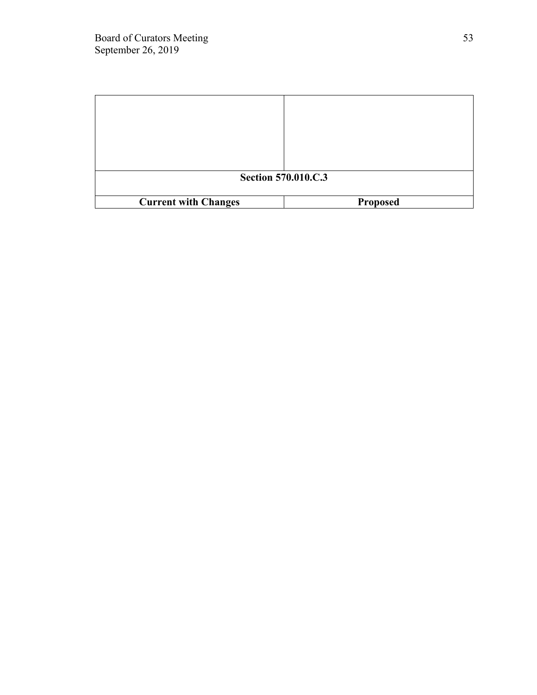|                             | <b>Section 570.010.C.3</b> |
|-----------------------------|----------------------------|
| <b>Current with Changes</b> | <b>Proposed</b>            |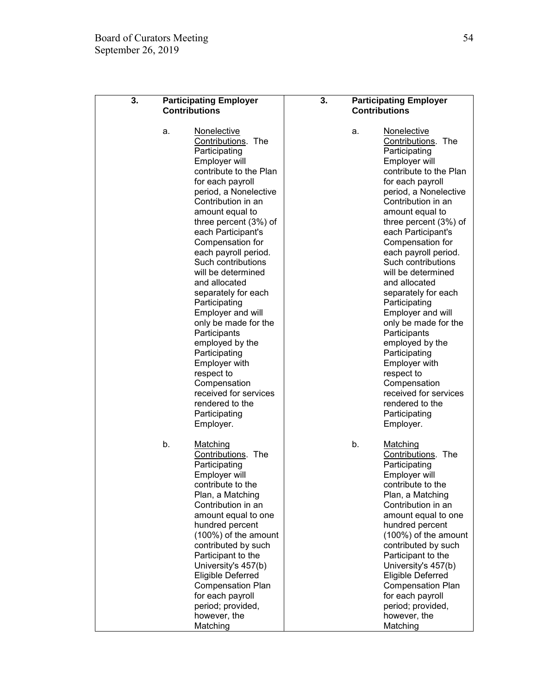| 3. | <b>Participating Employer</b><br><b>Contributions</b> |                                                                                                                                                                                                                                                                                                                                                                                                                                                                                                                                                                                                                      | 3.<br><b>Participating Employer</b><br><b>Contributions</b> |    |                                                                                                                                                                                                                                                                                                                                                                                                                                                                                                                                                                                                                      |
|----|-------------------------------------------------------|----------------------------------------------------------------------------------------------------------------------------------------------------------------------------------------------------------------------------------------------------------------------------------------------------------------------------------------------------------------------------------------------------------------------------------------------------------------------------------------------------------------------------------------------------------------------------------------------------------------------|-------------------------------------------------------------|----|----------------------------------------------------------------------------------------------------------------------------------------------------------------------------------------------------------------------------------------------------------------------------------------------------------------------------------------------------------------------------------------------------------------------------------------------------------------------------------------------------------------------------------------------------------------------------------------------------------------------|
|    | a.                                                    | <b>Nonelective</b><br>Contributions. The<br>Participating<br>Employer will<br>contribute to the Plan<br>for each payroll<br>period, a Nonelective<br>Contribution in an<br>amount equal to<br>three percent (3%) of<br>each Participant's<br>Compensation for<br>each payroll period.<br>Such contributions<br>will be determined<br>and allocated<br>separately for each<br>Participating<br>Employer and will<br>only be made for the<br>Participants<br>employed by the<br>Participating<br>Employer with<br>respect to<br>Compensation<br>received for services<br>rendered to the<br>Participating<br>Employer. |                                                             | a. | <b>Nonelective</b><br>Contributions. The<br>Participating<br>Employer will<br>contribute to the Plan<br>for each payroll<br>period, a Nonelective<br>Contribution in an<br>amount equal to<br>three percent (3%) of<br>each Participant's<br>Compensation for<br>each payroll period.<br>Such contributions<br>will be determined<br>and allocated<br>separately for each<br>Participating<br>Employer and will<br>only be made for the<br>Participants<br>employed by the<br>Participating<br>Employer with<br>respect to<br>Compensation<br>received for services<br>rendered to the<br>Participating<br>Employer. |
|    | b.                                                    | Matching<br>Contributions. The<br>Participating<br>Employer will<br>contribute to the<br>Plan, a Matching<br>Contribution in an<br>amount equal to one<br>hundred percent<br>(100%) of the amount<br>contributed by such<br>Participant to the<br>University's 457(b)<br><b>Eligible Deferred</b><br><b>Compensation Plan</b><br>for each payroll<br>period; provided,<br>however, the<br>Matching                                                                                                                                                                                                                   |                                                             | b. | Matching<br>Contributions. The<br>Participating<br>Employer will<br>contribute to the<br>Plan, a Matching<br>Contribution in an<br>amount equal to one<br>hundred percent<br>(100%) of the amount<br>contributed by such<br>Participant to the<br>University's 457(b)<br><b>Eligible Deferred</b><br><b>Compensation Plan</b><br>for each payroll<br>period; provided,<br>however, the<br>Matching                                                                                                                                                                                                                   |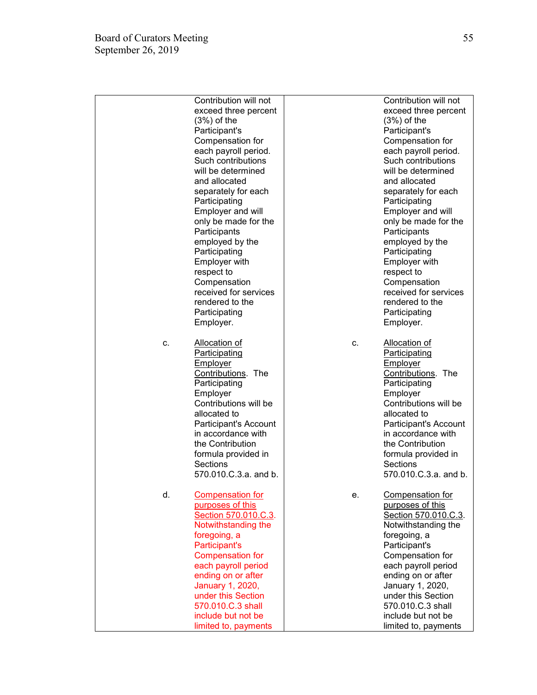|    | Contribution will not   |    | Contribution will not |
|----|-------------------------|----|-----------------------|
|    | exceed three percent    |    | exceed three percent  |
|    | $(3%)$ of the           |    | $(3%)$ of the         |
|    | Participant's           |    | Participant's         |
|    | Compensation for        |    | Compensation for      |
|    | each payroll period.    |    | each payroll period.  |
|    | Such contributions      |    | Such contributions    |
|    | will be determined      |    | will be determined    |
|    | and allocated           |    | and allocated         |
|    | separately for each     |    | separately for each   |
|    |                         |    |                       |
|    | Participating           |    | Participating         |
|    | Employer and will       |    | Employer and will     |
|    | only be made for the    |    | only be made for the  |
|    | Participants            |    | Participants          |
|    | employed by the         |    | employed by the       |
|    | Participating           |    | Participating         |
|    | Employer with           |    | Employer with         |
|    | respect to              |    | respect to            |
|    | Compensation            |    | Compensation          |
|    | received for services   |    | received for services |
|    | rendered to the         |    | rendered to the       |
|    | Participating           |    | Participating         |
|    | Employer.               |    | Employer.             |
|    |                         |    |                       |
| c. | <b>Allocation of</b>    | c. | <b>Allocation of</b>  |
|    | <b>Participating</b>    |    | Participating         |
|    |                         |    |                       |
|    | <b>Employer</b>         |    | <b>Employer</b>       |
|    | Contributions. The      |    | Contributions. The    |
|    | Participating           |    | Participating         |
|    | Employer                |    | Employer              |
|    | Contributions will be   |    | Contributions will be |
|    | allocated to            |    | allocated to          |
|    | Participant's Account   |    | Participant's Account |
|    | in accordance with      |    | in accordance with    |
|    | the Contribution        |    | the Contribution      |
|    | formula provided in     |    | formula provided in   |
|    | Sections                |    | Sections              |
|    | 570.010.C.3.a. and b.   |    | 570.010.C.3.a. and b. |
|    |                         |    |                       |
| d. | <b>Compensation for</b> | е. | Compensation for      |
|    | purposes of this        |    | purposes of this      |
|    | Section 570.010.C.3.    |    | Section 570.010.C.3.  |
|    | Notwithstanding the     |    | Notwithstanding the   |
|    | foregoing, a            |    | foregoing, a          |
|    | Participant's           |    | Participant's         |
|    |                         |    |                       |
|    | <b>Compensation for</b> |    | Compensation for      |
|    | each payroll period     |    | each payroll period   |
|    | ending on or after      |    | ending on or after    |
|    | January 1, 2020,        |    | January 1, 2020,      |
|    | under this Section      |    | under this Section    |
|    | 570.010.C.3 shall       |    | 570.010.C.3 shall     |
|    | include but not be      |    | include but not be    |
|    | limited to, payments    |    | limited to, payments  |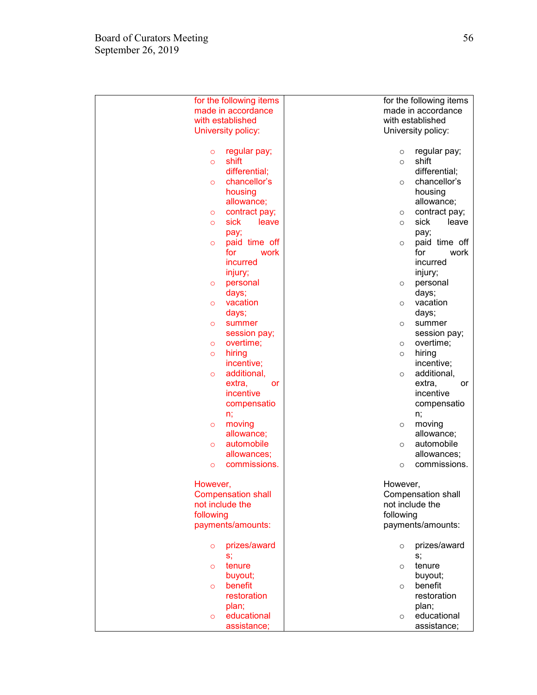| for the following items   | for the following items  |  |  |
|---------------------------|--------------------------|--|--|
| made in accordance        | made in accordance       |  |  |
| with established          | with established         |  |  |
| University policy:        | University policy:       |  |  |
|                           |                          |  |  |
| regular pay;<br>$\circ$   | regular pay;<br>$\circ$  |  |  |
| shift<br>$\circ$          | shift<br>$\circ$         |  |  |
| differential;             | differential;            |  |  |
| chancellor's<br>$\circ$   | chancellor's<br>$\circ$  |  |  |
| housing                   | housing                  |  |  |
| allowance;                | allowance;               |  |  |
| contract pay;<br>$\circ$  | contract pay;<br>$\circ$ |  |  |
| sick<br>leave<br>$\circ$  | sick<br>leave<br>$\circ$ |  |  |
| pay;                      | pay;                     |  |  |
| paid time off<br>$\circ$  | paid time off<br>$\circ$ |  |  |
| for<br>work               | for<br>work              |  |  |
| incurred                  | incurred                 |  |  |
| injury;                   | injury;                  |  |  |
| personal<br>$\circ$       | personal<br>$\circ$      |  |  |
| days;                     | days;                    |  |  |
| vacation<br>$\circ$       | vacation<br>$\circ$      |  |  |
| days;                     | days;                    |  |  |
| summer<br>$\circ$         | summer<br>$\circ$        |  |  |
| session pay;              | session pay;             |  |  |
| overtime;<br>$\circ$      | overtime;<br>$\circ$     |  |  |
| hiring<br>$\circ$         | hiring<br>$\circ$        |  |  |
| incentive;                | incentive;               |  |  |
| additional,<br>$\circ$    | additional,<br>$\circ$   |  |  |
| extra,<br>or              | extra,<br>or             |  |  |
| incentive                 | incentive                |  |  |
| compensatio               | compensatio              |  |  |
| n;                        | n;                       |  |  |
| moving<br>$\circ$         | moving<br>$\circ$        |  |  |
| allowance;                | allowance;               |  |  |
| automobile<br>$\circ$     | automobile<br>$\circ$    |  |  |
| allowances;               | allowances;              |  |  |
| commissions.<br>$\circ$   | commissions.<br>$\circ$  |  |  |
|                           |                          |  |  |
| However,                  | However,                 |  |  |
| <b>Compensation shall</b> | Compensation shall       |  |  |
| not include the           | not include the          |  |  |
| following                 | following                |  |  |
| payments/amounts:         | payments/amounts:        |  |  |
|                           |                          |  |  |
| prizes/award<br>$\circ$   | prizes/award<br>$\circ$  |  |  |
| S,                        | S,                       |  |  |
| tenure<br>$\circ$         | tenure<br>$\circ$        |  |  |
| buyout;                   | buyout;                  |  |  |
| benefit<br>$\circ$        | benefit<br>$\circ$       |  |  |
| restoration               | restoration              |  |  |
| plan;                     | plan;                    |  |  |
| educational<br>$\circ$    | educational<br>$\circ$   |  |  |
| assistance;               | assistance;              |  |  |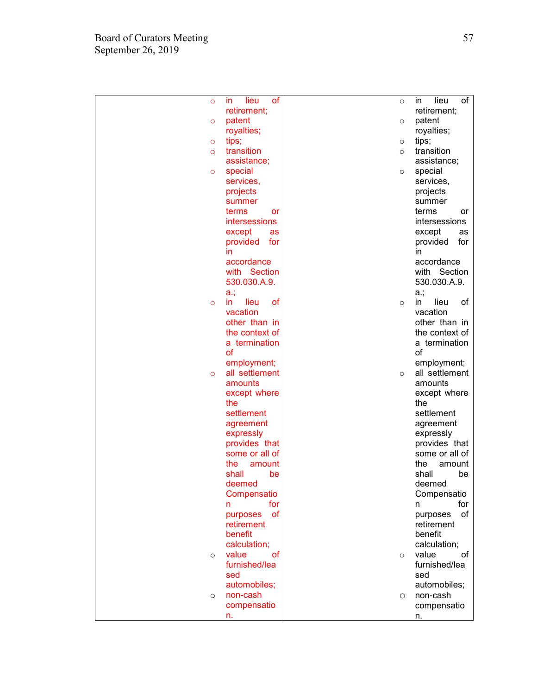| $\circ$ | lieu<br>οf<br><i>in</i>         | $\circ$ | of<br>lieu<br>in.               |
|---------|---------------------------------|---------|---------------------------------|
|         | retirement;                     |         | retirement;                     |
| $\circ$ | patent                          | $\circ$ | patent                          |
|         | royalties;                      |         | royalties;                      |
| $\circ$ | tips;                           | $\circ$ | tips;                           |
| $\circ$ | transition                      | $\circ$ | transition                      |
|         | assistance;                     |         | assistance;                     |
| $\circ$ | special                         | $\circ$ | special                         |
|         | services,                       |         | services,                       |
|         | projects<br>summer              |         | projects<br>summer              |
|         | terms<br>or                     |         | terms<br>or                     |
|         | intersessions                   |         | intersessions                   |
|         | except<br>as                    |         | except<br>as                    |
|         | provided<br>for                 |         | provided<br>for                 |
|         | in                              |         | in.                             |
|         | accordance                      |         | accordance                      |
|         | with Section                    |         | with Section                    |
|         | 530.030.A.9.                    |         | 530.030.A.9.                    |
|         | $a$ .;                          |         | a.,                             |
| $\circ$ | of<br>lieu<br>in                | $\circ$ | lieu<br>οf<br>in.               |
|         | vacation<br>other than in       |         | vacation<br>other than in       |
|         | the context of                  |         | the context of                  |
|         | a termination                   |         | a termination                   |
|         | of                              |         | of                              |
|         | employment;                     |         | employment;                     |
| $\circ$ | all settlement                  | $\circ$ | all settlement                  |
|         | amounts                         |         | amounts                         |
|         | except where                    |         | except where                    |
|         | the                             |         | the                             |
|         | settlement                      |         | settlement                      |
|         | agreement                       |         | agreement                       |
|         | expressly                       |         | expressly                       |
|         | provides that                   |         | provides that                   |
|         | some or all of<br>the<br>amount |         | some or all of<br>the<br>amount |
|         | shall<br>be                     |         | shall<br>be                     |
|         | deemed                          |         | deemed                          |
|         | Compensatio                     |         | Compensatio                     |
|         | for<br>n                        |         | for<br>n                        |
|         | of<br>purposes                  |         | of<br>purposes                  |
|         | retirement                      |         | retirement                      |
|         | benefit                         |         | benefit                         |
|         | calculation;                    |         | calculation;                    |
| $\circ$ | value<br>οf                     | $\circ$ | value<br>οf                     |
|         | furnished/lea                   |         | furnished/lea                   |
|         | sed                             |         | sed                             |
|         | automobiles;                    |         | automobiles;                    |
| $\circ$ | non-cash                        | $\circ$ | non-cash                        |
|         | compensatio                     |         | compensatio                     |
|         | n.                              |         | n.                              |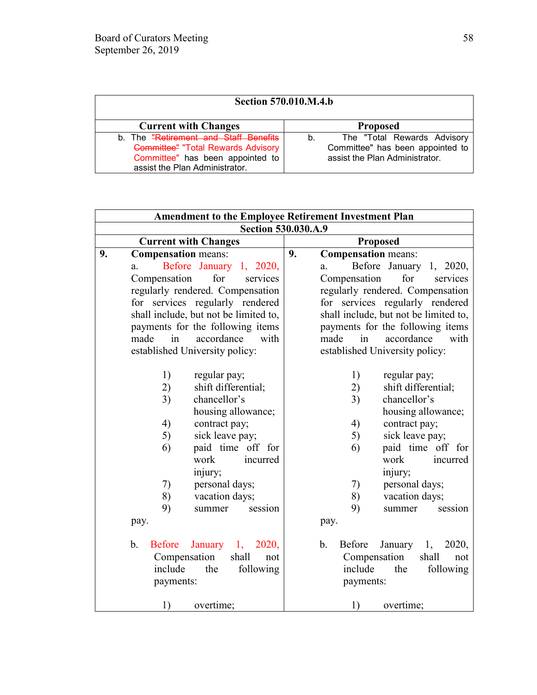| <b>Section 570.010.M.4.b</b>                                                                                                                             |                                                                                                         |  |  |
|----------------------------------------------------------------------------------------------------------------------------------------------------------|---------------------------------------------------------------------------------------------------------|--|--|
| <b>Current with Changes</b>                                                                                                                              | <b>Proposed</b>                                                                                         |  |  |
| b. The "Retirement and Staff Benefits<br><b>Committee" "Total Rewards Advisory</b><br>Committee" has been appointed to<br>assist the Plan Administrator. | The "Total Rewards Advisory<br>b.<br>Committee" has been appointed to<br>assist the Plan Administrator. |  |  |

| <b>Amendment to the Employee Retirement Investment Plan</b>                                                              |                                                                                                                                    |  |  |
|--------------------------------------------------------------------------------------------------------------------------|------------------------------------------------------------------------------------------------------------------------------------|--|--|
| <b>Section 530.030.A.9</b>                                                                                               |                                                                                                                                    |  |  |
| <b>Current with Changes</b>                                                                                              | <b>Proposed</b>                                                                                                                    |  |  |
| <b>Compensation</b> means:<br>9.<br>Before January 1, 2020,<br>a.<br>Compensation<br>for<br>services                     | <b>Compensation</b> means:<br>9.<br>Before<br>January 1, 2020,<br>a.<br>Compensation<br>for<br>services                            |  |  |
| regularly rendered. Compensation                                                                                         | regularly rendered. Compensation                                                                                                   |  |  |
| for services regularly rendered                                                                                          | for services regularly rendered                                                                                                    |  |  |
| shall include, but not be limited to,                                                                                    | shall include, but not be limited to,                                                                                              |  |  |
| payments for the following items                                                                                         | payments for the following items                                                                                                   |  |  |
| accordance                                                                                                               | made                                                                                                                               |  |  |
| made                                                                                                                     | accordance                                                                                                                         |  |  |
| in                                                                                                                       | in                                                                                                                                 |  |  |
| with                                                                                                                     | with                                                                                                                               |  |  |
| established University policy:                                                                                           | established University policy:                                                                                                     |  |  |
| 1)                                                                                                                       | 1)                                                                                                                                 |  |  |
| regular pay;                                                                                                             | regular pay;                                                                                                                       |  |  |
| shift differential;                                                                                                      | 2)                                                                                                                                 |  |  |
| 2)                                                                                                                       | shift differential;                                                                                                                |  |  |
| chancellor's                                                                                                             | chancellor's                                                                                                                       |  |  |
| 3)                                                                                                                       | 3)                                                                                                                                 |  |  |
| housing allowance;                                                                                                       | housing allowance;                                                                                                                 |  |  |
| 4)                                                                                                                       | 4)                                                                                                                                 |  |  |
| contract pay;                                                                                                            | contract pay;                                                                                                                      |  |  |
| sick leave pay;                                                                                                          | sick leave pay;                                                                                                                    |  |  |
| 5)                                                                                                                       | 5)                                                                                                                                 |  |  |
| paid time off for                                                                                                        | paid time off for                                                                                                                  |  |  |
| 6)                                                                                                                       | 6)                                                                                                                                 |  |  |
| work                                                                                                                     | work                                                                                                                               |  |  |
| incurred                                                                                                                 | incurred                                                                                                                           |  |  |
| injury;                                                                                                                  | injury;                                                                                                                            |  |  |
| personal days;                                                                                                           | personal days;                                                                                                                     |  |  |
| 7)                                                                                                                       | 7)                                                                                                                                 |  |  |
| 8)                                                                                                                       | 8)                                                                                                                                 |  |  |
| vacation days;                                                                                                           | vacation days;                                                                                                                     |  |  |
| 9)                                                                                                                       | 9)                                                                                                                                 |  |  |
| summer                                                                                                                   | summer                                                                                                                             |  |  |
| session                                                                                                                  | session                                                                                                                            |  |  |
| pay.                                                                                                                     | pay.                                                                                                                               |  |  |
| b.<br><b>Before</b><br>January $1,$<br>2020,<br>Compensation<br>shall<br>not<br>include<br>the<br>following<br>payments: | January<br>2020,<br>$b_{\cdot}$<br><b>Before</b><br>1,<br>Compensation<br>shall<br>not<br>include<br>the<br>following<br>payments: |  |  |
| 1)                                                                                                                       | 1)                                                                                                                                 |  |  |
| overtime;                                                                                                                | overtime;                                                                                                                          |  |  |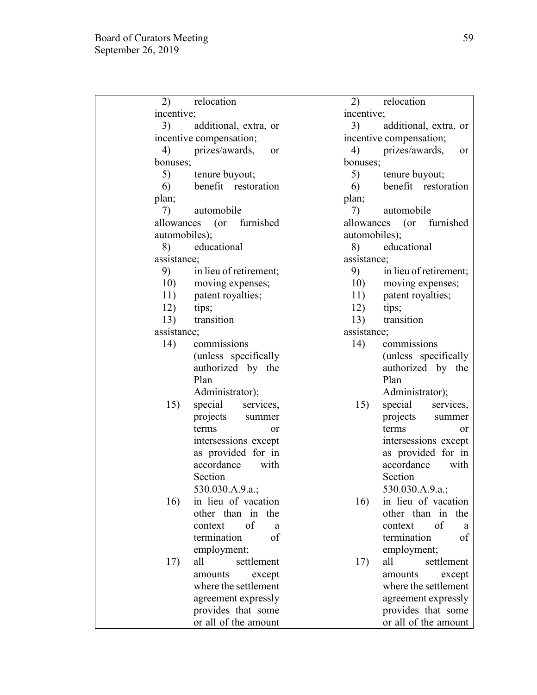| 2)<br>relocation             |               | 2)                          |             | relocation               |            |      |
|------------------------------|---------------|-----------------------------|-------------|--------------------------|------------|------|
| incentive;                   | incentive;    |                             |             |                          |            |      |
| 3)<br>additional, extra, or  |               | 3)<br>additional, extra, or |             |                          |            |      |
| incentive compensation;      |               |                             |             | incentive compensation;  |            |      |
| prizes/awards,<br>4)         | <sub>or</sub> | 4)                          |             | prizes/awards,           |            | or   |
| bonuses;                     |               |                             | bonuses;    |                          |            |      |
| 5)<br>tenure buyout;         |               | 5)                          |             | tenure buyout;           |            |      |
| benefit restoration<br>6)    |               |                             | 6)          | benefit restoration      |            |      |
| plan;                        |               | plan;                       |             |                          |            |      |
| automobile<br>7)             |               | 7)                          |             | automobile               |            |      |
| allowances<br>$($ or         | furnished     |                             |             | allowances (or furnished |            |      |
| automobiles);                |               |                             |             | automobiles);            |            |      |
| educational<br>8)            |               | 8)                          |             | educational              |            |      |
| assistance;                  |               |                             | assistance; |                          |            |      |
| 9)<br>in lieu of retirement; |               |                             | 9)          | in lieu of retirement;   |            |      |
| 10)<br>moving expenses;      |               |                             | 10)         | moving expenses;         |            |      |
| patent royalties;<br>11)     |               |                             | 11)         | patent royalties;        |            |      |
| 12)<br>tips;                 |               |                             | 12)         | tips;                    |            |      |
| transition<br>13)            |               |                             | 13)         | transition               |            |      |
| assistance;                  |               |                             | assistance; |                          |            |      |
| 14)<br>commissions           |               | 14)                         |             | commissions              |            |      |
| (unless specifically         |               |                             |             | (unless specifically     |            |      |
| authorized by the            |               |                             |             | authorized by the        |            |      |
| Plan                         |               |                             |             | Plan                     |            |      |
| Administrator);              |               |                             |             | Administrator);          |            |      |
| 15)<br>special services,     |               |                             | 15)         | special                  | services,  |      |
| projects summer              |               |                             |             | projects                 | summer     |      |
| terms                        | <sub>or</sub> |                             |             | terms                    |            | 0r   |
| intersessions except         |               |                             |             | intersessions except     |            |      |
| as provided for in           |               |                             |             | as provided for in       |            |      |
| accordance                   | with          |                             |             | accordance               |            | with |
| Section                      |               |                             |             | Section                  |            |      |
| 530.030.A.9.a.;              |               |                             |             | 530.030.A.9.a.;          |            |      |
| in lieu of vacation<br>16)   |               |                             | 16)         | in lieu of vacation      |            |      |
| other than in                | the           |                             |             | other than in            |            | the  |
| of<br>context                | a             |                             |             | context                  | of         | a    |
| termination                  | of            |                             |             | termination              |            | of   |
| employment;                  |               |                             |             | employment;              |            |      |
| all<br>17)                   | settlement    |                             | 17)         | all                      | settlement |      |
| amounts                      | except        |                             |             | amounts                  | except     |      |
| where the settlement         |               |                             |             | where the settlement     |            |      |
| agreement expressly          |               |                             |             | agreement expressly      |            |      |
| provides that some           |               |                             |             | provides that some       |            |      |
| or all of the amount         |               |                             |             | or all of the amount     |            |      |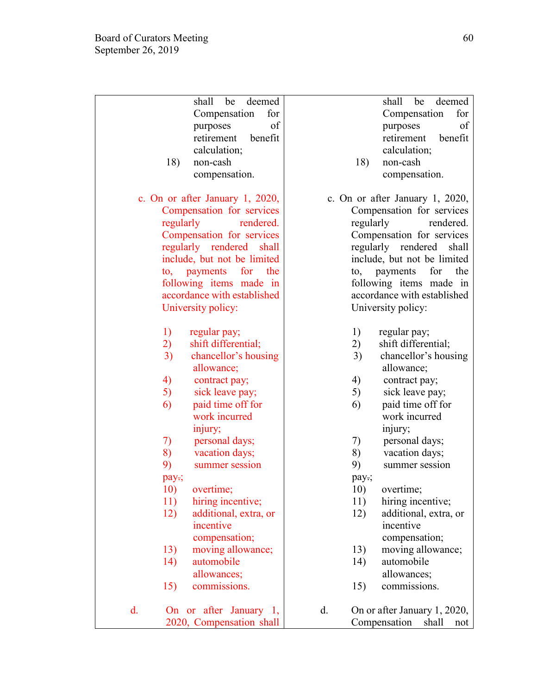|    | shall<br>deemed<br>be                | shall be<br>deemed                 |
|----|--------------------------------------|------------------------------------|
|    | Compensation<br>for                  | Compensation<br>for                |
|    | of<br>purposes                       | of<br>purposes                     |
|    | benefit<br>retirement                | retirement<br>benefit              |
|    | calculation;                         | calculation;                       |
|    | 18)<br>non-cash                      | 18)<br>non-cash                    |
|    |                                      |                                    |
|    | compensation.                        | compensation.                      |
|    | c. On or after January 1, 2020,      | c. On or after January 1, 2020,    |
|    | Compensation for services            | Compensation for services          |
|    | regularly<br>rendered.               | regularly<br>rendered.             |
|    | Compensation for services            | Compensation for services          |
|    | regularly rendered<br>shall          | regularly rendered<br>shall        |
|    | include, but not be limited          | include, but not be limited        |
|    | payments for the<br>$\mathfrak{to},$ | for<br>payments<br>the<br>to,      |
|    | following items made in              | following items made in            |
|    | accordance with established          | accordance with established        |
|    | University policy:                   | University policy:                 |
|    |                                      |                                    |
|    | 1)<br>regular pay;                   | 1)<br>regular pay;                 |
|    | 2)<br>shift differential;            | 2)<br>shift differential;          |
|    | 3)<br>chancellor's housing           | 3)<br>chancellor's housing         |
|    | allowance;                           | allowance;                         |
|    | 4)<br>contract pay;                  | 4)<br>contract pay;                |
|    | 5)<br>sick leave pay;                | 5)<br>sick leave pay;              |
|    | 6)<br>paid time off for              | paid time off for<br>6)            |
|    | work incurred                        | work incurred                      |
|    | injury;                              | injury;                            |
|    | 7)<br>personal days;                 | 7)<br>personal days;               |
|    | 8)<br>vacation days;                 | 8)<br>vacation days;               |
|    | 9)<br>summer session                 | 9)<br>summer session               |
|    |                                      |                                    |
|    | pay-;<br>overtime;                   | pay.;<br>overtime;                 |
|    | 10)                                  | 10)                                |
|    | 11)<br>hiring incentive;             | hiring incentive;<br>11)           |
|    | 12)<br>additional, extra, or         | 12)<br>additional, extra, or       |
|    | incentive                            | incentive                          |
|    | compensation;                        | compensation;                      |
|    | 13)<br>moving allowance;             | moving allowance;<br>13)           |
|    | 14)<br>automobile                    | automobile<br>14)                  |
|    | allowances;                          | allowances;                        |
|    | 15)<br>commissions.                  | 15)<br>commissions.                |
|    |                                      |                                    |
| d. | On or after January 1,               | d.<br>On or after January 1, 2020, |
|    | 2020, Compensation shall             | Compensation<br>shall<br>not       |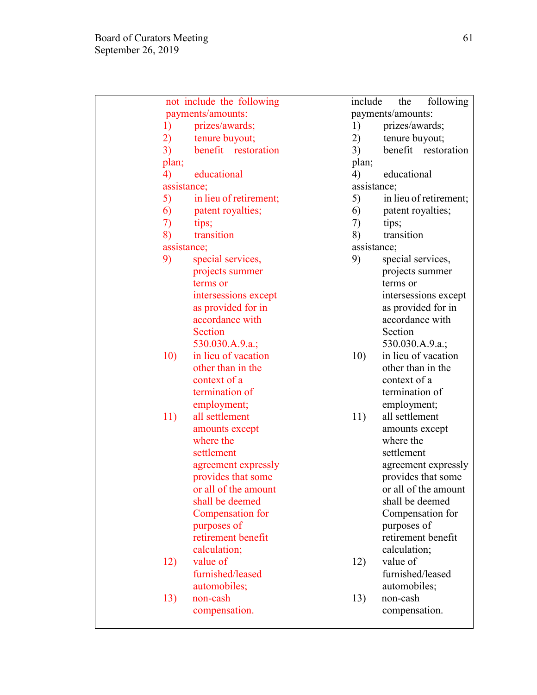| not include the following    | include<br>the<br>following  |
|------------------------------|------------------------------|
| payments/amounts:            | payments/amounts:            |
| prizes/awards;<br>1)         | prizes/awards;<br>1)         |
| 2)<br>tenure buyout;         | tenure buyout;<br>2)         |
| 3)<br>benefit restoration    | 3)<br>benefit restoration    |
| plan;                        | plan;                        |
| 4)<br>educational            | 4)<br>educational            |
| assistance;                  | assistance;                  |
| 5)<br>in lieu of retirement; | 5)<br>in lieu of retirement; |
| patent royalties;<br>6)      | patent royalties;<br>6)      |
| 7)<br>tips;                  | 7)<br>tips;                  |
| transition<br>8)             | transition<br>8)             |
| assistance;                  | assistance;                  |
| 9)<br>special services,      | 9)<br>special services,      |
| projects summer              | projects summer              |
| terms or                     | terms or                     |
| intersessions except         | intersessions except         |
| as provided for in           | as provided for in           |
| accordance with              | accordance with              |
| <b>Section</b>               | Section                      |
| 530.030.A.9.a.;              | 530.030.A.9.a.;              |
| 10)<br>in lieu of vacation   | in lieu of vacation<br>10)   |
| other than in the            | other than in the            |
| context of a                 | context of a                 |
| termination of               | termination of               |
| employment;                  | employment;                  |
| all settlement<br>11)        | all settlement<br>11)        |
| amounts except               | amounts except               |
| where the                    | where the                    |
| settlement                   | settlement                   |
| agreement expressly          | agreement expressly          |
| provides that some           | provides that some           |
| or all of the amount         | or all of the amount         |
| shall be deemed              | shall be deemed              |
| Compensation for             | Compensation for             |
| purposes of                  | purposes of                  |
| retirement benefit           | retirement benefit           |
| calculation;                 | calculation;                 |
| value of<br>12)              | value of<br>12)              |
| furnished/leased             | furnished/leased             |
| automobiles;                 | automobiles;                 |
| non-cash<br>13)              | non-cash<br>13)              |
| compensation.                | compensation.                |
|                              |                              |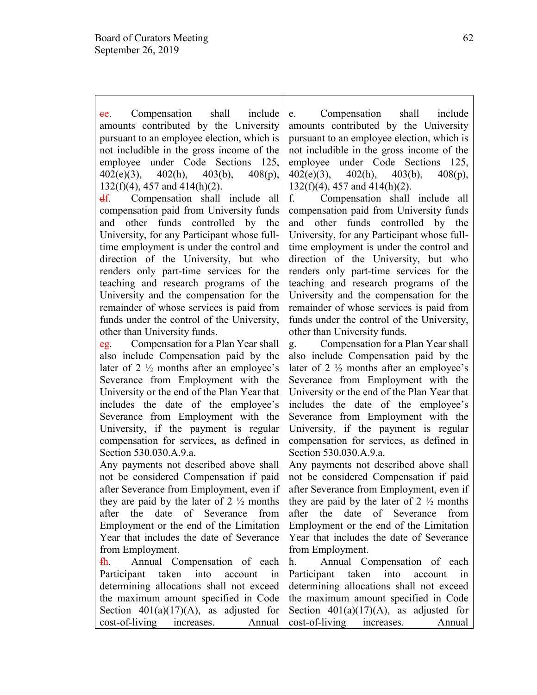e. Compensation shall include amounts contributed by the University pursuant to an employee election, which is not includible in the gross income of the employee under Code Sections 125, 402(e)(3), 402(h), 403(b), 408(p), 132(f)(4), 457 and 414(h)(2).

df. Compensation shall include all compensation paid from University funds and other funds controlled by the University, for any Participant whose fulltime employment is under the control and direction of the University, but who renders only part-time services for the teaching and research programs of the University and the compensation for the remainder of whose services is paid from funds under the control of the University, other than University funds.

eg. Compensation for a Plan Year shall also include Compensation paid by the later of 2 ½ months after an employee's Severance from Employment with the University or the end of the Plan Year that includes the date of the employee's Severance from Employment with the University, if the payment is regular compensation for services, as defined in Section 530.030.A.9.a.

Any payments not described above shall not be considered Compensation if paid after Severance from Employment, even if they are paid by the later of  $2\frac{1}{2}$  months after the date of Severance from Employment or the end of the Limitation Year that includes the date of Severance from Employment.

fh. Annual Compensation of each Participant taken into account in determining allocations shall not exceed the maximum amount specified in Code Section  $401(a)(17)(A)$ , as adjusted for cost-of-living increases. Annual e. Compensation shall include amounts contributed by the University pursuant to an employee election, which is not includible in the gross income of the employee under Code Sections 125, 402(e)(3), 402(h), 403(b), 408(p), 132(f)(4), 457 and 414(h)(2).

f. Compensation shall include all compensation paid from University funds and other funds controlled by the University, for any Participant whose fulltime employment is under the control and direction of the University, but who renders only part-time services for the teaching and research programs of the University and the compensation for the remainder of whose services is paid from funds under the control of the University, other than University funds.

g. Compensation for a Plan Year shall also include Compensation paid by the later of 2 ½ months after an employee's Severance from Employment with the University or the end of the Plan Year that includes the date of the employee's Severance from Employment with the University, if the payment is regular compensation for services, as defined in Section 530.030.A.9.a.

Any payments not described above shall not be considered Compensation if paid after Severance from Employment, even if they are paid by the later of  $2 \frac{1}{2}$  months after the date of Severance from Employment or the end of the Limitation Year that includes the date of Severance from Employment.

h. Annual Compensation of each Participant taken into account in determining allocations shall not exceed the maximum amount specified in Code Section  $401(a)(17)(A)$ , as adjusted for cost-of-living increases. Annual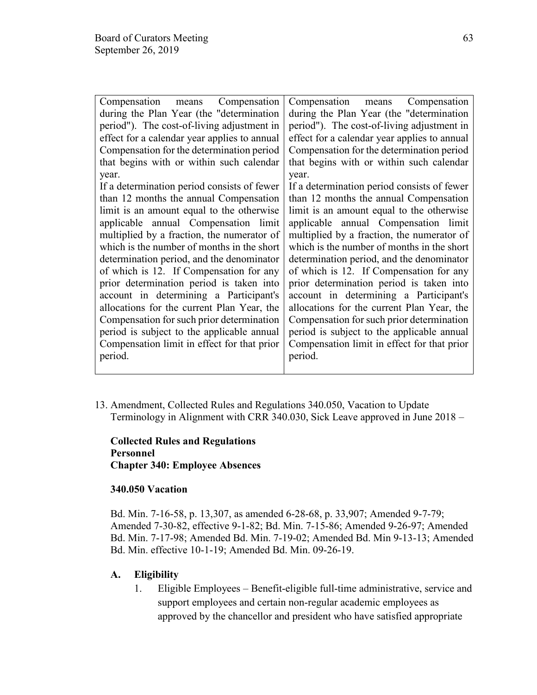| Compensation<br>Compensation means           | Compensation means<br>Compensation           |
|----------------------------------------------|----------------------------------------------|
| during the Plan Year (the "determination"    | during the Plan Year (the "determination"    |
| period"). The cost-of-living adjustment in   | period"). The cost-of-living adjustment in   |
| effect for a calendar year applies to annual | effect for a calendar year applies to annual |
| Compensation for the determination period    | Compensation for the determination period    |
| that begins with or within such calendar     | that begins with or within such calendar     |
| year.                                        | year.                                        |
| If a determination period consists of fewer  | If a determination period consists of fewer  |
| than 12 months the annual Compensation       | than 12 months the annual Compensation       |
| limit is an amount equal to the otherwise    | limit is an amount equal to the otherwise    |
| applicable annual Compensation limit         | applicable annual Compensation limit         |
| multiplied by a fraction, the numerator of   | multiplied by a fraction, the numerator of   |
| which is the number of months in the short   | which is the number of months in the short   |
| determination period, and the denominator    | determination period, and the denominator    |
| of which is 12. If Compensation for any      | of which is 12. If Compensation for any      |
| prior determination period is taken into     | prior determination period is taken into     |
| account in determining a Participant's       | account in determining a Participant's       |
| allocations for the current Plan Year, the   | allocations for the current Plan Year, the   |
| Compensation for such prior determination    | Compensation for such prior determination    |
| period is subject to the applicable annual   | period is subject to the applicable annual   |
| Compensation limit in effect for that prior  | Compensation limit in effect for that prior  |
| period.                                      | period.                                      |
|                                              |                                              |

13. Amendment, Collected Rules and Regulations 340.050, Vacation to Update Terminology in Alignment with CRR 340.030, Sick Leave approved in June 2018 –

**Collected Rules and Regulations Personnel Chapter 340: Employee Absences**

#### **340.050 Vacation**

Bd. Min. 7-16-58, p. 13,307, as amended 6-28-68, p. 33,907; Amended 9-7-79; Amended 7-30-82, effective 9-1-82; Bd. Min. 7-15-86; Amended 9-26-97; Amended Bd. Min. 7-17-98; Amended Bd. Min. 7-19-02; Amended Bd. Min 9-13-13; Amended Bd. Min. effective 10-1-19; Amended Bd. Min. 09-26-19.

# **A. Eligibility**

1. Eligible Employees – Benefit-eligible full-time administrative, service and support employees and certain non-regular academic employees as approved by the chancellor and president who have satisfied appropriate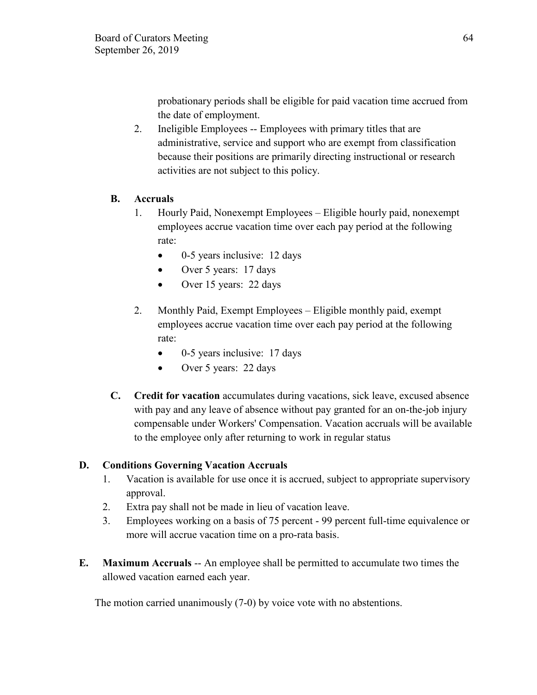probationary periods shall be eligible for paid vacation time accrued from the date of employment.

2. Ineligible Employees -- Employees with primary titles that are administrative, service and support who are exempt from classification because their positions are primarily directing instructional or research activities are not subject to this policy.

# **B. Accruals**

- 1. Hourly Paid, Nonexempt Employees Eligible hourly paid, nonexempt employees accrue vacation time over each pay period at the following rate:
	- 0-5 years inclusive: 12 days
	- Over 5 years: 17 days
	- Over 15 years: 22 days
- 2. Monthly Paid, Exempt Employees Eligible monthly paid, exempt employees accrue vacation time over each pay period at the following rate:
	- 0-5 years inclusive: 17 days
	- Over 5 years: 22 days
- **C. Credit for vacation** accumulates during vacations, sick leave, excused absence with pay and any leave of absence without pay granted for an on-the-job injury compensable under Workers' Compensation. Vacation accruals will be available to the employee only after returning to work in regular status

# **D. Conditions Governing Vacation Accruals**

- 1. Vacation is available for use once it is accrued, subject to appropriate supervisory approval.
- 2. Extra pay shall not be made in lieu of vacation leave.
- 3. Employees working on a basis of 75 percent 99 percent full-time equivalence or more will accrue vacation time on a pro-rata basis.
- **E. Maximum Accruals** -- An employee shall be permitted to accumulate two times the allowed vacation earned each year.

The motion carried unanimously (7-0) by voice vote with no abstentions.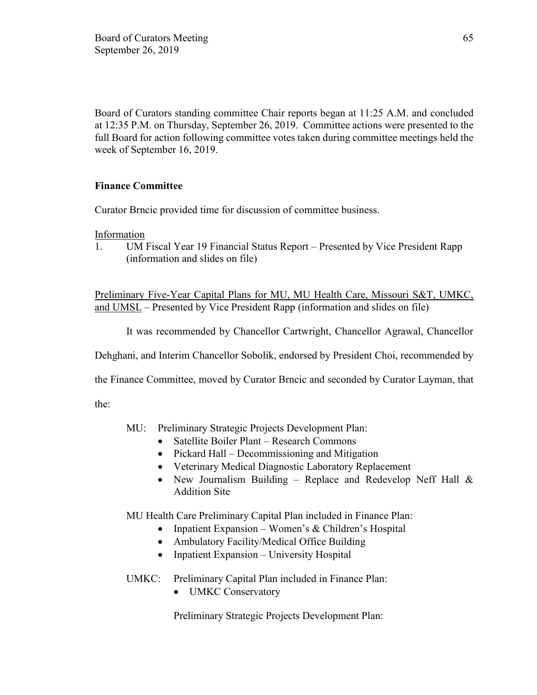Board of Curators standing committee Chair reports began at 11:25 A.M. and concluded at 12:35 P.M. on Thursday, September 26, 2019. Committee actions were presented to the full Board for action following committee votes taken during committee meetings held the week of September 16, 2019.

# **Finance Committee**

Curator Brncic provided time for discussion of committee business.

Information

1. UM Fiscal Year 19 Financial Status Report – Presented by Vice President Rapp (information and slides on file)

Preliminary Five-Year Capital Plans for MU, MU Health Care, Missouri S&T, UMKC, and UMSL – Presented by Vice President Rapp (information and slides on file)

It was recommended by Chancellor Cartwright, Chancellor Agrawal, Chancellor

Dehghani, and Interim Chancellor Sobolik, endorsed by President Choi, recommended by

the Finance Committee, moved by Curator Brncic and seconded by Curator Layman, that

the:

- MU: Preliminary Strategic Projects Development Plan:
	- Satellite Boiler Plant Research Commons
	- Pickard Hall Decommissioning and Mitigation
	- Veterinary Medical Diagnostic Laboratory Replacement
	- New Journalism Building Replace and Redevelop Neff Hall & Addition Site

MU Health Care Preliminary Capital Plan included in Finance Plan:

- Inpatient Expansion Women's & Children's Hospital
- Ambulatory Facility/Medical Office Building
- Inpatient Expansion University Hospital
- UMKC: Preliminary Capital Plan included in Finance Plan:
	- UMKC Conservatory

Preliminary Strategic Projects Development Plan: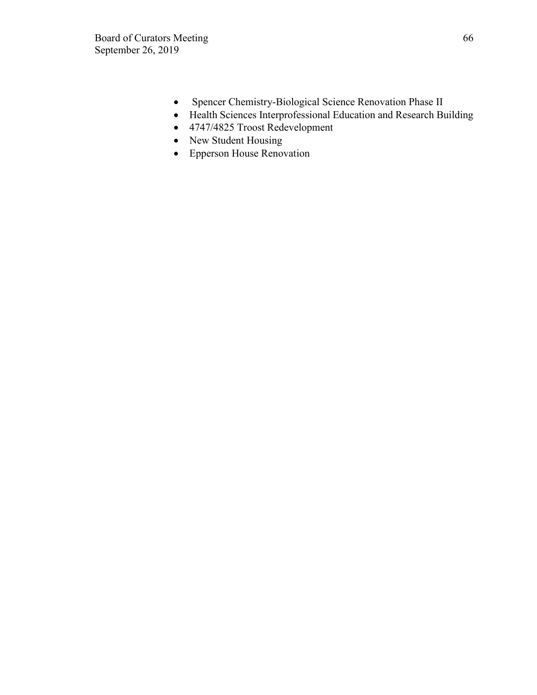- Spencer Chemistry-Biological Science Renovation Phase II
- Health Sciences Interprofessional Education and Research Building
- 4747/4825 Troost Redevelopment
- New Student Housing
- Epperson House Renovation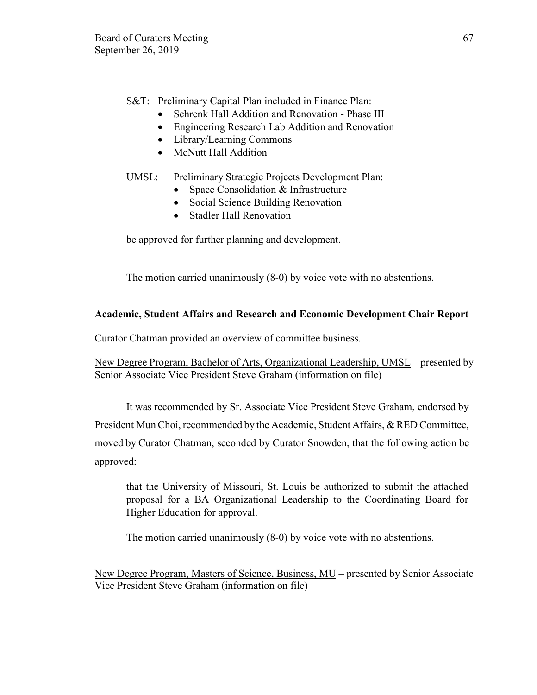S&T: Preliminary Capital Plan included in Finance Plan:

- Schrenk Hall Addition and Renovation Phase III
- Engineering Research Lab Addition and Renovation
- Library/Learning Commons
- McNutt Hall Addition

### UMSL: Preliminary Strategic Projects Development Plan:

- Space Consolidation & Infrastructure
- Social Science Building Renovation
- Stadler Hall Renovation

be approved for further planning and development.

The motion carried unanimously (8-0) by voice vote with no abstentions.

# **Academic, Student Affairs and Research and Economic Development Chair Report**

Curator Chatman provided an overview of committee business.

New Degree Program, Bachelor of Arts, Organizational Leadership, UMSL – presented by Senior Associate Vice President Steve Graham (information on file)

It was recommended by Sr. Associate Vice President Steve Graham, endorsed by President Mun Choi, recommended by the Academic, Student Affairs, & RED Committee, moved by Curator Chatman, seconded by Curator Snowden, that the following action be approved:

that the University of Missouri, St. Louis be authorized to submit the attached proposal for a BA Organizational Leadership to the Coordinating Board for Higher Education for approval.

The motion carried unanimously (8-0) by voice vote with no abstentions.

New Degree Program, Masters of Science, Business, MU – presented by Senior Associate Vice President Steve Graham (information on file)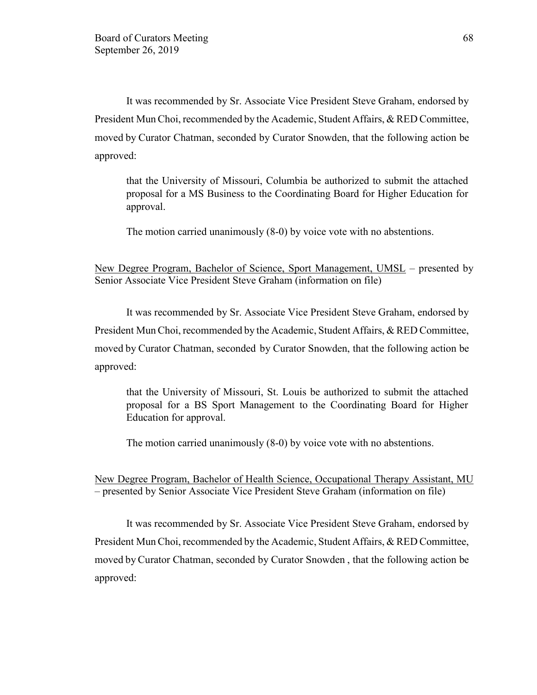It was recommended by Sr. Associate Vice President Steve Graham, endorsed by President Mun Choi, recommended by the Academic, Student Affairs, & RED Committee, moved by Curator Chatman, seconded by Curator Snowden, that the following action be approved:

that the University of Missouri, Columbia be authorized to submit the attached proposal for a MS Business to the Coordinating Board for Higher Education for approval.

The motion carried unanimously (8-0) by voice vote with no abstentions.

New Degree Program, Bachelor of Science, Sport Management, UMSL – presented by Senior Associate Vice President Steve Graham (information on file)

It was recommended by Sr. Associate Vice President Steve Graham, endorsed by President Mun Choi, recommended by the Academic, Student Affairs, & RED Committee, moved by Curator Chatman, seconded by Curator Snowden, that the following action be approved:

that the University of Missouri, St. Louis be authorized to submit the attached proposal for a BS Sport Management to the Coordinating Board for Higher Education for approval.

The motion carried unanimously (8-0) by voice vote with no abstentions.

New Degree Program, Bachelor of Health Science, Occupational Therapy Assistant, MU – presented by Senior Associate Vice President Steve Graham (information on file)

It was recommended by Sr. Associate Vice President Steve Graham, endorsed by President Mun Choi, recommended by the Academic, Student Affairs, & RED Committee, moved by Curator Chatman, seconded by Curator Snowden , that the following action be approved: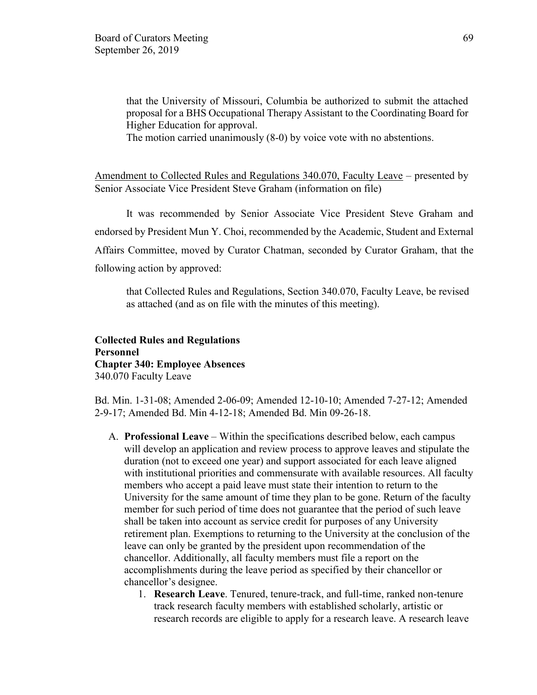that the University of Missouri, Columbia be authorized to submit the attached proposal for a BHS Occupational Therapy Assistant to the Coordinating Board for Higher Education for approval.

The motion carried unanimously (8-0) by voice vote with no abstentions.

Amendment to Collected Rules and Regulations 340.070, Faculty Leave – presented by Senior Associate Vice President Steve Graham (information on file)

It was recommended by Senior Associate Vice President Steve Graham and endorsed by President Mun Y. Choi, recommended by the Academic, Student and External Affairs Committee, moved by Curator Chatman, seconded by Curator Graham, that the following action by approved:

that Collected Rules and Regulations, Section 340.070, Faculty Leave, be revised as attached (and as on file with the minutes of this meeting).

### **Collected Rules and Regulations Personnel Chapter 340: Employee Absences** 340.070 Faculty Leave

Bd. Min. 1-31-08; Amended 2-06-09; Amended 12-10-10; Amended 7-27-12; Amended 2-9-17; Amended Bd. Min 4-12-18; Amended Bd. Min 09-26-18.

- A. **Professional Leave** Within the specifications described below, each campus will develop an application and review process to approve leaves and stipulate the duration (not to exceed one year) and support associated for each leave aligned with institutional priorities and commensurate with available resources. All faculty members who accept a paid leave must state their intention to return to the University for the same amount of time they plan to be gone. Return of the faculty member for such period of time does not guarantee that the period of such leave shall be taken into account as service credit for purposes of any University retirement plan. Exemptions to returning to the University at the conclusion of the leave can only be granted by the president upon recommendation of the chancellor. Additionally, all faculty members must file a report on the accomplishments during the leave period as specified by their chancellor or chancellor's designee.
	- 1. **Research Leave**. Tenured, tenure-track, and full-time, ranked non-tenure track research faculty members with established scholarly, artistic or research records are eligible to apply for a research leave. A research leave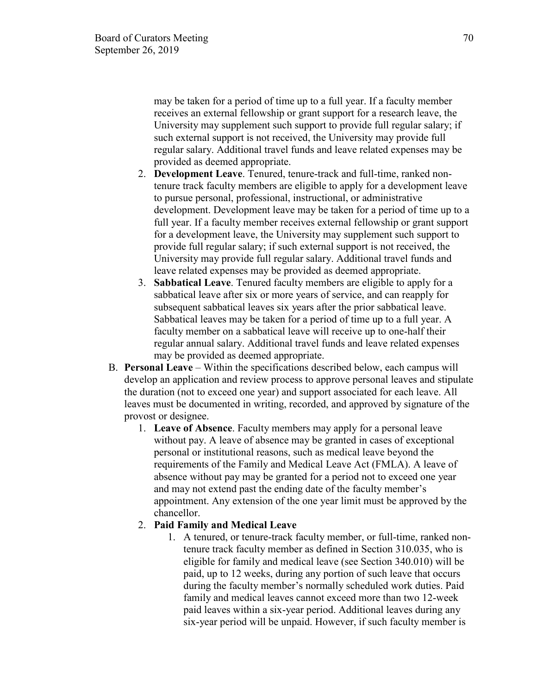may be taken for a period of time up to a full year. If a faculty member receives an external fellowship or grant support for a research leave, the University may supplement such support to provide full regular salary; if such external support is not received, the University may provide full regular salary. Additional travel funds and leave related expenses may be provided as deemed appropriate.

- 2. **Development Leave**. Tenured, tenure-track and full-time, ranked nontenure track faculty members are eligible to apply for a development leave to pursue personal, professional, instructional, or administrative development. Development leave may be taken for a period of time up to a full year. If a faculty member receives external fellowship or grant support for a development leave, the University may supplement such support to provide full regular salary; if such external support is not received, the University may provide full regular salary. Additional travel funds and leave related expenses may be provided as deemed appropriate.
- 3. **Sabbatical Leave**. Tenured faculty members are eligible to apply for a sabbatical leave after six or more years of service, and can reapply for subsequent sabbatical leaves six years after the prior sabbatical leave. Sabbatical leaves may be taken for a period of time up to a full year. A faculty member on a sabbatical leave will receive up to one-half their regular annual salary. Additional travel funds and leave related expenses may be provided as deemed appropriate.
- B. **Personal Leave** Within the specifications described below, each campus will develop an application and review process to approve personal leaves and stipulate the duration (not to exceed one year) and support associated for each leave. All leaves must be documented in writing, recorded, and approved by signature of the provost or designee.
	- 1. **Leave of Absence**. Faculty members may apply for a personal leave without pay. A leave of absence may be granted in cases of exceptional personal or institutional reasons, such as medical leave beyond the requirements of the Family and Medical Leave Act (FMLA). A leave of absence without pay may be granted for a period not to exceed one year and may not extend past the ending date of the faculty member's appointment. Any extension of the one year limit must be approved by the chancellor.

#### 2. **Paid Family and Medical Leave**

1. A tenured, or tenure-track faculty member, or full-time, ranked nontenure track faculty member as defined in Section 310.035, who is eligible for family and medical leave (see Section 340.010) will be paid, up to 12 weeks, during any portion of such leave that occurs during the faculty member's normally scheduled work duties. Paid family and medical leaves cannot exceed more than two 12-week paid leaves within a six-year period. Additional leaves during any six-year period will be unpaid. However, if such faculty member is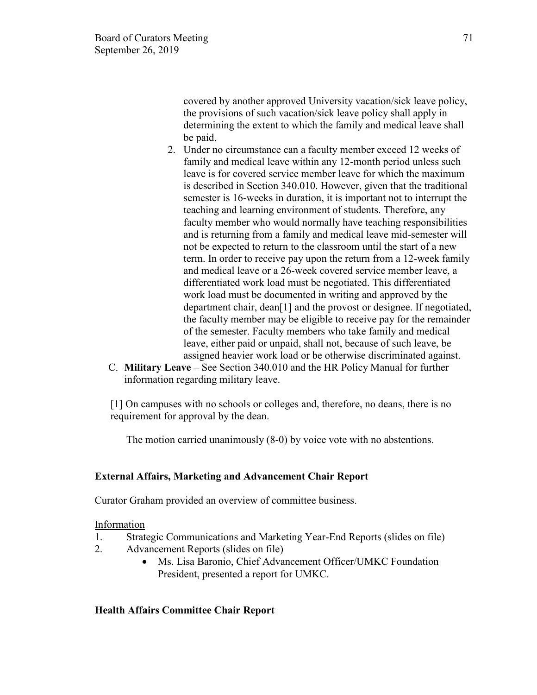covered by another approved University vacation/sick leave policy, the provisions of such vacation/sick leave policy shall apply in determining the extent to which the family and medical leave shall be paid.

- 2. Under no circumstance can a faculty member exceed 12 weeks of family and medical leave within any 12-month period unless such leave is for covered service member leave for which the maximum is described in Section 340.010. However, given that the traditional semester is 16-weeks in duration, it is important not to interrupt the teaching and learning environment of students. Therefore, any faculty member who would normally have teaching responsibilities and is returning from a family and medical leave mid-semester will not be expected to return to the classroom until the start of a new term. In order to receive pay upon the return from a 12-week family and medical leave or a 26-week covered service member leave, a differentiated work load must be negotiated. This differentiated work load must be documented in writing and approved by the department chair, dean[1] and the provost or designee. If negotiated, the faculty member may be eligible to receive pay for the remainder of the semester. Faculty members who take family and medical leave, either paid or unpaid, shall not, because of such leave, be assigned heavier work load or be otherwise discriminated against.
- C. **Military Leave** See Section 340.010 and the HR Policy Manual for further information regarding military leave.

[1] On campuses with no schools or colleges and, therefore, no deans, there is no requirement for approval by the dean.

The motion carried unanimously (8-0) by voice vote with no abstentions.

# **External Affairs, Marketing and Advancement Chair Report**

Curator Graham provided an overview of committee business.

#### Information

- 1. Strategic Communications and Marketing Year-End Reports (slides on file)
- 2. Advancement Reports (slides on file)
	- Ms. Lisa Baronio, Chief Advancement Officer/UMKC Foundation President, presented a report for UMKC.

#### **Health Affairs Committee Chair Report**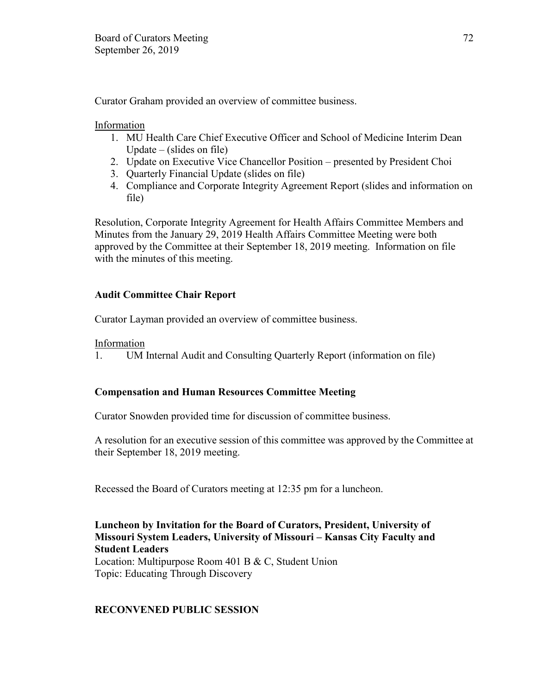Curator Graham provided an overview of committee business.

Information

- 1. MU Health Care Chief Executive Officer and School of Medicine Interim Dean Update – (slides on file)
- 2. Update on Executive Vice Chancellor Position presented by President Choi
- 3. Quarterly Financial Update (slides on file)
- 4. Compliance and Corporate Integrity Agreement Report (slides and information on file)

Resolution, Corporate Integrity Agreement for Health Affairs Committee Members and Minutes from the January 29, 2019 Health Affairs Committee Meeting were both approved by the Committee at their September 18, 2019 meeting. Information on file with the minutes of this meeting.

# **Audit Committee Chair Report**

Curator Layman provided an overview of committee business.

Information

1. UM Internal Audit and Consulting Quarterly Report (information on file)

# **Compensation and Human Resources Committee Meeting**

Curator Snowden provided time for discussion of committee business.

A resolution for an executive session of this committee was approved by the Committee at their September 18, 2019 meeting.

Recessed the Board of Curators meeting at 12:35 pm for a luncheon.

### **Luncheon by Invitation for the Board of Curators, President, University of Missouri System Leaders, University of Missouri – Kansas City Faculty and Student Leaders**

Location: Multipurpose Room 401 B & C, Student Union Topic: Educating Through Discovery

# **RECONVENED PUBLIC SESSION**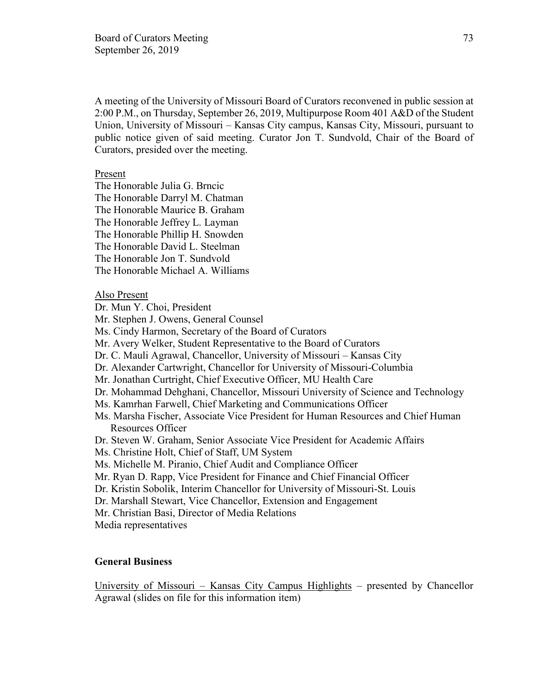A meeting of the University of Missouri Board of Curators reconvened in public session at 2:00 P.M., on Thursday, September 26, 2019, Multipurpose Room 401 A&D of the Student Union, University of Missouri – Kansas City campus, Kansas City, Missouri, pursuant to public notice given of said meeting. Curator Jon T. Sundvold, Chair of the Board of Curators, presided over the meeting.

# Present

The Honorable Julia G. Brncic The Honorable Darryl M. Chatman The Honorable Maurice B. Graham The Honorable Jeffrey L. Layman The Honorable Phillip H. Snowden The Honorable David L. Steelman The Honorable Jon T. Sundvold The Honorable Michael A. Williams

#### Also Present

Dr. Mun Y. Choi, President

Mr. Stephen J. Owens, General Counsel

Ms. Cindy Harmon, Secretary of the Board of Curators

Mr. Avery Welker, Student Representative to the Board of Curators

- Dr. C. Mauli Agrawal, Chancellor, University of Missouri Kansas City
- Dr. Alexander Cartwright, Chancellor for University of Missouri-Columbia
- Mr. Jonathan Curtright, Chief Executive Officer, MU Health Care
- Dr. Mohammad Dehghani, Chancellor, Missouri University of Science and Technology
- Ms. Kamrhan Farwell, Chief Marketing and Communications Officer
- Ms. Marsha Fischer, Associate Vice President for Human Resources and Chief Human Resources Officer
- Dr. Steven W. Graham, Senior Associate Vice President for Academic Affairs
- Ms. Christine Holt, Chief of Staff, UM System
- Ms. Michelle M. Piranio, Chief Audit and Compliance Officer
- Mr. Ryan D. Rapp, Vice President for Finance and Chief Financial Officer
- Dr. Kristin Sobolik, Interim Chancellor for University of Missouri-St. Louis
- Dr. Marshall Stewart, Vice Chancellor, Extension and Engagement
- Mr. Christian Basi, Director of Media Relations
- Media representatives

## **General Business**

University of Missouri – Kansas City Campus Highlights – presented by Chancellor Agrawal (slides on file for this information item)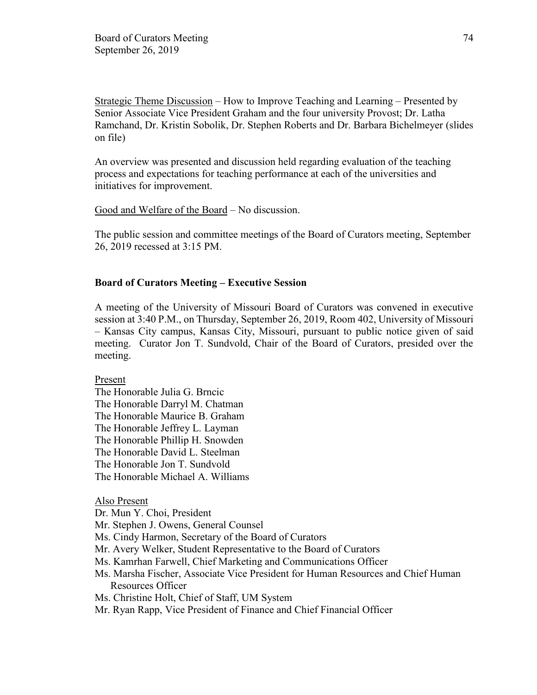Strategic Theme Discussion – How to Improve Teaching and Learning – Presented by Senior Associate Vice President Graham and the four university Provost; Dr. Latha Ramchand, Dr. Kristin Sobolik, Dr. Stephen Roberts and Dr. Barbara Bichelmeyer (slides on file)

An overview was presented and discussion held regarding evaluation of the teaching process and expectations for teaching performance at each of the universities and initiatives for improvement.

Good and Welfare of the Board – No discussion.

The public session and committee meetings of the Board of Curators meeting, September 26, 2019 recessed at 3:15 PM.

#### **Board of Curators Meeting – Executive Session**

A meeting of the University of Missouri Board of Curators was convened in executive session at 3:40 P.M., on Thursday, September 26, 2019, Room 402, University of Missouri – Kansas City campus, Kansas City, Missouri, pursuant to public notice given of said meeting. Curator Jon T. Sundvold, Chair of the Board of Curators, presided over the meeting.

#### Present

The Honorable Julia G. Brncic The Honorable Darryl M. Chatman The Honorable Maurice B. Graham The Honorable Jeffrey L. Layman The Honorable Phillip H. Snowden The Honorable David L. Steelman The Honorable Jon T. Sundvold The Honorable Michael A. Williams

#### Also Present

Dr. Mun Y. Choi, President

Mr. Stephen J. Owens, General Counsel

- Ms. Cindy Harmon, Secretary of the Board of Curators
- Mr. Avery Welker, Student Representative to the Board of Curators
- Ms. Kamrhan Farwell, Chief Marketing and Communications Officer
- Ms. Marsha Fischer, Associate Vice President for Human Resources and Chief Human Resources Officer
- Ms. Christine Holt, Chief of Staff, UM System
- Mr. Ryan Rapp, Vice President of Finance and Chief Financial Officer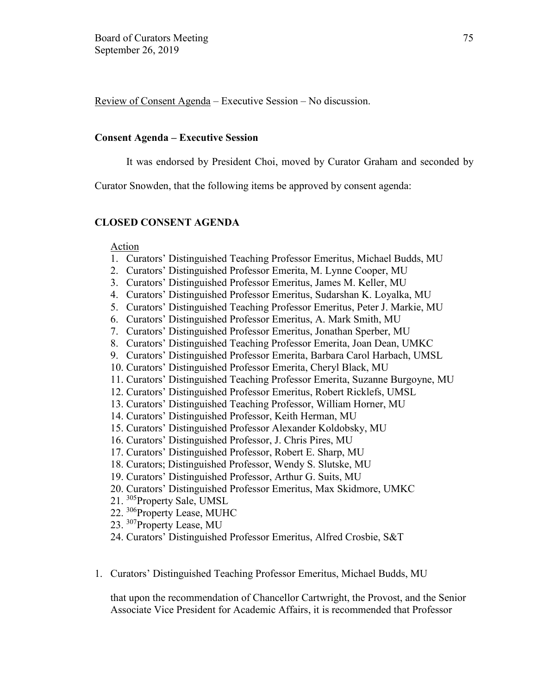Review of Consent Agenda – Executive Session – No discussion.

## **Consent Agenda – Executive Session**

It was endorsed by President Choi, moved by Curator Graham and seconded by

Curator Snowden, that the following items be approved by consent agenda:

# **CLOSED CONSENT AGENDA**

## Action

- 1. Curators' Distinguished Teaching Professor Emeritus, Michael Budds, MU
- 2. Curators' Distinguished Professor Emerita, M. Lynne Cooper, MU
- 3. Curators' Distinguished Professor Emeritus, James M. Keller, MU
- 4. Curators' Distinguished Professor Emeritus, Sudarshan K. Loyalka, MU
- 5. Curators' Distinguished Teaching Professor Emeritus, Peter J. Markie, MU
- 6. Curators' Distinguished Professor Emeritus, A. Mark Smith, MU
- 7. Curators' Distinguished Professor Emeritus, Jonathan Sperber, MU
- 8. Curators' Distinguished Teaching Professor Emerita, Joan Dean, UMKC
- 9. Curators' Distinguished Professor Emerita, Barbara Carol Harbach, UMSL
- 10. Curators' Distinguished Professor Emerita, Cheryl Black, MU
- 11. Curators' Distinguished Teaching Professor Emerita, Suzanne Burgoyne, MU
- 12. Curators' Distinguished Professor Emeritus, Robert Ricklefs, UMSL
- 13. Curators' Distinguished Teaching Professor, William Horner, MU
- 14. Curators' Distinguished Professor, Keith Herman, MU
- 15. Curators' Distinguished Professor Alexander Koldobsky, MU
- 16. Curators' Distinguished Professor, J. Chris Pires, MU
- 17. Curators' Distinguished Professor, Robert E. Sharp, MU
- 18. Curators; Distinguished Professor, Wendy S. Slutske, MU
- 19. Curators' Distinguished Professor, Arthur G. Suits, MU
- 20. Curators' Distinguished Professor Emeritus, Max Skidmore, UMKC
- 21. <sup>305</sup>Property Sale, UMSL
- 22. <sup>306</sup>Property Lease, MUHC
- 23. <sup>307</sup>Property Lease, MU
- 24. Curators' Distinguished Professor Emeritus, Alfred Crosbie, S&T
- 1. Curators' Distinguished Teaching Professor Emeritus, Michael Budds, MU

that upon the recommendation of Chancellor Cartwright, the Provost, and the Senior Associate Vice President for Academic Affairs, it is recommended that Professor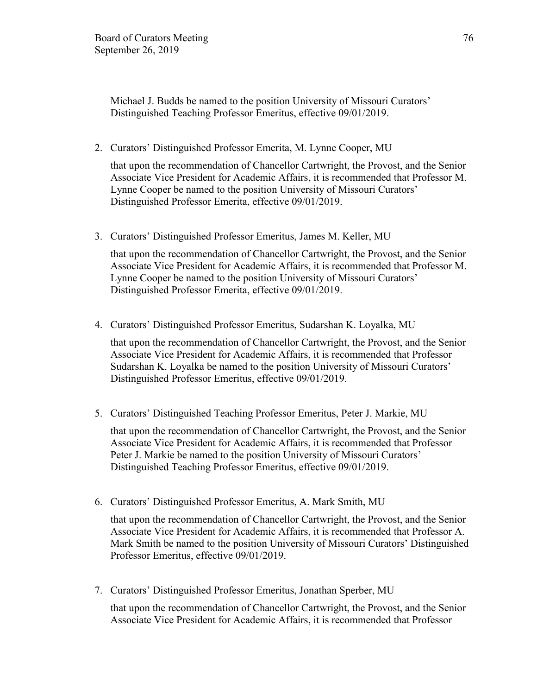Michael J. Budds be named to the position University of Missouri Curators' Distinguished Teaching Professor Emeritus, effective 09/01/2019.

2. Curators' Distinguished Professor Emerita, M. Lynne Cooper, MU

that upon the recommendation of Chancellor Cartwright, the Provost, and the Senior Associate Vice President for Academic Affairs, it is recommended that Professor M. Lynne Cooper be named to the position University of Missouri Curators' Distinguished Professor Emerita, effective 09/01/2019.

3. Curators' Distinguished Professor Emeritus, James M. Keller, MU

that upon the recommendation of Chancellor Cartwright, the Provost, and the Senior Associate Vice President for Academic Affairs, it is recommended that Professor M. Lynne Cooper be named to the position University of Missouri Curators' Distinguished Professor Emerita, effective 09/01/2019.

4. Curators' Distinguished Professor Emeritus, Sudarshan K. Loyalka, MU

that upon the recommendation of Chancellor Cartwright, the Provost, and the Senior Associate Vice President for Academic Affairs, it is recommended that Professor Sudarshan K. Loyalka be named to the position University of Missouri Curators' Distinguished Professor Emeritus, effective 09/01/2019.

5. Curators' Distinguished Teaching Professor Emeritus, Peter J. Markie, MU

that upon the recommendation of Chancellor Cartwright, the Provost, and the Senior Associate Vice President for Academic Affairs, it is recommended that Professor Peter J. Markie be named to the position University of Missouri Curators' Distinguished Teaching Professor Emeritus, effective 09/01/2019.

6. Curators' Distinguished Professor Emeritus, A. Mark Smith, MU

that upon the recommendation of Chancellor Cartwright, the Provost, and the Senior Associate Vice President for Academic Affairs, it is recommended that Professor A. Mark Smith be named to the position University of Missouri Curators' Distinguished Professor Emeritus, effective 09/01/2019.

7. Curators' Distinguished Professor Emeritus, Jonathan Sperber, MU

that upon the recommendation of Chancellor Cartwright, the Provost, and the Senior Associate Vice President for Academic Affairs, it is recommended that Professor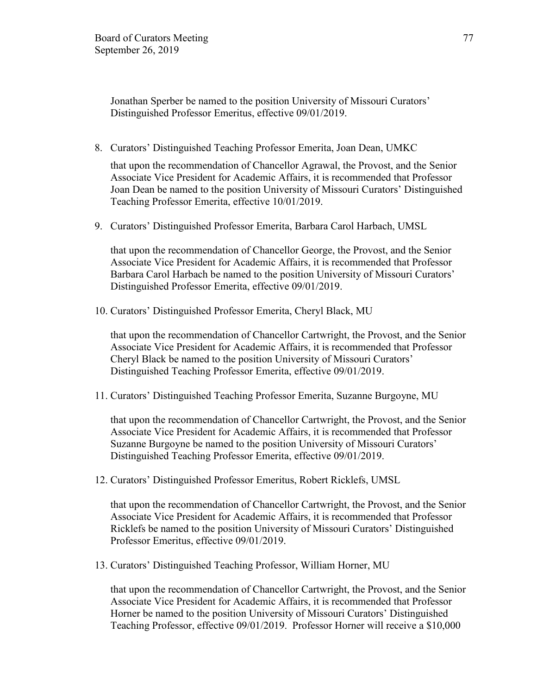Jonathan Sperber be named to the position University of Missouri Curators' Distinguished Professor Emeritus, effective 09/01/2019.

8. Curators' Distinguished Teaching Professor Emerita, Joan Dean, UMKC

that upon the recommendation of Chancellor Agrawal, the Provost, and the Senior Associate Vice President for Academic Affairs, it is recommended that Professor Joan Dean be named to the position University of Missouri Curators' Distinguished Teaching Professor Emerita, effective 10/01/2019.

9. Curators' Distinguished Professor Emerita, Barbara Carol Harbach, UMSL

that upon the recommendation of Chancellor George, the Provost, and the Senior Associate Vice President for Academic Affairs, it is recommended that Professor Barbara Carol Harbach be named to the position University of Missouri Curators' Distinguished Professor Emerita, effective 09/01/2019.

10. Curators' Distinguished Professor Emerita, Cheryl Black, MU

that upon the recommendation of Chancellor Cartwright, the Provost, and the Senior Associate Vice President for Academic Affairs, it is recommended that Professor Cheryl Black be named to the position University of Missouri Curators' Distinguished Teaching Professor Emerita, effective 09/01/2019.

11. Curators' Distinguished Teaching Professor Emerita, Suzanne Burgoyne, MU

that upon the recommendation of Chancellor Cartwright, the Provost, and the Senior Associate Vice President for Academic Affairs, it is recommended that Professor Suzanne Burgoyne be named to the position University of Missouri Curators' Distinguished Teaching Professor Emerita, effective 09/01/2019.

12. Curators' Distinguished Professor Emeritus, Robert Ricklefs, UMSL

that upon the recommendation of Chancellor Cartwright, the Provost, and the Senior Associate Vice President for Academic Affairs, it is recommended that Professor Ricklefs be named to the position University of Missouri Curators' Distinguished Professor Emeritus, effective 09/01/2019.

13. Curators' Distinguished Teaching Professor, William Horner, MU

that upon the recommendation of Chancellor Cartwright, the Provost, and the Senior Associate Vice President for Academic Affairs, it is recommended that Professor Horner be named to the position University of Missouri Curators' Distinguished Teaching Professor, effective 09/01/2019. Professor Horner will receive a \$10,000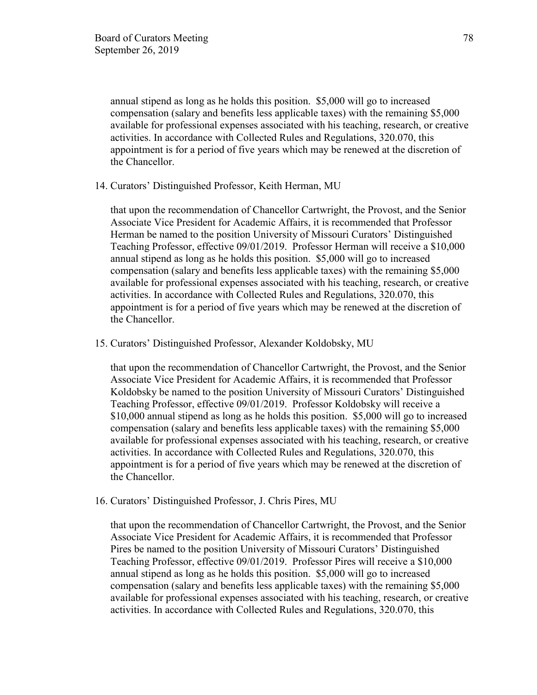annual stipend as long as he holds this position. \$5,000 will go to increased compensation (salary and benefits less applicable taxes) with the remaining \$5,000 available for professional expenses associated with his teaching, research, or creative activities. In accordance with Collected Rules and Regulations, 320.070, this appointment is for a period of five years which may be renewed at the discretion of the Chancellor.

14. Curators' Distinguished Professor, Keith Herman, MU

that upon the recommendation of Chancellor Cartwright, the Provost, and the Senior Associate Vice President for Academic Affairs, it is recommended that Professor Herman be named to the position University of Missouri Curators' Distinguished Teaching Professor, effective 09/01/2019. Professor Herman will receive a \$10,000 annual stipend as long as he holds this position. \$5,000 will go to increased compensation (salary and benefits less applicable taxes) with the remaining \$5,000 available for professional expenses associated with his teaching, research, or creative activities. In accordance with Collected Rules and Regulations, 320.070, this appointment is for a period of five years which may be renewed at the discretion of the Chancellor.

15. Curators' Distinguished Professor, Alexander Koldobsky, MU

that upon the recommendation of Chancellor Cartwright, the Provost, and the Senior Associate Vice President for Academic Affairs, it is recommended that Professor Koldobsky be named to the position University of Missouri Curators' Distinguished Teaching Professor, effective 09/01/2019. Professor Koldobsky will receive a \$10,000 annual stipend as long as he holds this position. \$5,000 will go to increased compensation (salary and benefits less applicable taxes) with the remaining \$5,000 available for professional expenses associated with his teaching, research, or creative activities. In accordance with Collected Rules and Regulations, 320.070, this appointment is for a period of five years which may be renewed at the discretion of the Chancellor.

16. Curators' Distinguished Professor, J. Chris Pires, MU

that upon the recommendation of Chancellor Cartwright, the Provost, and the Senior Associate Vice President for Academic Affairs, it is recommended that Professor Pires be named to the position University of Missouri Curators' Distinguished Teaching Professor, effective 09/01/2019. Professor Pires will receive a \$10,000 annual stipend as long as he holds this position. \$5,000 will go to increased compensation (salary and benefits less applicable taxes) with the remaining \$5,000 available for professional expenses associated with his teaching, research, or creative activities. In accordance with Collected Rules and Regulations, 320.070, this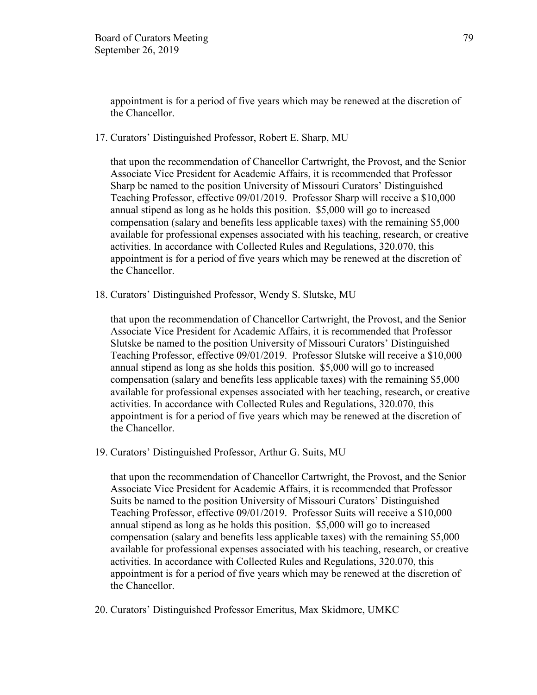appointment is for a period of five years which may be renewed at the discretion of the Chancellor.

17. Curators' Distinguished Professor, Robert E. Sharp, MU

that upon the recommendation of Chancellor Cartwright, the Provost, and the Senior Associate Vice President for Academic Affairs, it is recommended that Professor Sharp be named to the position University of Missouri Curators' Distinguished Teaching Professor, effective 09/01/2019. Professor Sharp will receive a \$10,000 annual stipend as long as he holds this position. \$5,000 will go to increased compensation (salary and benefits less applicable taxes) with the remaining \$5,000 available for professional expenses associated with his teaching, research, or creative activities. In accordance with Collected Rules and Regulations, 320.070, this appointment is for a period of five years which may be renewed at the discretion of the Chancellor.

18. Curators' Distinguished Professor, Wendy S. Slutske, MU

that upon the recommendation of Chancellor Cartwright, the Provost, and the Senior Associate Vice President for Academic Affairs, it is recommended that Professor Slutske be named to the position University of Missouri Curators' Distinguished Teaching Professor, effective 09/01/2019. Professor Slutske will receive a \$10,000 annual stipend as long as she holds this position. \$5,000 will go to increased compensation (salary and benefits less applicable taxes) with the remaining \$5,000 available for professional expenses associated with her teaching, research, or creative activities. In accordance with Collected Rules and Regulations, 320.070, this appointment is for a period of five years which may be renewed at the discretion of the Chancellor.

19. Curators' Distinguished Professor, Arthur G. Suits, MU

that upon the recommendation of Chancellor Cartwright, the Provost, and the Senior Associate Vice President for Academic Affairs, it is recommended that Professor Suits be named to the position University of Missouri Curators' Distinguished Teaching Professor, effective 09/01/2019. Professor Suits will receive a \$10,000 annual stipend as long as he holds this position. \$5,000 will go to increased compensation (salary and benefits less applicable taxes) with the remaining \$5,000 available for professional expenses associated with his teaching, research, or creative activities. In accordance with Collected Rules and Regulations, 320.070, this appointment is for a period of five years which may be renewed at the discretion of the Chancellor.

20. Curators' Distinguished Professor Emeritus, Max Skidmore, UMKC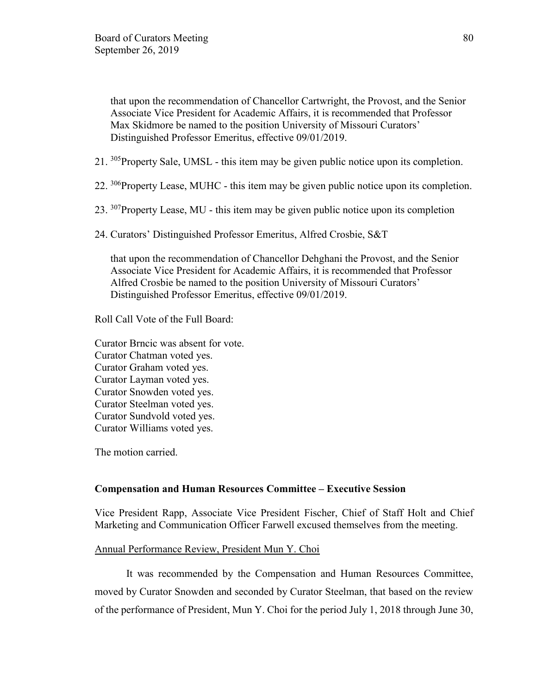that upon the recommendation of Chancellor Cartwright, the Provost, and the Senior Associate Vice President for Academic Affairs, it is recommended that Professor Max Skidmore be named to the position University of Missouri Curators' Distinguished Professor Emeritus, effective 09/01/2019.

- 21. <sup>305</sup>Property Sale, UMSL this item may be given public notice upon its completion.
- 22. <sup>306</sup>Property Lease, MUHC this item may be given public notice upon its completion.
- 23. <sup>307</sup>Property Lease, MU this item may be given public notice upon its completion
- 24. Curators' Distinguished Professor Emeritus, Alfred Crosbie, S&T

that upon the recommendation of Chancellor Dehghani the Provost, and the Senior Associate Vice President for Academic Affairs, it is recommended that Professor Alfred Crosbie be named to the position University of Missouri Curators' Distinguished Professor Emeritus, effective 09/01/2019.

Roll Call Vote of the Full Board:

Curator Brncic was absent for vote. Curator Chatman voted yes. Curator Graham voted yes. Curator Layman voted yes. Curator Snowden voted yes. Curator Steelman voted yes. Curator Sundvold voted yes. Curator Williams voted yes.

The motion carried.

#### **Compensation and Human Resources Committee – Executive Session**

Vice President Rapp, Associate Vice President Fischer, Chief of Staff Holt and Chief Marketing and Communication Officer Farwell excused themselves from the meeting.

#### Annual Performance Review, President Mun Y. Choi

It was recommended by the Compensation and Human Resources Committee, moved by Curator Snowden and seconded by Curator Steelman, that based on the review of the performance of President, Mun Y. Choi for the period July 1, 2018 through June 30,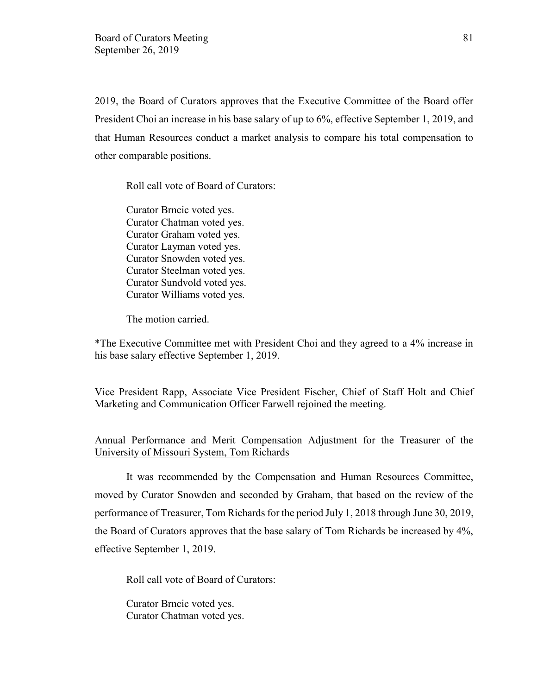2019, the Board of Curators approves that the Executive Committee of the Board offer President Choi an increase in his base salary of up to 6%, effective September 1, 2019, and that Human Resources conduct a market analysis to compare his total compensation to other comparable positions.

Roll call vote of Board of Curators:

Curator Brncic voted yes. Curator Chatman voted yes. Curator Graham voted yes. Curator Layman voted yes. Curator Snowden voted yes. Curator Steelman voted yes. Curator Sundvold voted yes. Curator Williams voted yes.

The motion carried.

\*The Executive Committee met with President Choi and they agreed to a 4% increase in his base salary effective September 1, 2019.

Vice President Rapp, Associate Vice President Fischer, Chief of Staff Holt and Chief Marketing and Communication Officer Farwell rejoined the meeting.

# Annual Performance and Merit Compensation Adjustment for the Treasurer of the University of Missouri System, Tom Richards

It was recommended by the Compensation and Human Resources Committee, moved by Curator Snowden and seconded by Graham, that based on the review of the performance of Treasurer, Tom Richards for the period July 1, 2018 through June 30, 2019, the Board of Curators approves that the base salary of Tom Richards be increased by 4%, effective September 1, 2019.

Roll call vote of Board of Curators:

Curator Brncic voted yes. Curator Chatman voted yes.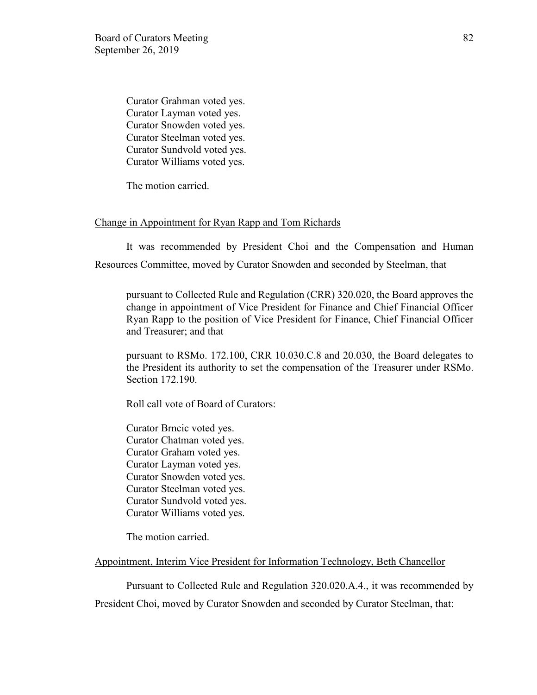Curator Grahman voted yes. Curator Layman voted yes. Curator Snowden voted yes. Curator Steelman voted yes. Curator Sundvold voted yes. Curator Williams voted yes.

The motion carried.

#### Change in Appointment for Ryan Rapp and Tom Richards

It was recommended by President Choi and the Compensation and Human Resources Committee, moved by Curator Snowden and seconded by Steelman, that

pursuant to Collected Rule and Regulation (CRR) 320.020, the Board approves the change in appointment of Vice President for Finance and Chief Financial Officer Ryan Rapp to the position of Vice President for Finance, Chief Financial Officer and Treasurer; and that

pursuant to RSMo. 172.100, CRR 10.030.C.8 and 20.030, the Board delegates to the President its authority to set the compensation of the Treasurer under RSMo. Section 172.190.

Roll call vote of Board of Curators:

Curator Brncic voted yes. Curator Chatman voted yes. Curator Graham voted yes. Curator Layman voted yes. Curator Snowden voted yes. Curator Steelman voted yes. Curator Sundvold voted yes. Curator Williams voted yes.

The motion carried.

## Appointment, Interim Vice President for Information Technology, Beth Chancellor

Pursuant to Collected Rule and Regulation 320.020.A.4., it was recommended by President Choi, moved by Curator Snowden and seconded by Curator Steelman, that: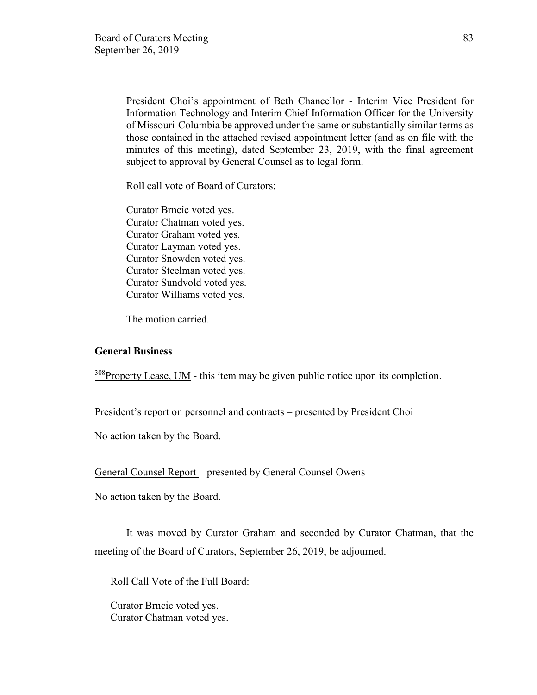President Choi's appointment of Beth Chancellor - Interim Vice President for Information Technology and Interim Chief Information Officer for the University of Missouri-Columbia be approved under the same or substantially similar terms as those contained in the attached revised appointment letter (and as on file with the minutes of this meeting), dated September 23, 2019, with the final agreement subject to approval by General Counsel as to legal form.

Roll call vote of Board of Curators:

Curator Brncic voted yes. Curator Chatman voted yes. Curator Graham voted yes. Curator Layman voted yes. Curator Snowden voted yes. Curator Steelman voted yes. Curator Sundvold voted yes. Curator Williams voted yes.

The motion carried.

## **General Business**

<sup>308</sup>Property Lease, UM - this item may be given public notice upon its completion.

President's report on personnel and contracts – presented by President Choi

No action taken by the Board.

General Counsel Report – presented by General Counsel Owens

No action taken by the Board.

It was moved by Curator Graham and seconded by Curator Chatman, that the meeting of the Board of Curators, September 26, 2019, be adjourned.

Roll Call Vote of the Full Board:

Curator Brncic voted yes. Curator Chatman voted yes.